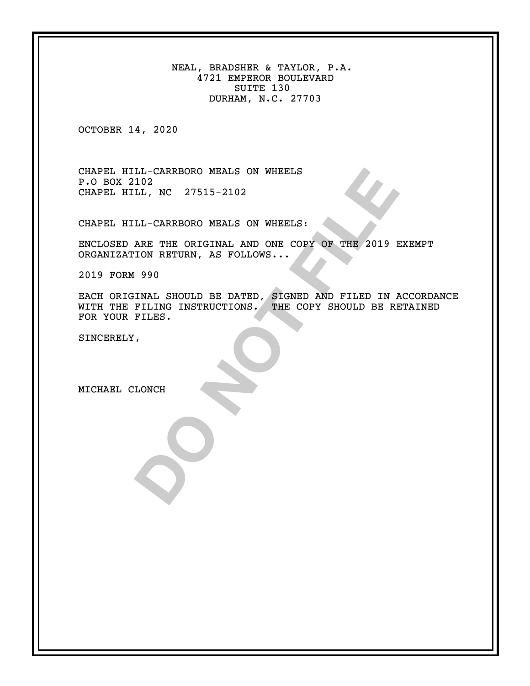NEAL, BRADSHER & TAYLOR, P.A. 4721 EMPEROR BOULEVARD SUITE 130 DURHAM, N.C. 27703

OCTOBER 14, 2020

CHAPEL HILL-CARRBORO MEALS ON WHEELS P.O BOX 2102 CHAPEL HILL, NC 27515-2102

CHAPEL HILL-CARRBORO MEALS ON WHEELS:

ENCLOSED ARE THE ORIGINAL AND ONE COPY OF THE 2019 EXEMPT ORGANIZATION RETURN, AS FOLLOWS...

2019 FORM 990

LL-CARRBORO MEALS ON WHEELS<br>
102<br>
LL-CARRBORO MEALS ON WHEELS:<br>
ARE THE ORIGINAL AND ONE COPY OF THE 2019 E<br>
ION RETURN, AS FOLLOWS...<br>
1990<br>
INAL SHOULD BE DATED, SIGNED AND FILED IN A<br>
FILES.<br>
FILES.<br>
.<br>
.<br>
. EACH ORIGINAL SHOULD BE DATED, SIGNED AND FILED IN ACCORDANCE WITH THE FILING INSTRUCTIONS. THE COPY SHOULD BE RETAINED FOR YOUR FILES.

SINCERELY,

MICHAEL CLONCH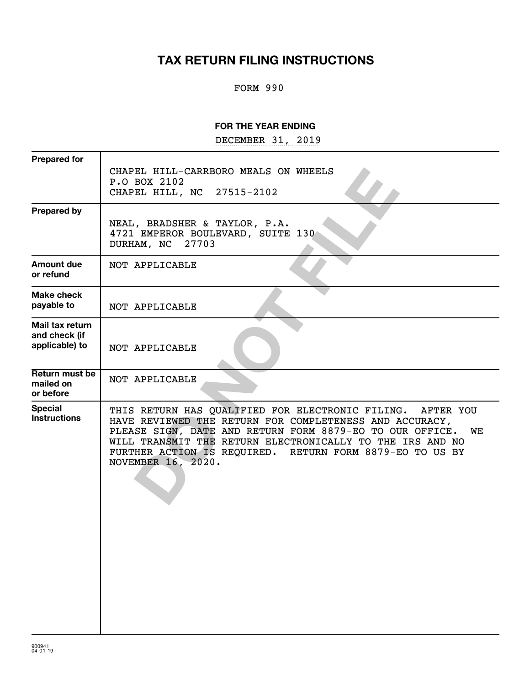# **TAX RETURN FILING INSTRUCTIONS**

## FORM 990

## **FOR THE YEAR ENDING**

DECEMBER 31, 2019

| <b>Prepared for</b>                                | CHAPEL HILL-CARRBORO MEALS ON WHEELS<br>P.O BOX 2102<br>27515-2102<br>CHAPEL HILL, NC                                                                                                                                                                                                                                                  |
|----------------------------------------------------|----------------------------------------------------------------------------------------------------------------------------------------------------------------------------------------------------------------------------------------------------------------------------------------------------------------------------------------|
| <b>Prepared by</b>                                 | NEAL, BRADSHER & TAYLOR, P.A.<br>4721 EMPEROR BOULEVARD, SUITE 130<br>27703<br>DURHAM, NC                                                                                                                                                                                                                                              |
| Amount due<br>or refund                            | NOT APPLICABLE                                                                                                                                                                                                                                                                                                                         |
| Make check<br>payable to                           | NOT APPLICABLE                                                                                                                                                                                                                                                                                                                         |
| Mail tax return<br>and check (if<br>applicable) to | NOT APPLICABLE                                                                                                                                                                                                                                                                                                                         |
| Return must be<br>mailed on<br>or before           | NOT APPLICABLE                                                                                                                                                                                                                                                                                                                         |
| <b>Special</b><br><b>Instructions</b>              | THIS RETURN HAS QUALIFIED FOR ELECTRONIC FILING. AFTER YOU<br>HAVE REVIEWED THE RETURN FOR COMPLETENESS AND ACCURACY,<br>PLEASE SIGN, DATE AND RETURN FORM 8879-EO TO OUR OFFICE.<br>WE<br>WILL TRANSMIT THE RETURN ELECTRONICALLY TO THE IRS AND NO<br>FURTHER ACTION IS REQUIRED. RETURN FORM 8879-EO TO US BY<br>NOVEMBER 16, 2020. |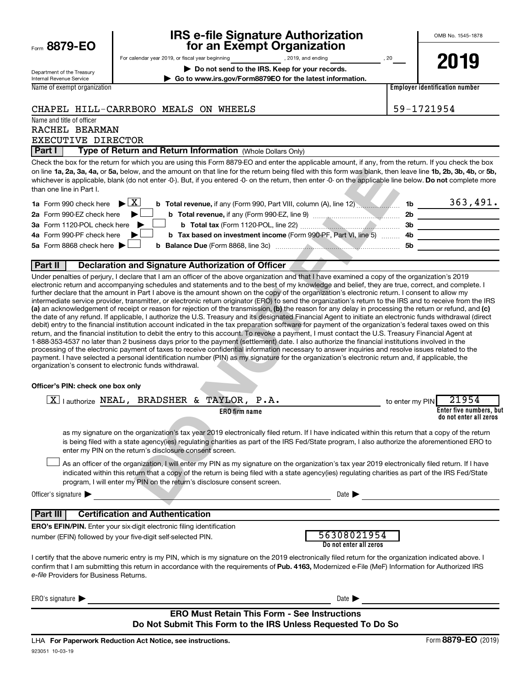| Form 8879-EO                                           |                                                  | <b>THE PLATF OF THE PROPERTY OF THE PLATFOLIC PLATFOLIC PLATFOLIC PLATFOLIC PLATFOLIC PLATFOLIC PLATFOLIC PLATFOLIC</b><br>for an Exempt Organization |    |
|--------------------------------------------------------|--------------------------------------------------|-------------------------------------------------------------------------------------------------------------------------------------------------------|----|
|                                                        | For calendar year 2019, or fiscal year beginning | 2019, and ending                                                                                                                                      | 20 |
| Department of the Treasury<br>Internal Revenue Service |                                                  | Do not send to the IRS. Keep for your records.<br>Go to www.irs.gov/Form8879EO for the latest information.                                            |    |
| Name of exempt organization                            |                                                  |                                                                                                                                                       |    |

# **IRS e-file Signature Authorization 8879-EO for an Exempt Organization**

OMB No. 1545-1878

**2019**

**Employer identification number**

CHAPEL HILL-CARRBORO MEALS ON WHEELS  $\vert$  59-1721954

Name and title of officer

### RACHEL BEARMAN EXECUTIVE DIRECTOR

**Part I | Type of Return and Return Information** (Whole Dollars Only)

on line 1a, 2a, 3a, 4a, or 5a, below, and the amount on that line for the return being filed with this form was blank, then leave line 1b, 2b, 3b, 4b, or 5b, whichever is applicable, blank (do not enter -0-). But, if you entered -0- on the return, then enter -0- on the applicable line below. **Do not** complete more Check the box for the return for which you are using this Form 8879-EO and enter the applicable amount, if any, from the return. If you check the box than one line in Part I.

| <b>1a</b> Form 990 check here $\triangleright$ $\boxed{X}$<br>b Total revenue, if any (Form 990, Part VIII, column (A), line 12) | 1b        | 363,491. |
|----------------------------------------------------------------------------------------------------------------------------------|-----------|----------|
| 2a Form 990-EZ check here<br><b>b</b> Total revenue, if any (Form 990-EZ, line 9) <i>manuaronances</i>                           | 2b        |          |
| 3a Form 1120-POL check here<br><b>b</b> Total tax (Form 1120-POL, line 22) $\ldots$                                              | 3b        |          |
| 4a Form 990-PF check here<br><b>b</b> Tax based on investment income (Form 990-PF, Part VI, line 5) 4b                           |           |          |
| 5a Form 8868 check here $\blacktriangleright$                                                                                    | <b>5b</b> |          |
|                                                                                                                                  |           |          |

## **Part II Declaration and Signature Authorization of Officer**

### **Officer's PIN: check one box only**

| on line 1a, 2a, 3a, 4a, or 5a, below, and the amount on that line for the return being filed with this form was blank, then leave line 1b, 2b, 3b, 4b, or 5b,<br>whichever is applicable, blank (do not enter -0-). But, if you entered -0- on the return, then enter -0- on the applicable line below. Do not complete more<br>than one line in Part I.                                                                                                                                                                                                                                                                                                                                                                                                                                                                                                                                                                                                                                                                                                                                                                                                                                                                                                                                                                                                                                                                                                                                                                                                                                                                                                                                                                                                                             |                 |                                                   |
|--------------------------------------------------------------------------------------------------------------------------------------------------------------------------------------------------------------------------------------------------------------------------------------------------------------------------------------------------------------------------------------------------------------------------------------------------------------------------------------------------------------------------------------------------------------------------------------------------------------------------------------------------------------------------------------------------------------------------------------------------------------------------------------------------------------------------------------------------------------------------------------------------------------------------------------------------------------------------------------------------------------------------------------------------------------------------------------------------------------------------------------------------------------------------------------------------------------------------------------------------------------------------------------------------------------------------------------------------------------------------------------------------------------------------------------------------------------------------------------------------------------------------------------------------------------------------------------------------------------------------------------------------------------------------------------------------------------------------------------------------------------------------------------|-----------------|---------------------------------------------------|
| X                                                                                                                                                                                                                                                                                                                                                                                                                                                                                                                                                                                                                                                                                                                                                                                                                                                                                                                                                                                                                                                                                                                                                                                                                                                                                                                                                                                                                                                                                                                                                                                                                                                                                                                                                                                    |                 | 363,491.                                          |
| b Total revenue, if any (Form 990, Part VIII, column (A), line 12) 15<br><b>1a</b> Form 990 check here                                                                                                                                                                                                                                                                                                                                                                                                                                                                                                                                                                                                                                                                                                                                                                                                                                                                                                                                                                                                                                                                                                                                                                                                                                                                                                                                                                                                                                                                                                                                                                                                                                                                               |                 |                                                   |
| 2a Form 990-EZ check here                                                                                                                                                                                                                                                                                                                                                                                                                                                                                                                                                                                                                                                                                                                                                                                                                                                                                                                                                                                                                                                                                                                                                                                                                                                                                                                                                                                                                                                                                                                                                                                                                                                                                                                                                            |                 |                                                   |
| 3a Form 1120-POL check here                                                                                                                                                                                                                                                                                                                                                                                                                                                                                                                                                                                                                                                                                                                                                                                                                                                                                                                                                                                                                                                                                                                                                                                                                                                                                                                                                                                                                                                                                                                                                                                                                                                                                                                                                          |                 | 3b                                                |
| b Tax based on investment income (Form 990-PF, Part VI, line 5)  4b<br>4a Form 990-PF check here<br>5a Form 8868 check here                                                                                                                                                                                                                                                                                                                                                                                                                                                                                                                                                                                                                                                                                                                                                                                                                                                                                                                                                                                                                                                                                                                                                                                                                                                                                                                                                                                                                                                                                                                                                                                                                                                          |                 | <u> 1989 - Johann Barbara, martin a</u>           |
|                                                                                                                                                                                                                                                                                                                                                                                                                                                                                                                                                                                                                                                                                                                                                                                                                                                                                                                                                                                                                                                                                                                                                                                                                                                                                                                                                                                                                                                                                                                                                                                                                                                                                                                                                                                      |                 |                                                   |
| Part II<br>Declaration and Signature Authorization of Officer                                                                                                                                                                                                                                                                                                                                                                                                                                                                                                                                                                                                                                                                                                                                                                                                                                                                                                                                                                                                                                                                                                                                                                                                                                                                                                                                                                                                                                                                                                                                                                                                                                                                                                                        |                 |                                                   |
| Under penalties of perjury, I declare that I am an officer of the above organization and that I have examined a copy of the organization's 2019<br>electronic return and accompanying schedules and statements and to the best of my knowledge and belief, they are true, correct, and complete. I<br>further declare that the amount in Part I above is the amount shown on the copy of the organization's electronic return. I consent to allow my<br>intermediate service provider, transmitter, or electronic return originator (ERO) to send the organization's return to the IRS and to receive from the IRS<br>(a) an acknowledgement of receipt or reason for rejection of the transmission, (b) the reason for any delay in processing the return or refund, and (c)<br>the date of any refund. If applicable, I authorize the U.S. Treasury and its designated Financial Agent to initiate an electronic funds withdrawal (direct<br>debit) entry to the financial institution account indicated in the tax preparation software for payment of the organization's federal taxes owed on this<br>return, and the financial institution to debit the entry to this account. To revoke a payment, I must contact the U.S. Treasury Financial Agent at<br>1-888-353-4537 no later than 2 business days prior to the payment (settlement) date. I also authorize the financial institutions involved in the<br>processing of the electronic payment of taxes to receive confidential information necessary to answer inquiries and resolve issues related to the<br>payment. I have selected a personal identification number (PIN) as my signature for the organization's electronic return and, if applicable, the<br>organization's consent to electronic funds withdrawal. |                 |                                                   |
| Officer's PIN: check one box only<br>$X$ lauthorize NEAL, BRADSHER & TAYLOR, P.A.                                                                                                                                                                                                                                                                                                                                                                                                                                                                                                                                                                                                                                                                                                                                                                                                                                                                                                                                                                                                                                                                                                                                                                                                                                                                                                                                                                                                                                                                                                                                                                                                                                                                                                    | to enter my PIN | 21954                                             |
| ERO firm name                                                                                                                                                                                                                                                                                                                                                                                                                                                                                                                                                                                                                                                                                                                                                                                                                                                                                                                                                                                                                                                                                                                                                                                                                                                                                                                                                                                                                                                                                                                                                                                                                                                                                                                                                                        |                 | Enter five numbers, but<br>do not enter all zeros |
| as my signature on the organization's tax year 2019 electronically filed return. If I have indicated within this return that a copy of the return<br>is being filed with a state agency(ies) regulating charities as part of the IRS Fed/State program, I also authorize the aforementioned ERO to<br>enter my PIN on the return's disclosure consent screen.                                                                                                                                                                                                                                                                                                                                                                                                                                                                                                                                                                                                                                                                                                                                                                                                                                                                                                                                                                                                                                                                                                                                                                                                                                                                                                                                                                                                                        |                 |                                                   |
| As an officer of the organization, I will enter my PIN as my signature on the organization's tax year 2019 electronically filed return. If I have<br>indicated within this return that a copy of the return is being filed with a state agency(ies) regulating charities as part of the IRS Fed/State<br>program, I will enter my PIN on the return's disclosure consent screen.                                                                                                                                                                                                                                                                                                                                                                                                                                                                                                                                                                                                                                                                                                                                                                                                                                                                                                                                                                                                                                                                                                                                                                                                                                                                                                                                                                                                     |                 |                                                   |
| Officer's signature $\blacktriangleright$<br>Date                                                                                                                                                                                                                                                                                                                                                                                                                                                                                                                                                                                                                                                                                                                                                                                                                                                                                                                                                                                                                                                                                                                                                                                                                                                                                                                                                                                                                                                                                                                                                                                                                                                                                                                                    |                 |                                                   |
| <b>Part III</b><br><b>Certification and Authentication</b>                                                                                                                                                                                                                                                                                                                                                                                                                                                                                                                                                                                                                                                                                                                                                                                                                                                                                                                                                                                                                                                                                                                                                                                                                                                                                                                                                                                                                                                                                                                                                                                                                                                                                                                           |                 |                                                   |
| <b>ERO's EFIN/PIN.</b> Enter your six-digit electronic filing identification                                                                                                                                                                                                                                                                                                                                                                                                                                                                                                                                                                                                                                                                                                                                                                                                                                                                                                                                                                                                                                                                                                                                                                                                                                                                                                                                                                                                                                                                                                                                                                                                                                                                                                         |                 |                                                   |
| 56308021954<br>number (EFIN) followed by your five-digit self-selected PIN.<br>Do not enter all zeros                                                                                                                                                                                                                                                                                                                                                                                                                                                                                                                                                                                                                                                                                                                                                                                                                                                                                                                                                                                                                                                                                                                                                                                                                                                                                                                                                                                                                                                                                                                                                                                                                                                                                |                 |                                                   |
| I certify that the above numeric entry is my PIN, which is my signature on the 2019 electronically filed return for the organization indicated above. I<br>confirm that I am submitting this return in accordance with the requirements of Pub. 4163, Modernized e-File (MeF) Information for Authorized IRS<br>e-file Providers for Business Returns.                                                                                                                                                                                                                                                                                                                                                                                                                                                                                                                                                                                                                                                                                                                                                                                                                                                                                                                                                                                                                                                                                                                                                                                                                                                                                                                                                                                                                               |                 |                                                   |
| ERO's signature $\blacktriangleright$<br>Date $\blacktriangleright$                                                                                                                                                                                                                                                                                                                                                                                                                                                                                                                                                                                                                                                                                                                                                                                                                                                                                                                                                                                                                                                                                                                                                                                                                                                                                                                                                                                                                                                                                                                                                                                                                                                                                                                  |                 |                                                   |
| <b>ERO Must Retain This Form - See Instructions</b><br>Do Not Submit This Form to the IRS Unless Requested To Do So                                                                                                                                                                                                                                                                                                                                                                                                                                                                                                                                                                                                                                                                                                                                                                                                                                                                                                                                                                                                                                                                                                                                                                                                                                                                                                                                                                                                                                                                                                                                                                                                                                                                  |                 |                                                   |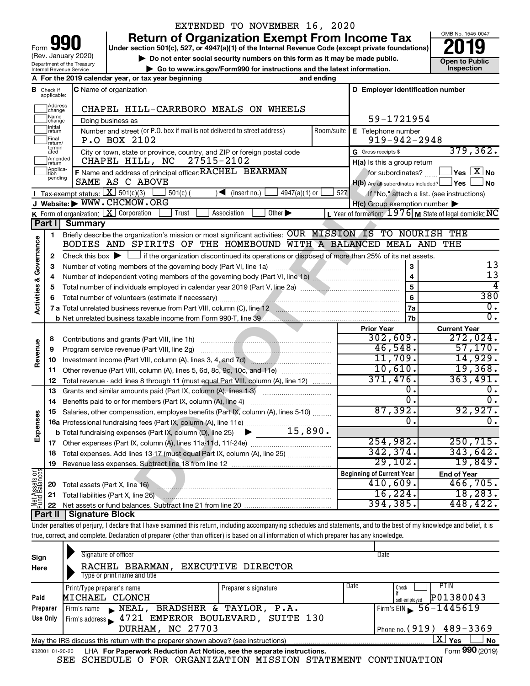| 90<br>Form                                                    |
|---------------------------------------------------------------|
| (Rev. January 2020)                                           |
| Department of the Treasury<br><b>Internal Revenue Service</b> |

## EXTENDED TO NOVEMBER 16, 2020

**Return of Organization Exempt From Income Tax**<br>r section 501(c), 527, or 4947(a)(1) of the Internal Revenue Code (except private foundations)<br>**2019** 

**Under section 501(c), 527, or 4947(a)(1) of the Internal Revenue Code (except private foundations)**

**b** Do not enter social security numbers on this form as it may be made public.<br> **Go to www.irs.gov/Form990 for instructions and the latest information. 
<br>
Inspection | Go to www.irs.gov/Form990 for instructions and the latest information. Inspection**



**A For the 2019 calendar year, or tax year beginning and ending B** Check if **C** Name of organization **C D Employer identification number** Check if C Name of organization applicable: Address<br>]change  $\overline{a}$ CHAPEL HILL-CARRBORO MEALS ON WHEELS Name<br>
change 59-1721954 Doing business as Initial<br>Treturn  $\overline{a}$ **E** Telephone number Number and street (or P.O. box if mail is not delivered to street address) | Room/suite | E Telephone number P.O BOX 2102 2008 2009 12:00 2010 2020 2048  $\overline{a}$ Final **P.O BOX 2102**<br>return/<br>ated City or town, state or province, country, and ZIP or foreign postal code Gross receipts \$ 379,362. G Gross receipts \$ Amended<br>Treturn  $\overline{a}$ CHAPEL HILL, NC 27515-2102 **H(a)** Is this a group return Applica-<br>
pending<br>
pending **F** Name and address of principal officer: **RACHEL BEARMAN** for subordinates? **The State of State Address** No **DO NOT FILE** SAME AS C ABOVE  $H(b)$  Are all subordinates included?  $\Box$  Yes  $\Box$  No Tax-exempt status:  $\boxed{\mathbf{X}}$  501(c)(3)  $\boxed{\phantom{0}}$  501(c)(  $\phantom{0}$  )  $\blacktriangleleft$  (insert no.)  $\boxed{\phantom{0}}$  4947(a)(1) or  $\boxed{\phantom{0}}$  527 If "No," attach a list. (see instructions) **I J Website: |** WWW.CHCMOW.ORG **H(c)** Group exemption number **K** Form of organization:  $\boxed{\mathbf{X}}$  Corporation  $\boxed{\phantom{a}}$  Trust  $\boxed{\phantom{a}}$  Association  $\boxed{\phantom{a}}$ Form of organization:  $\boxed{\textbf{X}}$  Corporation  $\boxed{\phantom{\textbf{X}}\phantom{\textbf{X}}}$  Trust  $\boxed{\phantom{\textbf{X}}\phantom{\textbf{X}}}$  Association  $\phantom{\textbf{X}}\phantom{\textbf{X}}\phantom{\textbf{X}}\phantom{\textbf{X}}$  Other  $\blacktriangleright$   $\phantom{\textbf{X}}\phantom{\textbf{X}}\phantom{\textbf{X}}\phantom{\textbf{X}}$   $\phantom{\textbf{X}}\phantom{\textbf{X}}$ **Part I Summary** Briefly describe the organization's mission or most significant activities:  $\overline{\text{OUR}}\text{ MISSION}$   $\overline{\text{IS}}\text{ TO}$  NOURISH THE **1** Activities & Governance **Activities & Governance** BODIES AND SPIRITS OF THE HOMEBOUND WITH A BALANCED MEAL AND THE Check this box  $\blacktriangleright$  if the organization discontinued its operations or disposed of more than 25% of its net assets. **2** 13 **3 3** Number of voting members of the governing body (Part VI, line 1a) *www.www.www.www.www.www.*www. 13 **4 4** Number of independent voting members of the governing body (Part VI, line 1b) ~~~~~~~~~~~~~~ 4 **5 5** Total number of individuals employed in calendar year 2019 (Part V, line 2a) ……………………………………… 380 **6 6** Total number of volunteers (estimate if necessary) …………………………………………………………………………… **7a** 0. **7 a** Total unrelated business revenue from Part VIII, column (C), line 12 ~~~~~~~~~~~~~~~~~~~~  $\overline{0}$  . **7b b** Net unrelated business taxable income from Form 990-T, line 39 **Prior Year Current Year** Contributions and grants (Part VIII, line 1h) ~~~~~~~~~~~~~~~~~~~~~  $302,609.$   $272,024.$ **8 Revenue** 46,548. 57,170. Program service revenue (Part VIII, line 2g) ~~~~~~~~~~~~~~~~~~~~~ **9** 11,709. 14,929. Investment income (Part VIII, column (A), lines 3, 4, and 7d) ~~~~~~~~~~~~~ **10** 10,610. 19,368. **11** Other revenue (Part VIII, column (A), lines 5, 6d, 8c, 9c, 10c, and 11e) ~~~~~~~~ 371,476. 363,491. **12** Total revenue - add lines 8 through 11 (must equal Part VIII, column (A), line 12)  $\begin{array}{ccc} 0 \cdot & \hspace{1.5cm} 0 \end{array}$ **13** Grants and similar amounts paid (Part IX, column (A), lines 1-3) ……………………………  $\overline{0.1}$   $\overline{0.0}$ **14** Benefits paid to or for members (Part IX, column (A), line 4) ~~~~~~~~~~~~~ 87,392. 92,927. **15** Salaries, other compensation, employee benefits (Part IX, column (A), lines 5-10)  $\ldots \ldots \ldots$ **Expenses**  $\begin{array}{ccc} 0 \end{array}$  . **16 a** Professional fundraising fees (Part IX, column (A), line 11e) ~~~~~~~~~~~~~~ 15,890. **b** Total fundraising expenses (Part IX, column (D), line 25) 254,982. 250,715. **17** Other expenses (Part IX, column (A), lines 11a 11d, 11f 24e) ……………………………… 342,374. 343,642. **18** Total expenses. Add lines 13-17 (must equal Part IX, column (A), line 25) .................... 29,102. 19,849. **19** Revenue less expenses. Subtract line 18 from line 12 **Net Assets or Fund Balances Beginning of Current Year End of Year** 410,609. 466,705. **20** Total assets (Part X, line 16) ~~~~~~~~~~~~~~~~~~~~~~~~~~~~ 16,224. 18,283. **21** Total liabilities (Part X, line 26)  $~\cdot$   $~\cdot$   $~\cdot$   $~\cdot$   $~\cdot$   $~\cdot$   $~\cdot$   $~\cdot$   $~\cdot$   $~\cdot$   $~\cdot$   $~\cdot$   $~\cdot$   $~\cdot$   $~\cdot$   $~\cdot$   $~\cdot$   $~\cdot$   $~\cdot$   $~\cdot$   $~\cdot$   $~\cdot$   $~\cdot$   $~\cdot$   $~\cdot$   $~\cdot$   $~\cdot$   $~\cdot$   $~\cdot$   $~\cdot$   $~\cdot$   $~\cdot$   $~\cdot$   $~\cdot$   $~\cdot$   $~\cdot$   $~\cdot$ 394,385. 448,422. **22** Net assets or fund balances. Subtract line 21 from line 20 **Part II Signature Block**

Under penalties of perjury, I declare that I have examined this return, including accompanying schedules and statements, and to the best of my knowledge and belief, it is true, correct, and complete. Declaration of preparer (other than officer) is based on all information of which preparer has any knowledge.

| Sign<br>Here | Signature of officer<br>RACHEL BEARMAN,<br>EXECUTIVE DIRECTOR                                                |                              | Date                                |  |  |  |  |  |
|--------------|--------------------------------------------------------------------------------------------------------------|------------------------------|-------------------------------------|--|--|--|--|--|
|              | Type or print name and title                                                                                 |                              |                                     |  |  |  |  |  |
|              | Print/Type preparer's name                                                                                   | Date<br>Preparer's signature | PTIN<br>Check                       |  |  |  |  |  |
| Paid         | MICHAEL CLONCH                                                                                               |                              | P01380043<br>self-emploved          |  |  |  |  |  |
| Preparer     | BRADSHER & TAYLOR, P.A.<br>$\blacktriangleright$ NEAL,<br>Firm's name                                        |                              | Firm's EIN $\frac{56 - 1445619}{ }$ |  |  |  |  |  |
| Use Only     | Firm's address 1721 EMPEROR BOULEVARD, SUITE 130                                                             |                              |                                     |  |  |  |  |  |
|              | DURHAM, NC 27703                                                                                             |                              | Phone no. (919) 489-3369            |  |  |  |  |  |
|              | x.<br>No<br>Yes<br>May the IRS discuss this return with the preparer shown above? (see instructions)         |                              |                                     |  |  |  |  |  |
|              | Form 990 (2019)<br>LHA For Paperwork Reduction Act Notice, see the separate instructions.<br>932001 01-20-20 |                              |                                     |  |  |  |  |  |

SEE SCHEDULE O FOR ORGANIZATION MISSION STATEMENT CONTINUATION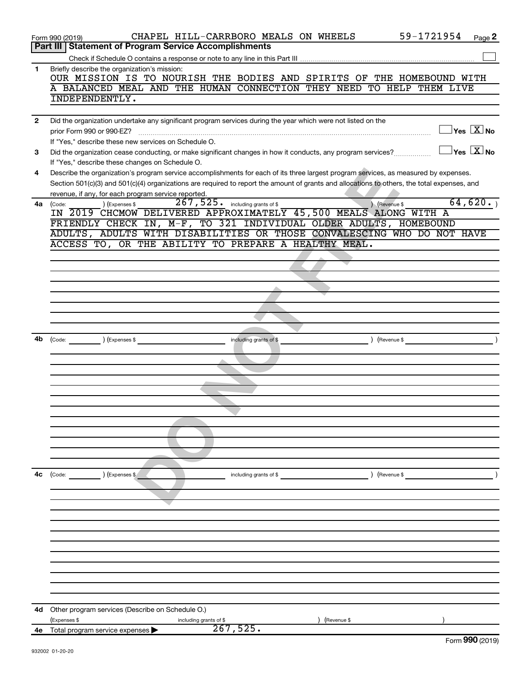|              | CHAPEL HILL-CARRBORO MEALS ON WHEELS<br>Form 990 (2019)                                                                                      |                                          |             | 59-1721954    | Page 2                                    |
|--------------|----------------------------------------------------------------------------------------------------------------------------------------------|------------------------------------------|-------------|---------------|-------------------------------------------|
|              | Part III   Statement of Program Service Accomplishments                                                                                      |                                          |             |               |                                           |
|              |                                                                                                                                              |                                          |             |               |                                           |
| 1            | Briefly describe the organization's mission:<br>OUR MISSION IS TO NOURISH THE BODIES AND SPIRITS OF THE HOMEBOUND WITH                       |                                          |             |               |                                           |
|              | A BALANCED MEAL AND THE HUMAN CONNECTION THEY NEED TO HELP THEM LIVE                                                                         |                                          |             |               |                                           |
|              | INDEPENDENTLY.                                                                                                                               |                                          |             |               |                                           |
|              |                                                                                                                                              |                                          |             |               |                                           |
|              | Did the organization undertake any significant program services during the year which were not listed on the                                 |                                          |             |               |                                           |
| $\mathbf{2}$ |                                                                                                                                              |                                          |             |               | $\overline{\ }$ Yes $\overline{\rm X}$ No |
|              | prior Form 990 or 990-EZ?                                                                                                                    |                                          |             |               |                                           |
|              | If "Yes," describe these new services on Schedule O.                                                                                         |                                          |             |               |                                           |
| 3            | Did the organization cease conducting, or make significant changes in how it conducts, any program services?                                 |                                          |             |               | $\overline{\ }$ Yes $\overline{\rm X}$ No |
|              | If "Yes," describe these changes on Schedule O.                                                                                              |                                          |             |               |                                           |
| 4            | Describe the organization's program service accomplishments for each of its three largest program services, as measured by expenses.         |                                          |             |               |                                           |
|              | Section 501(c)(3) and 501(c)(4) organizations are required to report the amount of grants and allocations to others, the total expenses, and |                                          |             |               |                                           |
|              | revenue, if any, for each program service reported.                                                                                          |                                          |             |               |                                           |
| 4a           | ) (Expenses \$<br>(Code:                                                                                                                     | $267,525$ $\cdot$ including grants of \$ |             | Revenue \$    | 64,620.                                   |
|              | IN 2019 CHCMOW DELIVERED APPROXIMATELY 45,500 MEALS ALONG WITH A                                                                             |                                          |             |               |                                           |
|              | FRIENDLY CHECK IN, M-F, TO 321 INDIVIDUAL OLDER ADULTS, HOMEBOUND                                                                            |                                          |             |               |                                           |
|              | ADULTS, ADULTS WITH DISABILITIES OR THOSE CONVALESCING WHO DO NOT HAVE                                                                       |                                          |             |               |                                           |
|              | ACCESS TO, OR THE ABILITY TO PREPARE A HEALTHY MEAL.                                                                                         |                                          |             |               |                                           |
|              |                                                                                                                                              |                                          |             |               |                                           |
|              |                                                                                                                                              |                                          |             |               |                                           |
|              |                                                                                                                                              |                                          |             |               |                                           |
|              |                                                                                                                                              |                                          |             |               |                                           |
|              |                                                                                                                                              |                                          |             |               |                                           |
|              |                                                                                                                                              |                                          |             |               |                                           |
|              |                                                                                                                                              |                                          |             |               |                                           |
|              |                                                                                                                                              |                                          |             |               |                                           |
|              | (Expenses \$<br>(Code:                                                                                                                       | including grants of \$                   |             | (Revenue \$   |                                           |
|              |                                                                                                                                              |                                          |             |               |                                           |
|              |                                                                                                                                              |                                          |             |               |                                           |
|              |                                                                                                                                              |                                          |             |               |                                           |
|              |                                                                                                                                              |                                          |             |               |                                           |
|              |                                                                                                                                              |                                          |             |               |                                           |
|              |                                                                                                                                              |                                          |             |               |                                           |
|              |                                                                                                                                              |                                          |             |               |                                           |
|              |                                                                                                                                              |                                          |             |               |                                           |
|              |                                                                                                                                              |                                          |             |               |                                           |
|              |                                                                                                                                              |                                          |             |               |                                           |
|              |                                                                                                                                              |                                          |             |               |                                           |
| 4c           | (Expenses \$<br>(Code:                                                                                                                       | including grants of \$                   |             | ) (Revenue \$ |                                           |
|              |                                                                                                                                              |                                          |             |               |                                           |
|              |                                                                                                                                              |                                          |             |               |                                           |
|              |                                                                                                                                              |                                          |             |               |                                           |
|              |                                                                                                                                              |                                          |             |               |                                           |
|              |                                                                                                                                              |                                          |             |               |                                           |
|              |                                                                                                                                              |                                          |             |               |                                           |
|              |                                                                                                                                              |                                          |             |               |                                           |
|              |                                                                                                                                              |                                          |             |               |                                           |
|              |                                                                                                                                              |                                          |             |               |                                           |
|              |                                                                                                                                              |                                          |             |               |                                           |
|              |                                                                                                                                              |                                          |             |               |                                           |
|              |                                                                                                                                              |                                          |             |               |                                           |
| 4d           | Other program services (Describe on Schedule O.)                                                                                             |                                          |             |               |                                           |
|              | (Expenses \$<br>including grants of \$                                                                                                       |                                          | (Revenue \$ |               |                                           |
| 4е           | Total program service expenses                                                                                                               | 267,525.                                 |             |               | $000 \times 0.40$                         |
|              |                                                                                                                                              |                                          |             |               |                                           |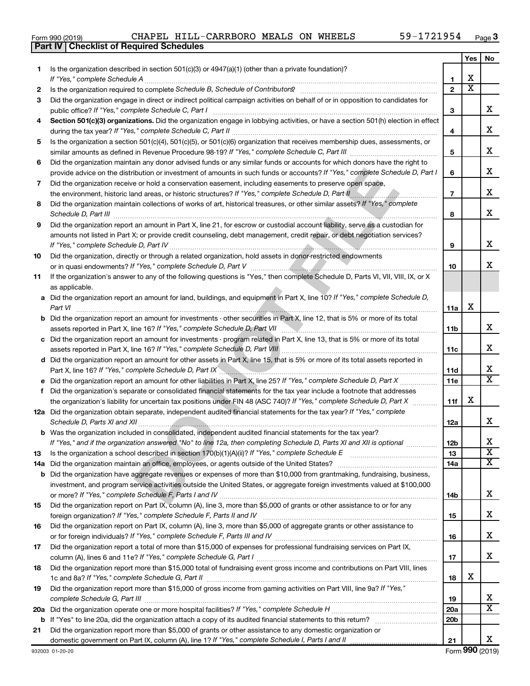| LOIIII ລລດ (CO I ລ)                              |  |  |  |
|--------------------------------------------------|--|--|--|
| <b>Part IV   Checklist of Required Schedules</b> |  |  |  |

|     |                                                                                                                                                                                                                               |                 | Yes | No                      |
|-----|-------------------------------------------------------------------------------------------------------------------------------------------------------------------------------------------------------------------------------|-----------------|-----|-------------------------|
| 1.  | Is the organization described in section $501(c)(3)$ or $4947(a)(1)$ (other than a private foundation)?                                                                                                                       |                 |     |                         |
|     | If "Yes," complete Schedule A                                                                                                                                                                                                 | 1               | x   |                         |
| 2   |                                                                                                                                                                                                                               | $\overline{2}$  | x   |                         |
| 3   | Did the organization engage in direct or indirect political campaign activities on behalf of or in opposition to candidates for                                                                                               |                 |     |                         |
|     | public office? If "Yes," complete Schedule C, Part I                                                                                                                                                                          | 3               |     | x.                      |
| 4   | Section 501(c)(3) organizations. Did the organization engage in lobbying activities, or have a section 501(h) election in effect                                                                                              |                 |     | x                       |
|     |                                                                                                                                                                                                                               | 4               |     |                         |
| 5   | Is the organization a section 501(c)(4), 501(c)(5), or 501(c)(6) organization that receives membership dues, assessments, or                                                                                                  | 5               |     | x                       |
| 6   | Did the organization maintain any donor advised funds or any similar funds or accounts for which donors have the right to                                                                                                     |                 |     |                         |
|     | provide advice on the distribution or investment of amounts in such funds or accounts? If "Yes," complete Schedule D, Part I                                                                                                  | 6               |     | x                       |
| 7   | Did the organization receive or hold a conservation easement, including easements to preserve open space,                                                                                                                     |                 |     |                         |
|     |                                                                                                                                                                                                                               | $\overline{7}$  |     | x                       |
| 8   | Did the organization maintain collections of works of art, historical treasures, or other similar assets? If "Yes," complete                                                                                                  |                 |     |                         |
|     |                                                                                                                                                                                                                               | 8               |     | x                       |
| 9   | Did the organization report an amount in Part X, line 21, for escrow or custodial account liability, serve as a custodian for                                                                                                 |                 |     |                         |
|     | amounts not listed in Part X; or provide credit counseling, debt management, credit repair, or debt negotiation services?                                                                                                     |                 |     |                         |
|     |                                                                                                                                                                                                                               | 9               |     | x                       |
| 10  | Did the organization, directly or through a related organization, hold assets in donor-restricted endowments                                                                                                                  |                 |     |                         |
|     |                                                                                                                                                                                                                               | 10              |     | x.                      |
| 11  | If the organization's answer to any of the following questions is "Yes," then complete Schedule D, Parts VI, VII, VIII, IX, or X                                                                                              |                 |     |                         |
|     | as applicable.                                                                                                                                                                                                                |                 |     |                         |
|     | a Did the organization report an amount for land, buildings, and equipment in Part X, line 10? If "Yes," complete Schedule D,                                                                                                 |                 |     |                         |
|     | Part VI                                                                                                                                                                                                                       | 11a             | х   |                         |
|     | <b>b</b> Did the organization report an amount for investments - other securities in Part X, line 12, that is 5% or more of its total                                                                                         |                 |     |                         |
|     |                                                                                                                                                                                                                               | 11b             |     | x                       |
|     | c Did the organization report an amount for investments - program related in Part X, line 13, that is 5% or more of its total                                                                                                 |                 |     |                         |
|     |                                                                                                                                                                                                                               | 11c             |     | x                       |
|     | d Did the organization report an amount for other assets in Part X, line 15, that is 5% or more of its total assets reported in                                                                                               |                 |     | x                       |
|     | Part X, line 16? If "Yes," complete Schedule D, Part IX manufactured contains and the component of the complete Schedule D, Part IX manufactured complete Schedule D, Part IX manufactured contains and the complete Schedule | 11d<br>11e      |     | X                       |
| f.  | Did the organization's separate or consolidated financial statements for the tax year include a footnote that addresses                                                                                                       |                 |     |                         |
|     | the organization's liability for uncertain tax positions under FIN 48 (ASC 740)? If "Yes," complete Schedule D, Part X                                                                                                        | 11f             | x   |                         |
|     | 12a Did the organization obtain separate, independent audited financial statements for the tax year? If "Yes," complete                                                                                                       |                 |     |                         |
|     |                                                                                                                                                                                                                               | 12a             |     | x                       |
|     | b Was the organization included in consolidated, independent audited financial statements for the tax year?                                                                                                                   |                 |     |                         |
|     | If "Yes," and if the organization answered "No" to line 12a, then completing Schedule D, Parts XI and XII is optional www.                                                                                                    | 12 <sub>b</sub> |     | х                       |
| 13  | Is the organization a school described in section $170(b)(1)(A)(ii)?$ If "Yes," complete Schedule E                                                                                                                           | 13              |     | $\overline{\textbf{x}}$ |
| 14a | Did the organization maintain an office, employees, or agents outside of the United States?                                                                                                                                   | 14a             |     | x                       |
|     | <b>b</b> Did the organization have aggregate revenues or expenses of more than \$10,000 from grantmaking, fundraising, business,                                                                                              |                 |     |                         |
|     | investment, and program service activities outside the United States, or aggregate foreign investments valued at \$100,000                                                                                                    |                 |     |                         |
|     |                                                                                                                                                                                                                               | 14b             |     | x                       |
| 15  | Did the organization report on Part IX, column (A), line 3, more than \$5,000 of grants or other assistance to or for any                                                                                                     |                 |     |                         |
|     |                                                                                                                                                                                                                               | 15              |     | x                       |
| 16  | Did the organization report on Part IX, column (A), line 3, more than \$5,000 of aggregate grants or other assistance to                                                                                                      |                 |     |                         |
|     | or for foreign individuals? If "Yes," complete Schedule F, Parts III and IV [11] mann and intermal manufacture                                                                                                                | 16              |     | x                       |
| 17  | Did the organization report a total of more than \$15,000 of expenses for professional fundraising services on Part IX,                                                                                                       |                 |     | x                       |
|     |                                                                                                                                                                                                                               | 17              |     |                         |
| 18  | Did the organization report more than \$15,000 total of fundraising event gross income and contributions on Part VIII, lines                                                                                                  | 18              | x   |                         |
| 19  | Did the organization report more than \$15,000 of gross income from gaming activities on Part VIII, line 9a? If "Yes,"                                                                                                        |                 |     |                         |
|     |                                                                                                                                                                                                                               | 19              |     | x                       |
|     |                                                                                                                                                                                                                               | <b>20a</b>      |     | x                       |
|     |                                                                                                                                                                                                                               | 20 <sub>b</sub> |     |                         |
| 21  | Did the organization report more than \$5,000 of grants or other assistance to any domestic organization or                                                                                                                   |                 |     |                         |
|     |                                                                                                                                                                                                                               | 21              |     | x                       |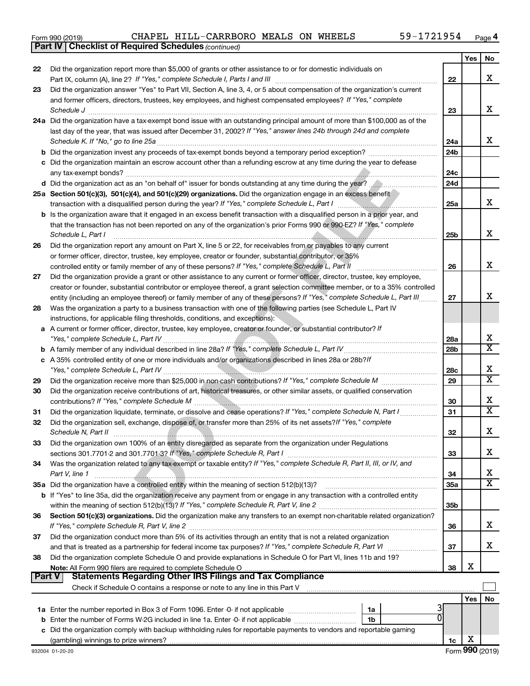|  | Form 990 (2019) |
|--|-----------------|
|  |                 |

*(continued)* **Part IV Checklist of Required Schedules**

|        |                                                                                                                                                                                                                                                                                                                                                    |                 | Yes | No                      |
|--------|----------------------------------------------------------------------------------------------------------------------------------------------------------------------------------------------------------------------------------------------------------------------------------------------------------------------------------------------------|-----------------|-----|-------------------------|
| 22     | Did the organization report more than \$5,000 of grants or other assistance to or for domestic individuals on                                                                                                                                                                                                                                      |                 |     |                         |
|        |                                                                                                                                                                                                                                                                                                                                                    | 22              |     | x                       |
| 23     | Did the organization answer "Yes" to Part VII, Section A, line 3, 4, or 5 about compensation of the organization's current                                                                                                                                                                                                                         |                 |     |                         |
|        | and former officers, directors, trustees, key employees, and highest compensated employees? If "Yes," complete                                                                                                                                                                                                                                     |                 |     |                         |
|        |                                                                                                                                                                                                                                                                                                                                                    | 23              |     | x                       |
|        | 24a Did the organization have a tax-exempt bond issue with an outstanding principal amount of more than \$100,000 as of the                                                                                                                                                                                                                        |                 |     |                         |
|        | last day of the year, that was issued after December 31, 2002? If "Yes," answer lines 24b through 24d and complete                                                                                                                                                                                                                                 |                 |     | x                       |
|        | Schedule K. If "No," go to line 25a                                                                                                                                                                                                                                                                                                                | 24a             |     |                         |
|        | <b>b</b> Did the organization invest any proceeds of tax-exempt bonds beyond a temporary period exception?                                                                                                                                                                                                                                         | 24 <sub>b</sub> |     |                         |
|        | c Did the organization maintain an escrow account other than a refunding escrow at any time during the year to defease                                                                                                                                                                                                                             |                 |     |                         |
|        | any tax-exempt bonds?<br>d Did the organization act as an "on behalf of" issuer for bonds outstanding at any time during the year?                                                                                                                                                                                                                 | 24c<br>24d      |     |                         |
|        |                                                                                                                                                                                                                                                                                                                                                    |                 |     |                         |
|        | 25a Section 501(c)(3), 501(c)(4), and 501(c)(29) organizations. Did the organization engage in an excess benefit<br>transaction with a disqualified person during the year? If "Yes," complete Schedule L, Part I manufactured and the summan was a strategy of the strategy of the strategy of the strategy of the strategy of the strategy of th | 25a             |     | x                       |
|        | b Is the organization aware that it engaged in an excess benefit transaction with a disqualified person in a prior year, and                                                                                                                                                                                                                       |                 |     |                         |
|        | that the transaction has not been reported on any of the organization's prior Forms 990 or 990-EZ? If "Yes," complete                                                                                                                                                                                                                              |                 |     |                         |
|        | Schedule L, Part I                                                                                                                                                                                                                                                                                                                                 | 25b             |     | х                       |
| 26     | Did the organization report any amount on Part X, line 5 or 22, for receivables from or payables to any current                                                                                                                                                                                                                                    |                 |     |                         |
|        | or former officer, director, trustee, key employee, creator or founder, substantial contributor, or 35%                                                                                                                                                                                                                                            |                 |     |                         |
|        | controlled entity or family member of any of these persons? If "Yes," complete Schedule L, Part II                                                                                                                                                                                                                                                 | 26              |     | х                       |
| 27     | Did the organization provide a grant or other assistance to any current or former officer, director, trustee, key employee,                                                                                                                                                                                                                        |                 |     |                         |
|        | creator or founder, substantial contributor or employee thereof, a grant selection committee member, or to a 35% controlled                                                                                                                                                                                                                        |                 |     |                         |
|        | entity (including an employee thereof) or family member of any of these persons? If "Yes," complete Schedule L, Part III                                                                                                                                                                                                                           | 27              |     | x                       |
| 28     | Was the organization a party to a business transaction with one of the following parties (see Schedule L, Part IV                                                                                                                                                                                                                                  |                 |     |                         |
|        | instructions, for applicable filing thresholds, conditions, and exceptions):                                                                                                                                                                                                                                                                       |                 |     |                         |
|        | a A current or former officer, director, trustee, key employee, creator or founder, or substantial contributor? If                                                                                                                                                                                                                                 |                 |     |                         |
|        |                                                                                                                                                                                                                                                                                                                                                    | 28a             |     | х                       |
|        |                                                                                                                                                                                                                                                                                                                                                    | 28 <sub>b</sub> |     | $\overline{\textbf{X}}$ |
|        | c A 35% controlled entity of one or more individuals and/or organizations described in lines 28a or 28b?If                                                                                                                                                                                                                                         |                 |     |                         |
|        |                                                                                                                                                                                                                                                                                                                                                    | 28c             |     | х                       |
| 29     |                                                                                                                                                                                                                                                                                                                                                    | 29              |     | $\overline{\text{x}}$   |
| 30     | Did the organization receive contributions of art, historical treasures, or other similar assets, or qualified conservation                                                                                                                                                                                                                        |                 |     |                         |
|        |                                                                                                                                                                                                                                                                                                                                                    | 30              |     | х                       |
| 31     | Did the organization liquidate, terminate, or dissolve and cease operations? If "Yes," complete Schedule N, Part I                                                                                                                                                                                                                                 | 31              |     | $\overline{\textbf{X}}$ |
| 32     | Did the organization sell, exchange, dispose of, or transfer more than 25% of its net assets? If "Yes," complete                                                                                                                                                                                                                                   |                 |     |                         |
|        | Schedule N, Part II                                                                                                                                                                                                                                                                                                                                | 32              |     | х                       |
| 33     | Did the organization own 100% of an entity disregarded as separate from the organization under Regulations                                                                                                                                                                                                                                         |                 |     |                         |
|        |                                                                                                                                                                                                                                                                                                                                                    | 33              |     | х                       |
| 34     | Was the organization related to any tax-exempt or taxable entity? If "Yes," complete Schedule R, Part II, III, or IV, and                                                                                                                                                                                                                          |                 |     |                         |
|        | Part V, line 1                                                                                                                                                                                                                                                                                                                                     | 34              |     | х                       |
|        |                                                                                                                                                                                                                                                                                                                                                    | 35a             |     | $\overline{\text{X}}$   |
|        | b If "Yes" to line 35a, did the organization receive any payment from or engage in any transaction with a controlled entity                                                                                                                                                                                                                        |                 |     |                         |
|        |                                                                                                                                                                                                                                                                                                                                                    | 35 <sub>b</sub> |     |                         |
| 36     | Section 501(c)(3) organizations. Did the organization make any transfers to an exempt non-charitable related organization?                                                                                                                                                                                                                         |                 |     | х                       |
|        |                                                                                                                                                                                                                                                                                                                                                    | 36              |     |                         |
| 37     | Did the organization conduct more than 5% of its activities through an entity that is not a related organization                                                                                                                                                                                                                                   | 37              |     | х                       |
| 38     | and that is treated as a partnership for federal income tax purposes? If "Yes," complete Schedule R, Part VI<br>Did the organization complete Schedule O and provide explanations in Schedule O for Part VI, lines 11b and 19?                                                                                                                     |                 |     |                         |
|        |                                                                                                                                                                                                                                                                                                                                                    | 38              | х   |                         |
| Part V | Statements Regarding Other IRS Filings and Tax Compliance                                                                                                                                                                                                                                                                                          |                 |     |                         |
|        |                                                                                                                                                                                                                                                                                                                                                    |                 |     |                         |
|        |                                                                                                                                                                                                                                                                                                                                                    |                 | Yes | No                      |
|        | 1a                                                                                                                                                                                                                                                                                                                                                 |                 |     |                         |
|        | 1b                                                                                                                                                                                                                                                                                                                                                 |                 |     |                         |
|        | c Did the organization comply with backup withholding rules for reportable payments to vendors and reportable gaming                                                                                                                                                                                                                               |                 |     |                         |
|        |                                                                                                                                                                                                                                                                                                                                                    | 1c              | х   |                         |
|        |                                                                                                                                                                                                                                                                                                                                                    |                 |     |                         |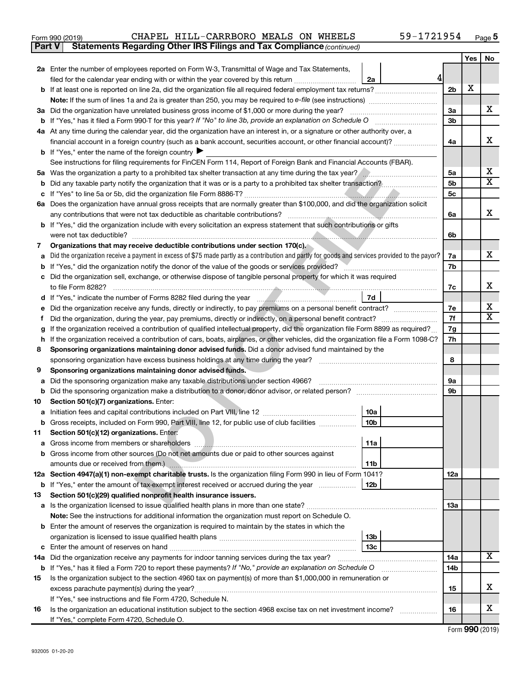| Form 990 (2019) |  | CHAPEL HILL-CARRBORO MEALS ON WHEELS                                                |  | 59-1721954 | Page ${\bf 5}$ |
|-----------------|--|-------------------------------------------------------------------------------------|--|------------|----------------|
|                 |  | <b>Part V</b> Statements Regarding Other IRS Filings and Tax Compliance (continued) |  |            |                |

|                                                                                                                     |                                                                                                                                                              |                | Yes | No |  |  |  |  |  |
|---------------------------------------------------------------------------------------------------------------------|--------------------------------------------------------------------------------------------------------------------------------------------------------------|----------------|-----|----|--|--|--|--|--|
|                                                                                                                     | 2a Enter the number of employees reported on Form W-3, Transmittal of Wage and Tax Statements,                                                               |                |     |    |  |  |  |  |  |
|                                                                                                                     | 4<br>filed for the calendar year ending with or within the year covered by this return <i>manumumumum</i><br>2a                                              |                |     |    |  |  |  |  |  |
|                                                                                                                     |                                                                                                                                                              | 2 <sub>b</sub> | х   |    |  |  |  |  |  |
|                                                                                                                     |                                                                                                                                                              |                |     |    |  |  |  |  |  |
|                                                                                                                     | 3a Did the organization have unrelated business gross income of \$1,000 or more during the year?                                                             | 3a             |     | x. |  |  |  |  |  |
|                                                                                                                     |                                                                                                                                                              | 3b             |     |    |  |  |  |  |  |
|                                                                                                                     | 4a At any time during the calendar year, did the organization have an interest in, or a signature or other authority over, a                                 |                |     |    |  |  |  |  |  |
|                                                                                                                     | financial account in a foreign country (such as a bank account, securities account, or other financial account)?                                             | 4a             |     | х  |  |  |  |  |  |
|                                                                                                                     | <b>b</b> If "Yes," enter the name of the foreign country $\blacktriangleright$                                                                               |                |     |    |  |  |  |  |  |
|                                                                                                                     | See instructions for filing requirements for FinCEN Form 114, Report of Foreign Bank and Financial Accounts (FBAR).                                          |                |     |    |  |  |  |  |  |
|                                                                                                                     | Was the organization a party to a prohibited tax shelter transaction at any time during the tax year?<br>5а                                                  |                |     |    |  |  |  |  |  |
|                                                                                                                     | b                                                                                                                                                            |                |     |    |  |  |  |  |  |
|                                                                                                                     |                                                                                                                                                              | 5c             |     |    |  |  |  |  |  |
|                                                                                                                     | 6a Does the organization have annual gross receipts that are normally greater than \$100,000, and did the organization solicit                               |                |     |    |  |  |  |  |  |
|                                                                                                                     |                                                                                                                                                              | 6a             |     | х  |  |  |  |  |  |
|                                                                                                                     | <b>b</b> If "Yes," did the organization include with every solicitation an express statement that such contributions or gifts                                |                |     |    |  |  |  |  |  |
|                                                                                                                     | were not tax deductible?                                                                                                                                     | 6b             |     |    |  |  |  |  |  |
| 7                                                                                                                   | Organizations that may receive deductible contributions under section 170(c).                                                                                |                |     |    |  |  |  |  |  |
| a                                                                                                                   | Did the organization receive a payment in excess of \$75 made partly as a contribution and partly for goods and services provided to the payor?              | 7a             |     | x. |  |  |  |  |  |
|                                                                                                                     | <b>b</b> If "Yes," did the organization notify the donor of the value of the goods or services provided?<br>the contract of the contract of the contract of  | 7b             |     |    |  |  |  |  |  |
|                                                                                                                     | c Did the organization sell, exchange, or otherwise dispose of tangible personal property for which it was required                                          |                |     |    |  |  |  |  |  |
|                                                                                                                     |                                                                                                                                                              | 7с             |     | х  |  |  |  |  |  |
| d                                                                                                                   |                                                                                                                                                              | 7e             |     | х  |  |  |  |  |  |
|                                                                                                                     | Did the organization receive any funds, directly or indirectly, to pay premiums on a personal benefit contract?<br>е                                         |                |     |    |  |  |  |  |  |
|                                                                                                                     | Did the organization, during the year, pay premiums, directly or indirectly, on a personal benefit contract?<br>f.                                           |                |     |    |  |  |  |  |  |
|                                                                                                                     | If the organization received a contribution of qualified intellectual property, did the organization file Form 8899 as required?<br>g                        |                |     |    |  |  |  |  |  |
|                                                                                                                     | If the organization received a contribution of cars, boats, airplanes, or other vehicles, did the organization file a Form 1098-C?<br>h                      |                |     |    |  |  |  |  |  |
|                                                                                                                     | Sponsoring organizations maintaining donor advised funds. Did a donor advised fund maintained by the<br>8                                                    |                |     |    |  |  |  |  |  |
| 9                                                                                                                   | Sponsoring organizations maintaining donor advised funds.                                                                                                    | 8              |     |    |  |  |  |  |  |
| a                                                                                                                   | Did the sponsoring organization make any taxable distributions under section 4966?                                                                           | 9а             |     |    |  |  |  |  |  |
| b                                                                                                                   |                                                                                                                                                              | 9b             |     |    |  |  |  |  |  |
| 10                                                                                                                  | Section 501(c)(7) organizations. Enter:                                                                                                                      |                |     |    |  |  |  |  |  |
| a                                                                                                                   | 10a                                                                                                                                                          |                |     |    |  |  |  |  |  |
|                                                                                                                     | 10 <sub>b</sub><br><b>b</b> Gross receipts, included on Form 990, Part VIII, line 12, for public use of club facilities                                      |                |     |    |  |  |  |  |  |
|                                                                                                                     | 11 Section 501(c)(12) organizations. Enter:                                                                                                                  |                |     |    |  |  |  |  |  |
|                                                                                                                     | 11a                                                                                                                                                          |                |     |    |  |  |  |  |  |
|                                                                                                                     | <b>b</b> Gross income from other sources (Do not net amounts due or paid to other sources against                                                            |                |     |    |  |  |  |  |  |
|                                                                                                                     | amounts due or received from them.) <b>Manual Community of the Community of the Community Community</b> and an<br>11 <sub>b</sub>                            |                |     |    |  |  |  |  |  |
|                                                                                                                     | 12a Section 4947(a)(1) non-exempt charitable trusts. Is the organization filing Form 990 in lieu of Form 1041?                                               | <b>12a</b>     |     |    |  |  |  |  |  |
|                                                                                                                     | b If "Yes," enter the amount of tax-exempt interest received or accrued during the year<br>  12b                                                             |                |     |    |  |  |  |  |  |
| 13                                                                                                                  | Section 501(c)(29) qualified nonprofit health insurance issuers.                                                                                             |                |     |    |  |  |  |  |  |
|                                                                                                                     |                                                                                                                                                              | <b>13a</b>     |     |    |  |  |  |  |  |
|                                                                                                                     | Note: See the instructions for additional information the organization must report on Schedule O.                                                            |                |     |    |  |  |  |  |  |
|                                                                                                                     | <b>b</b> Enter the amount of reserves the organization is required to maintain by the states in which the                                                    |                |     |    |  |  |  |  |  |
|                                                                                                                     | 13 <sub>b</sub>                                                                                                                                              |                |     |    |  |  |  |  |  |
|                                                                                                                     | 13с                                                                                                                                                          | 14a            |     | x  |  |  |  |  |  |
|                                                                                                                     | 14a Did the organization receive any payments for indoor tanning services during the tax year?                                                               |                |     |    |  |  |  |  |  |
| <b>b</b> If "Yes," has it filed a Form 720 to report these payments? If "No," provide an explanation on Schedule O  |                                                                                                                                                              |                |     |    |  |  |  |  |  |
| Is the organization subject to the section 4960 tax on payment(s) of more than \$1,000,000 in remuneration or<br>15 |                                                                                                                                                              |                |     |    |  |  |  |  |  |
|                                                                                                                     | excess parachute payment(s) during the year?                                                                                                                 | 15             |     | х  |  |  |  |  |  |
|                                                                                                                     | If "Yes," see instructions and file Form 4720, Schedule N.                                                                                                   |                |     | х  |  |  |  |  |  |
| 16                                                                                                                  | Is the organization an educational institution subject to the section 4968 excise tax on net investment income?<br>If "Yes," complete Form 4720, Schedule O. | 16             |     |    |  |  |  |  |  |
|                                                                                                                     |                                                                                                                                                              |                |     |    |  |  |  |  |  |

Form (2019) **990**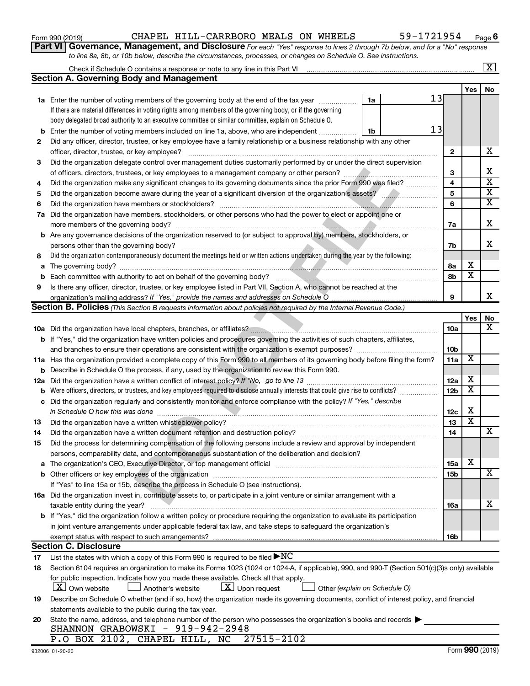| Form 990 (2019) |  |
|-----------------|--|
|-----------------|--|

## Form 990 (2019)  $\,$  CHAPEL HILL-CARRBORO MEALS ON WHEELS  $\,$  59-1721954  $\,$  Page

**Part VI** Governance, Management, and Disclosure For each "Yes" response to lines 2 through 7b below, and for a "No" response *to line 8a, 8b, or 10b below, describe the circumstances, processes, or changes on Schedule O. See instructions.*

|             | Check if Schedule O contains a response or note to any line in this Part VI                                                                                                                                                   |                 |                         | $\overline{\text{X}}$   |
|-------------|-------------------------------------------------------------------------------------------------------------------------------------------------------------------------------------------------------------------------------|-----------------|-------------------------|-------------------------|
|             | <b>Section A. Governing Body and Management</b>                                                                                                                                                                               |                 |                         |                         |
|             |                                                                                                                                                                                                                               |                 | Yes                     | No                      |
|             | 13<br><b>1a</b> Enter the number of voting members of the governing body at the end of the tax year<br>1a                                                                                                                     |                 |                         |                         |
|             | If there are material differences in voting rights among members of the governing body, or if the governing                                                                                                                   |                 |                         |                         |
|             | body delegated broad authority to an executive committee or similar committee, explain on Schedule O.                                                                                                                         |                 |                         |                         |
| b           | 13<br>Enter the number of voting members included on line 1a, above, who are independent<br>1b                                                                                                                                |                 |                         |                         |
| 2           | Did any officer, director, trustee, or key employee have a family relationship or a business relationship with any other                                                                                                      |                 |                         |                         |
|             | officer, director, trustee, or key employee?                                                                                                                                                                                  | $\mathbf{2}$    |                         | х                       |
| 3           | Did the organization delegate control over management duties customarily performed by or under the direct supervision                                                                                                         |                 |                         |                         |
|             |                                                                                                                                                                                                                               | 3               |                         | х                       |
| 4           | Did the organization make any significant changes to its governing documents since the prior Form 990 was filed?                                                                                                              | 4               |                         | $\overline{\textbf{x}}$ |
| 5           |                                                                                                                                                                                                                               | 5               |                         | $\overline{\mathbf{x}}$ |
| 6           | Did the organization have members or stockholders?                                                                                                                                                                            | 6               |                         | $\overline{\mathbf{x}}$ |
| 7a          | Did the organization have members, stockholders, or other persons who had the power to elect or appoint one or                                                                                                                |                 |                         |                         |
|             |                                                                                                                                                                                                                               | 7a              |                         | х                       |
| b           | Are any governance decisions of the organization reserved to (or subject to approval by) members, stockholders, or                                                                                                            |                 |                         |                         |
|             | persons other than the governing body?                                                                                                                                                                                        | 7b              |                         | x                       |
| 8           | Did the organization contemporaneously document the meetings held or written actions undertaken during the year by the following:                                                                                             |                 |                         |                         |
| a           |                                                                                                                                                                                                                               | 8а              | х                       |                         |
| $\mathbf b$ |                                                                                                                                                                                                                               | 8b              | $\overline{\mathbf{x}}$ |                         |
| 9           | Is there any officer, director, trustee, or key employee listed in Part VII, Section A, who cannot be reached at the                                                                                                          |                 |                         |                         |
|             |                                                                                                                                                                                                                               | 9               |                         | x                       |
|             | Section B. Policies (This Section B requests information about policies not required by the Internal Revenue Code.)                                                                                                           |                 |                         |                         |
|             |                                                                                                                                                                                                                               |                 | Yes                     | No                      |
|             |                                                                                                                                                                                                                               | 10a             |                         | x                       |
|             | b If "Yes," did the organization have written policies and procedures governing the activities of such chapters, affiliates,                                                                                                  |                 |                         |                         |
|             | and branches to ensure their operations are consistent with the organization's exempt purposes? www.www.www.www.                                                                                                              | 10 <sub>b</sub> |                         |                         |
| 11a         | Has the organization provided a complete copy of this Form 990 to all members of its governing body before filing the form?                                                                                                   | 11a             | х                       |                         |
| b           | Describe in Schedule O the process, if any, used by the organization to review this Form 990.                                                                                                                                 |                 |                         |                         |
| 12a         | Did the organization have a written conflict of interest policy? If "No," go to line 13                                                                                                                                       | 12a             | X                       |                         |
| b           | Were officers, directors, or trustees, and key employees required to disclose annually interests that could give rise to conflicts?                                                                                           | 12 <sub>b</sub> | $\overline{\textbf{x}}$ |                         |
| с           | Did the organization regularly and consistently monitor and enforce compliance with the policy? If "Yes," describe                                                                                                            |                 |                         |                         |
|             | in Schedule O how this was done                                                                                                                                                                                               | 12c             | X                       |                         |
| 13          | Did the organization have a written whistleblower policy?                                                                                                                                                                     | 13              | $\overline{\textbf{x}}$ |                         |
| 14          |                                                                                                                                                                                                                               | 14              |                         | х                       |
| 15          | Did the process for determining compensation of the following persons include a review and approval by independent                                                                                                            |                 |                         |                         |
|             | persons, comparability data, and contemporaneous substantiation of the deliberation and decision?                                                                                                                             |                 |                         |                         |
| a           | The organization's CEO, Executive Director, or top management official manufactured content of the organization's CEO, Executive Director, or top management official manufactured and the state of the state of the state of | <b>15a</b>      | х                       |                         |
| b           |                                                                                                                                                                                                                               | 15 <sub>b</sub> |                         | х                       |
|             | If "Yes" to line 15a or 15b, describe the process in Schedule O (see instructions).                                                                                                                                           |                 |                         |                         |
|             | 16a Did the organization invest in, contribute assets to, or participate in a joint venture or similar arrangement with a                                                                                                     |                 |                         |                         |
|             | taxable entity during the year?                                                                                                                                                                                               | 16a             |                         | х                       |
|             | b If "Yes," did the organization follow a written policy or procedure requiring the organization to evaluate its participation                                                                                                |                 |                         |                         |
|             | in joint venture arrangements under applicable federal tax law, and take steps to safeguard the organization's                                                                                                                |                 |                         |                         |
|             | exempt status with respect to such arrangements?                                                                                                                                                                              | 16b             |                         |                         |
|             | <b>Section C. Disclosure</b>                                                                                                                                                                                                  |                 |                         |                         |
| 17          | List the states with which a copy of this Form 990 is required to be filed $\blacktriangleright NC$                                                                                                                           |                 |                         |                         |
| 18          | Section 6104 requires an organization to make its Forms 1023 (1024 or 1024-A, if applicable), 990, and 990-T (Section 501(c)(3)s only) available                                                                              |                 |                         |                         |
|             | for public inspection. Indicate how you made these available. Check all that apply.                                                                                                                                           |                 |                         |                         |
|             | X   Own website<br>$\lfloor \underline{X} \rfloor$ Upon request<br>∫ Another's website<br>Other (explain on Schedule O)                                                                                                       |                 |                         |                         |
| 19          | Describe on Schedule O whether (and if so, how) the organization made its governing documents, conflict of interest policy, and financial                                                                                     |                 |                         |                         |
|             | statements available to the public during the tax year.                                                                                                                                                                       |                 |                         |                         |
| 20          | State the name, address, and telephone number of the person who possesses the organization's books and records<br>SHANNON GRABOWSKI - 919-942-2948                                                                            |                 |                         |                         |
|             | P.O BOX 2102, CHAPEL HILL, NC 27515-2102                                                                                                                                                                                      |                 |                         |                         |
|             |                                                                                                                                                                                                                               |                 |                         |                         |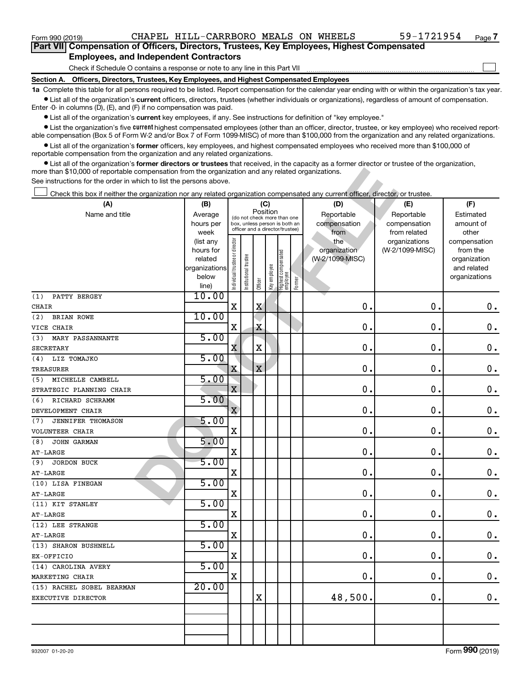$\Box$ 

| Part VII Compensation of Officers, Directors, Trustees, Key Employees, Highest Compensated |  |  |  |
|--------------------------------------------------------------------------------------------|--|--|--|
| <b>Employees, and Independent Contractors</b>                                              |  |  |  |

Check if Schedule O contains a response or note to any line in this Part VII

**Section A. Officers, Directors, Trustees, Key Employees, and Highest Compensated Employees**

**1a**  Complete this table for all persons required to be listed. Report compensation for the calendar year ending with or within the organization's tax year.  $\bullet$  List all of the organization's current officers, directors, trustees (whether individuals or organizations), regardless of amount of compensation.

Enter -0- in columns (D), (E), and (F) if no compensation was paid.

**•** List all of the organization's current key employees, if any. See instructions for definition of "key employee."

• List the organization's five *current* highest compensated employees (other than an officer, director, trustee, or key employee) who received reportable compensation (Box 5 of Form W-2 and/or Box 7 of Form 1099-MISC) of more than \$100,000 from the organization and any related organizations.

 $\bullet$  List all of the organization's former officers, key employees, and highest compensated employees who received more than \$100,000 of reportable compensation from the organization and any related organizations.

**•** List all of the organization's former directors or trustees that received, in the capacity as a former director or trustee of the organization, more than \$10,000 of reportable compensation from the organization and any related organizations.

| more than \$10,000 of reportable compensation from the organization and any related organizations.<br>See instructions for the order in which to list the persons above. |                                                                      |                                                                                                                    |                       |             |              |                                   |        |                                           |                                                   |                                                                          |
|--------------------------------------------------------------------------------------------------------------------------------------------------------------------------|----------------------------------------------------------------------|--------------------------------------------------------------------------------------------------------------------|-----------------------|-------------|--------------|-----------------------------------|--------|-------------------------------------------|---------------------------------------------------|--------------------------------------------------------------------------|
| Check this box if neither the organization nor any related organization compensated any current officer, director, or trustee.                                           |                                                                      |                                                                                                                    |                       |             |              |                                   |        |                                           |                                                   |                                                                          |
| (A)<br>Name and title                                                                                                                                                    | (B)<br>Average<br>hours per<br>week                                  | (C)<br>Position<br>(do not check more than one<br>box, unless person is both an<br>officer and a director/trustee) |                       |             |              |                                   |        | (D)<br>Reportable<br>compensation<br>from | (E)<br>Reportable<br>compensation<br>from related | (F)<br>Estimated<br>amount of<br>other                                   |
|                                                                                                                                                                          | (list any<br>hours for<br>related<br>organizations<br>below<br>line) | Individual trustee or director                                                                                     | Institutional trustee | Officer     | Key employee | Highest compensated<br>  employee | Former | the<br>organization<br>(W-2/1099-MISC)    | organizations<br>(W-2/1099-MISC)                  | compensation<br>from the<br>organization<br>and related<br>organizations |
| PATTY BERGEY<br>(1)<br>CHAIR                                                                                                                                             | 10.00                                                                | Χ                                                                                                                  |                       | Χ           |              |                                   |        | 0.                                        | $\mathbf 0$ .                                     | 0.                                                                       |
| <b>BRIAN ROWE</b><br>(2)<br>VICE CHAIR                                                                                                                                   | 10.00                                                                | Χ                                                                                                                  |                       | X           |              |                                   |        | 0.                                        | $\mathbf 0$                                       | 0.                                                                       |
| MARY PASSANNANTE<br>(3)<br><b>SECRETARY</b>                                                                                                                              | 5.00                                                                 | Χ                                                                                                                  |                       | X           |              |                                   |        | 0.                                        | $\mathbf 0$                                       | 0.                                                                       |
| LIZ TOMAJKO<br>(4)<br><b>TREASURER</b>                                                                                                                                   | 5.00                                                                 | X                                                                                                                  |                       | $\mathbf X$ |              |                                   |        | 0.                                        | $\mathbf 0$                                       | 0.                                                                       |
| MICHELLE CAMBELL<br>(5)                                                                                                                                                  | 5.00                                                                 | $\mathbf x$                                                                                                        |                       |             |              |                                   |        | 0.                                        | $\mathbf 0$                                       | 0.                                                                       |
| STRATEGIC PLANNING CHAIR<br>RICHARD SCHRAMM<br>(6)                                                                                                                       | 5.00                                                                 |                                                                                                                    |                       |             |              |                                   |        |                                           |                                                   |                                                                          |
| DEVELOPMENT CHAIR<br><b>JENNIFER THOMASON</b><br>(7)                                                                                                                     | 5.00                                                                 | $\mathbf{x}$                                                                                                       |                       |             |              |                                   |        | 0.                                        | $\mathbf 0$                                       | 0.                                                                       |
| VOLUNTEER CHAIR<br>JOHN GARMAN<br>(8)                                                                                                                                    | 5.00                                                                 | X                                                                                                                  |                       |             |              |                                   |        | 0.                                        | $\mathbf 0$                                       | 0.                                                                       |
| AT-LARGE<br><b>JORDON BUCK</b><br>(9)                                                                                                                                    | 5.00                                                                 | Χ                                                                                                                  |                       |             |              |                                   |        | 0.                                        | $\mathbf 0$ .                                     | 0.                                                                       |
| AT-LARGE<br>(10) LISA FINEGAN                                                                                                                                            | 5.00                                                                 | X                                                                                                                  |                       |             |              |                                   |        | 0.                                        | $\mathbf 0$ .                                     | 0.                                                                       |
| AT-LARGE<br>(11) KIT STANLEY                                                                                                                                             | 5.00                                                                 | X                                                                                                                  |                       |             |              |                                   |        | 0.                                        | $\mathbf 0$ .                                     | 0.                                                                       |
| AT-LARGE                                                                                                                                                                 | 5.00                                                                 | X                                                                                                                  |                       |             |              |                                   |        | 0.                                        | $\mathbf 0$ .                                     | 0.                                                                       |
| (12) LEE STRANGE<br>AT-LARGE                                                                                                                                             |                                                                      | X                                                                                                                  |                       |             |              |                                   |        | 0.                                        | 0                                                 | 0.                                                                       |
| (13) SHARON BUSHNELL<br>$EX-OFFICIO$                                                                                                                                     | 5.00                                                                 | X                                                                                                                  |                       |             |              |                                   |        | $\mathbf 0$ .                             | $0$ .                                             | $\mathbf 0$ .                                                            |
| (14) CAROLINA AVERY<br>MARKETING CHAIR                                                                                                                                   | 5.00                                                                 | X                                                                                                                  |                       |             |              |                                   |        | 0.                                        | 0.                                                | $\mathbf 0$ .                                                            |
| (15) RACHEL SOBEL BEARMAN<br>EXECUTIVE DIRECTOR                                                                                                                          | 20.00                                                                |                                                                                                                    |                       | х           |              |                                   |        | 48,500.                                   | 0.                                                | 0.                                                                       |
|                                                                                                                                                                          |                                                                      |                                                                                                                    |                       |             |              |                                   |        |                                           |                                                   |                                                                          |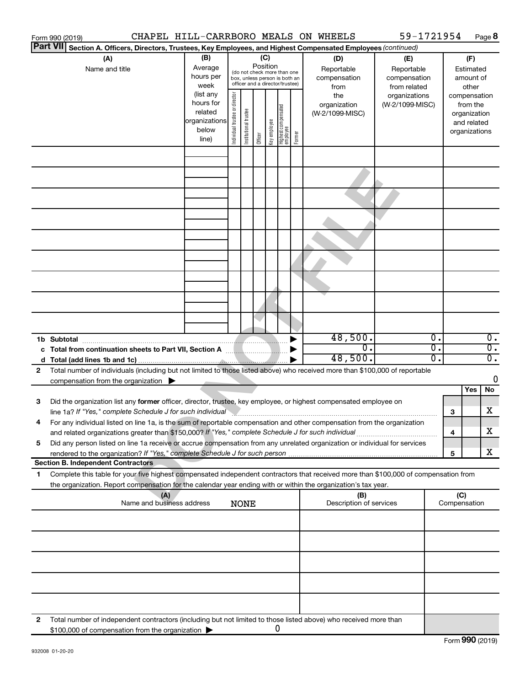|                                                                                                                           | Form 990 (2019)                                                                                                                                                                                                                                        |                                                                                                                                                                                          |                                                                                                                                                                                                    |             |  |   |  |  | CHAPEL HILL-CARRBORO MEALS ON WHEELS         | 59-1721954                                                                            |                                                                    |                     | Page 8                               |
|---------------------------------------------------------------------------------------------------------------------------|--------------------------------------------------------------------------------------------------------------------------------------------------------------------------------------------------------------------------------------------------------|------------------------------------------------------------------------------------------------------------------------------------------------------------------------------------------|----------------------------------------------------------------------------------------------------------------------------------------------------------------------------------------------------|-------------|--|---|--|--|----------------------------------------------|---------------------------------------------------------------------------------------|--------------------------------------------------------------------|---------------------|--------------------------------------|
| <b>Part VII</b><br>Section A. Officers, Directors, Trustees, Key Employees, and Highest Compensated Employees (continued) |                                                                                                                                                                                                                                                        |                                                                                                                                                                                          |                                                                                                                                                                                                    |             |  |   |  |  |                                              |                                                                                       |                                                                    |                     |                                      |
|                                                                                                                           | (A)<br>Name and title                                                                                                                                                                                                                                  | (B)<br>Average<br>hours per<br>week<br>(list any<br>hours for                                                                                                                            | (C)<br>(D)<br>Position<br>Reportable<br>(do not check more than one<br>compensation<br>box, unless person is both an<br>officer and a director/trustee)<br>from<br>director<br>the<br>organization |             |  |   |  |  |                                              | (E)<br>Reportable<br>compensation<br>from related<br>organizations<br>(W-2/1099-MISC) | (F)<br>Estimated<br>amount of<br>other<br>compensation<br>from the |                     |                                      |
|                                                                                                                           |                                                                                                                                                                                                                                                        | Highest compensated<br> employee<br>Individual trustee or<br>Institutional trustee<br>related<br>(W-2/1099-MISC)<br>organizations<br>Key employee<br>below<br>Former<br>Officer<br>line) |                                                                                                                                                                                                    |             |  |   |  |  | organization<br>and related<br>organizations |                                                                                       |                                                                    |                     |                                      |
|                                                                                                                           |                                                                                                                                                                                                                                                        |                                                                                                                                                                                          |                                                                                                                                                                                                    |             |  |   |  |  |                                              |                                                                                       |                                                                    |                     |                                      |
|                                                                                                                           |                                                                                                                                                                                                                                                        |                                                                                                                                                                                          |                                                                                                                                                                                                    |             |  |   |  |  |                                              |                                                                                       |                                                                    |                     |                                      |
|                                                                                                                           |                                                                                                                                                                                                                                                        |                                                                                                                                                                                          |                                                                                                                                                                                                    |             |  |   |  |  |                                              |                                                                                       |                                                                    |                     |                                      |
|                                                                                                                           |                                                                                                                                                                                                                                                        |                                                                                                                                                                                          |                                                                                                                                                                                                    |             |  |   |  |  |                                              |                                                                                       |                                                                    |                     |                                      |
|                                                                                                                           |                                                                                                                                                                                                                                                        |                                                                                                                                                                                          |                                                                                                                                                                                                    |             |  |   |  |  |                                              |                                                                                       |                                                                    |                     |                                      |
|                                                                                                                           |                                                                                                                                                                                                                                                        |                                                                                                                                                                                          |                                                                                                                                                                                                    |             |  |   |  |  |                                              |                                                                                       |                                                                    |                     |                                      |
|                                                                                                                           |                                                                                                                                                                                                                                                        |                                                                                                                                                                                          |                                                                                                                                                                                                    |             |  |   |  |  |                                              |                                                                                       |                                                                    |                     |                                      |
|                                                                                                                           |                                                                                                                                                                                                                                                        |                                                                                                                                                                                          |                                                                                                                                                                                                    |             |  |   |  |  |                                              |                                                                                       |                                                                    |                     |                                      |
|                                                                                                                           | 1b Subtotal                                                                                                                                                                                                                                            |                                                                                                                                                                                          |                                                                                                                                                                                                    |             |  |   |  |  | 48,500.                                      |                                                                                       | $\overline{0}$ .                                                   |                     | $\overline{0}$ .                     |
|                                                                                                                           |                                                                                                                                                                                                                                                        |                                                                                                                                                                                          |                                                                                                                                                                                                    |             |  |   |  |  | σ.<br>48,500.                                |                                                                                       | $\overline{0}$ .<br>$\overline{0}$ .                               |                     | $\overline{0}$ .<br>$\overline{0}$ . |
| 2                                                                                                                         | Total number of individuals (including but not limited to those listed above) who received more than \$100,000 of reportable                                                                                                                           |                                                                                                                                                                                          |                                                                                                                                                                                                    |             |  |   |  |  |                                              |                                                                                       |                                                                    |                     |                                      |
|                                                                                                                           | compensation from the organization $\blacktriangleright$                                                                                                                                                                                               |                                                                                                                                                                                          |                                                                                                                                                                                                    |             |  |   |  |  |                                              |                                                                                       |                                                                    |                     | 0                                    |
|                                                                                                                           |                                                                                                                                                                                                                                                        |                                                                                                                                                                                          |                                                                                                                                                                                                    |             |  |   |  |  |                                              |                                                                                       |                                                                    | Yes                 | No                                   |
| 3                                                                                                                         | Did the organization list any former officer, director, trustee, key employee, or highest compensated employee on<br>line 1a? If "Yes," complete Schedule J for such individual manufacture communities and the Schedule J for such individual         |                                                                                                                                                                                          |                                                                                                                                                                                                    |             |  |   |  |  |                                              |                                                                                       |                                                                    | 3                   | X                                    |
|                                                                                                                           | For any individual listed on line 1a, is the sum of reportable compensation and other compensation from the organization<br>and related organizations greater than \$150,000? If "Yes," complete Schedule J for such individual                        |                                                                                                                                                                                          |                                                                                                                                                                                                    |             |  |   |  |  |                                              |                                                                                       |                                                                    | 4                   | X                                    |
| 5                                                                                                                         | Did any person listed on line 1a receive or accrue compensation from any unrelated organization or individual for services                                                                                                                             |                                                                                                                                                                                          |                                                                                                                                                                                                    |             |  |   |  |  |                                              |                                                                                       |                                                                    | 5                   | x                                    |
|                                                                                                                           | <b>Section B. Independent Contractors</b>                                                                                                                                                                                                              |                                                                                                                                                                                          |                                                                                                                                                                                                    |             |  |   |  |  |                                              |                                                                                       |                                                                    |                     |                                      |
| 1                                                                                                                         | Complete this table for your five highest compensated independent contractors that received more than \$100,000 of compensation from<br>the organization. Report compensation for the calendar year ending with or within the organization's tax year. |                                                                                                                                                                                          |                                                                                                                                                                                                    |             |  |   |  |  |                                              |                                                                                       |                                                                    |                     |                                      |
|                                                                                                                           | (A)<br>Name and business address                                                                                                                                                                                                                       |                                                                                                                                                                                          |                                                                                                                                                                                                    | <b>NONE</b> |  |   |  |  | (B)<br>Description of services               |                                                                                       |                                                                    | (C)<br>Compensation |                                      |
|                                                                                                                           |                                                                                                                                                                                                                                                        |                                                                                                                                                                                          |                                                                                                                                                                                                    |             |  |   |  |  |                                              |                                                                                       |                                                                    |                     |                                      |
|                                                                                                                           |                                                                                                                                                                                                                                                        |                                                                                                                                                                                          |                                                                                                                                                                                                    |             |  |   |  |  |                                              |                                                                                       |                                                                    |                     |                                      |
|                                                                                                                           |                                                                                                                                                                                                                                                        |                                                                                                                                                                                          |                                                                                                                                                                                                    |             |  |   |  |  |                                              |                                                                                       |                                                                    |                     |                                      |
|                                                                                                                           |                                                                                                                                                                                                                                                        |                                                                                                                                                                                          |                                                                                                                                                                                                    |             |  |   |  |  |                                              |                                                                                       |                                                                    |                     |                                      |
| 2                                                                                                                         | Total number of independent contractors (including but not limited to those listed above) who received more than                                                                                                                                       |                                                                                                                                                                                          |                                                                                                                                                                                                    |             |  |   |  |  |                                              |                                                                                       |                                                                    |                     |                                      |
|                                                                                                                           | \$100,000 of compensation from the organization                                                                                                                                                                                                        |                                                                                                                                                                                          |                                                                                                                                                                                                    |             |  | 0 |  |  |                                              |                                                                                       |                                                                    |                     |                                      |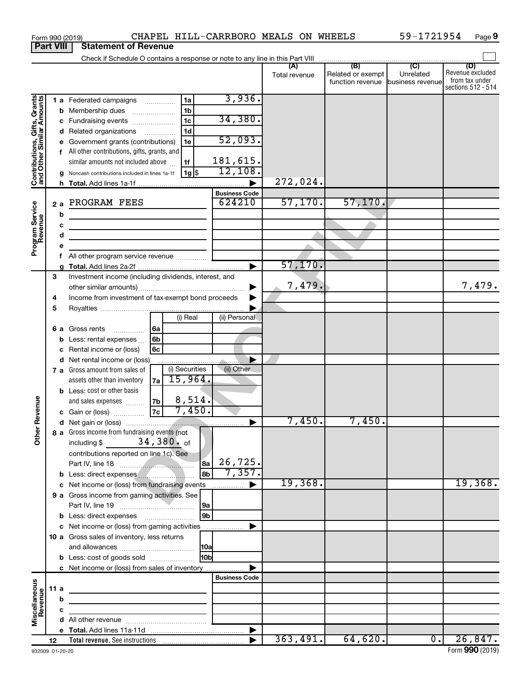|                                                           | <b>Part VIII</b> | <b>Statement of Revenue</b>                                                                                                                                                                                                                                                                                                                                                                                        |                      |                                                               |                  |                                                                 |
|-----------------------------------------------------------|------------------|--------------------------------------------------------------------------------------------------------------------------------------------------------------------------------------------------------------------------------------------------------------------------------------------------------------------------------------------------------------------------------------------------------------------|----------------------|---------------------------------------------------------------|------------------|-----------------------------------------------------------------|
|                                                           |                  |                                                                                                                                                                                                                                                                                                                                                                                                                    |                      |                                                               |                  |                                                                 |
|                                                           |                  |                                                                                                                                                                                                                                                                                                                                                                                                                    | (A)<br>Total revenue | (B)<br>Related or exempt<br>function revenue business revenue | (C)<br>Unrelated | (D)<br>Revenue excluded<br>from tax under<br>sections 512 - 514 |
| Contributions, Gifts, Grants<br>and Other Similar Amounts | b<br>с<br>a      | 3,936.<br>1a<br>1 a Federated campaigns<br>1 <sub>b</sub><br>Membership dues<br>34,380.<br>1 <sub>c</sub><br>Fundraising events<br>1 <sub>d</sub><br>d Related organizations<br>52,093.<br>Government grants (contributions)<br>1e<br>All other contributions, gifts, grants, and<br>181,615.<br>similar amounts not included above<br>1f<br>12,108.<br>  1g   \$<br>Noncash contributions included in lines 1a-1f | 272,024.             |                                                               |                  |                                                                 |
|                                                           | 2a               | <b>Business Code</b><br>624210<br>PROGRAM FEES                                                                                                                                                                                                                                                                                                                                                                     | 57,170.              | 57, 170.                                                      |                  |                                                                 |
| Program Service<br>Revenue                                | b<br>c<br>d      | <u> 1989 - Johann Barbara, martxa amerikan personal (h. 1989).</u><br>the control of the control of the control of the<br>All other program service revenue                                                                                                                                                                                                                                                        | 57,170.              |                                                               |                  |                                                                 |
|                                                           | 3<br>4<br>5      | Investment income (including dividends, interest, and<br>Income from investment of tax-exempt bond proceeds                                                                                                                                                                                                                                                                                                        | 7,479.               |                                                               |                  | 7,479.                                                          |
|                                                           | 6а               | (i) Real<br>(ii) Personal<br>Gross rents<br>l 6a<br>.<br>6 <sub>b</sub><br>Less: rental expenses<br>Rental income or (loss)<br>6с<br>d Net rental income or (loss)<br>(i) Securities<br>(ii) Other<br>7 a Gross amount from sales of                                                                                                                                                                               |                      |                                                               |                  |                                                                 |
| Revenue<br>৯<br>$\check{\bar{\sigma}}$                    |                  | 15,964.<br>assets other than inventory<br>7a<br>Less: cost or other basis<br>8,514.<br>7b<br>and sales expenses<br>7,450.<br> 7c  <br>c Gain or (loss)<br>8 a Gross income from fundraising events (not                                                                                                                                                                                                            | 7,450.               | 7,450.                                                        |                  |                                                                 |
|                                                           |                  | 34,380. of<br>including \$<br>contributions reported on line 1c). See<br>26,725.<br>8a<br>7,357.<br>8b<br>b Less: direct expenses<br>c Net income or (loss) from fundraising events<br>.<br>9 a Gross income from gaming activities. See                                                                                                                                                                           | 19,368.              |                                                               |                  | 19,368.                                                         |
|                                                           |                  | 9a<br>9 <sub>b</sub><br><b>b</b> Less: direct expenses <b>manually</b><br>c Net income or (loss) from gaming activities                                                                                                                                                                                                                                                                                            |                      |                                                               |                  |                                                                 |
|                                                           |                  | 10 a Gross sales of inventory, less returns<br><b>10a</b><br>10bl<br><b>b</b> Less: cost of goods sold<br>c Net income or (loss) from sales of inventory                                                                                                                                                                                                                                                           |                      |                                                               |                  |                                                                 |
|                                                           | 11a              | <b>Business Code</b><br><u> 1989 - Johann Barbara, martxa alemaniar a</u>                                                                                                                                                                                                                                                                                                                                          |                      |                                                               |                  |                                                                 |
| Miscellaneous<br>Revenue                                  | b<br>c           | the control of the control of the control of the                                                                                                                                                                                                                                                                                                                                                                   |                      |                                                               |                  |                                                                 |
|                                                           |                  |                                                                                                                                                                                                                                                                                                                                                                                                                    |                      |                                                               |                  |                                                                 |
|                                                           | 12               |                                                                                                                                                                                                                                                                                                                                                                                                                    | 363,491.             | 64,620.                                                       | $\overline{0}$ . | 26,847.                                                         |

Form 990 (2019) CHAPEL HILL-CARRBORO MEALS ON WHEELS 59-1721954 Page

59-1721954 Page 9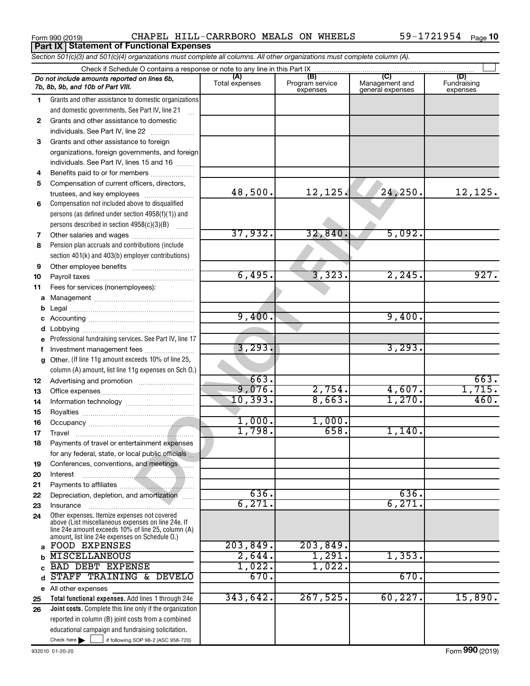|          | Section 501(c)(3) and 501(c)(4) organizations must complete all columns. All other organizations must complete column (A). |                       |                                    |                                           |                                |
|----------|----------------------------------------------------------------------------------------------------------------------------|-----------------------|------------------------------------|-------------------------------------------|--------------------------------|
|          | Check if Schedule O contains a response or note to any line in this Part IX                                                |                       |                                    |                                           |                                |
|          | Do not include amounts reported on lines 6b,<br>7b, 8b, 9b, and 10b of Part VIII.                                          | (A)<br>Total expenses | (B)<br>Program service<br>expenses | (C)<br>Management and<br>general expenses | (D)<br>Fundraising<br>expenses |
| 1.       | Grants and other assistance to domestic organizations                                                                      |                       |                                    |                                           |                                |
|          | and domestic governments. See Part IV, line 21                                                                             |                       |                                    |                                           |                                |
| 2        | Grants and other assistance to domestic                                                                                    |                       |                                    |                                           |                                |
|          | individuals. See Part IV, line 22                                                                                          |                       |                                    |                                           |                                |
| 3        | Grants and other assistance to foreign                                                                                     |                       |                                    |                                           |                                |
|          | organizations, foreign governments, and foreign                                                                            |                       |                                    |                                           |                                |
|          | individuals. See Part IV, lines 15 and 16                                                                                  |                       |                                    |                                           |                                |
| 4        | Benefits paid to or for members                                                                                            |                       |                                    |                                           |                                |
| 5        | Compensation of current officers, directors,                                                                               |                       |                                    |                                           |                                |
|          | trustees, and key employees                                                                                                | 48,500.               | 12,125.                            | 24,250.                                   | 12,125.                        |
| 6        | Compensation not included above to disqualified                                                                            |                       |                                    |                                           |                                |
|          | persons (as defined under section 4958(f)(1)) and                                                                          |                       |                                    |                                           |                                |
|          | persons described in section 4958(c)(3)(B)                                                                                 | 37,932.               | 32,840                             | 5,092.                                    |                                |
| 7        | Pension plan accruals and contributions (include                                                                           |                       |                                    |                                           |                                |
| 8        | section 401(k) and 403(b) employer contributions)                                                                          |                       |                                    |                                           |                                |
| 9        |                                                                                                                            |                       |                                    |                                           |                                |
| 10       |                                                                                                                            | 6,495.                | 3,323.                             | 2,245.                                    | 927.                           |
| 11       | Fees for services (nonemployees):                                                                                          |                       |                                    |                                           |                                |
| а        |                                                                                                                            |                       |                                    |                                           |                                |
| b        |                                                                                                                            |                       |                                    |                                           |                                |
| c        |                                                                                                                            | 9,400.                |                                    | 9,400.                                    |                                |
| d        |                                                                                                                            |                       |                                    |                                           |                                |
| е        | Professional fundraising services. See Part IV, line 17                                                                    |                       |                                    |                                           |                                |
| f        | Investment management fees                                                                                                 | 3, 293.               |                                    | 3,293.                                    |                                |
| g        | Other. (If line 11g amount exceeds 10% of line 25,                                                                         |                       |                                    |                                           |                                |
|          | column (A) amount, list line 11g expenses on Sch O.)                                                                       |                       |                                    |                                           |                                |
| 12       |                                                                                                                            | 663.                  |                                    |                                           | 663.                           |
| 13       |                                                                                                                            | 9,076.                | 2,754.                             | 4,607.                                    | 1,715.                         |
| 14       |                                                                                                                            | 10,393.               | 8,663.                             | 1,270.                                    | 460.                           |
| 15       |                                                                                                                            |                       |                                    |                                           |                                |
| 16       |                                                                                                                            | 1,000.                | 1,000.                             |                                           |                                |
| 17       |                                                                                                                            | 1,798.                | 658.                               | 1,140.                                    |                                |
| 18       | Payments of travel or entertainment expenses                                                                               |                       |                                    |                                           |                                |
|          | for any federal, state, or local public officials                                                                          |                       |                                    |                                           |                                |
| 19       | Conferences, conventions, and meetings                                                                                     |                       |                                    |                                           |                                |
| 20       | Interest                                                                                                                   |                       |                                    |                                           |                                |
| 21       | Depreciation, depletion, and amortization                                                                                  | 636.                  |                                    | 636.                                      |                                |
| 22<br>23 | Insurance                                                                                                                  | 6,271.                |                                    | 6,271.                                    |                                |
| 24       | the contract of the contract of the contract of<br>Other expenses. Itemize expenses not covered                            |                       |                                    |                                           |                                |
|          | above (List miscellaneous expenses on line 24e. If                                                                         |                       |                                    |                                           |                                |
|          | line 24e amount exceeds 10% of line 25, column (A)<br>amount, list line 24e expenses on Schedule O.)                       |                       |                                    |                                           |                                |
| a        | <b>FOOD EXPENSES</b>                                                                                                       | 203,849.              | 203,849.                           |                                           |                                |
| b        | <b>MISCELLANEOUS</b>                                                                                                       | 2,644.                | 1,291.                             | 1,353.                                    |                                |
|          | <b>BAD DEBT EXPENSE</b>                                                                                                    | 1,022.                | 1,022.                             |                                           |                                |
| d        | STAFF TRAINING & DEVELO                                                                                                    | 670.                  |                                    | 670.                                      |                                |
|          | e All other expenses                                                                                                       |                       |                                    |                                           |                                |
| 25       | Total functional expenses. Add lines 1 through 24e                                                                         | 343,642.              | 267,525.                           | 60, 227.                                  | 15,890.                        |
| 26       | <b>Joint costs.</b> Complete this line only if the organization                                                            |                       |                                    |                                           |                                |
|          | reported in column (B) joint costs from a combined                                                                         |                       |                                    |                                           |                                |
|          | educational campaign and fundraising solicitation.                                                                         |                       |                                    |                                           |                                |
|          | Check here $\blacktriangleright$<br>if following SOP 98-2 (ASC 958-720)                                                    |                       |                                    |                                           |                                |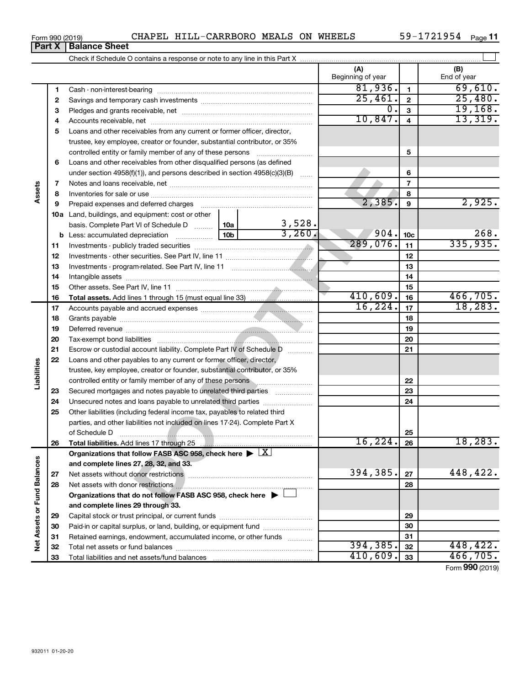| Form 990 (2019) |  | CHAPEL HILL-CARRBORO MEALS ON WHEELS |  |  | $59 - 1721954$ Page 11 |  |
|-----------------|--|--------------------------------------|--|--|------------------------|--|
|-----------------|--|--------------------------------------|--|--|------------------------|--|

|                             |          |                                                                                            |                          |                         | (A)<br>Beginning of year |                | (B)<br>End of year |
|-----------------------------|----------|--------------------------------------------------------------------------------------------|--------------------------|-------------------------|--------------------------|----------------|--------------------|
|                             | 1        |                                                                                            |                          |                         | 81,936.                  | $\mathbf{1}$   | 69,610.            |
|                             | 2        |                                                                                            |                          |                         | 25,461.                  | $\mathbf{2}$   | 25,480.            |
|                             | 3        |                                                                                            |                          | $0$ .                   | 3                        | 19, 168.       |                    |
|                             | 4        |                                                                                            | 10,847.                  | $\overline{\mathbf{4}}$ | 13,319.                  |                |                    |
|                             | 5        | Loans and other receivables from any current or former officer, director,                  |                          |                         |                          |                |                    |
|                             |          | trustee, key employee, creator or founder, substantial contributor, or 35%                 |                          |                         |                          |                |                    |
|                             |          | controlled entity or family member of any of these persons                                 |                          |                         |                          | 5              |                    |
|                             | 6        | Loans and other receivables from other disqualified persons (as defined                    |                          |                         |                          |                |                    |
|                             |          | under section 4958(f)(1)), and persons described in section $4958(c)(3)(B)$                |                          | 6                       |                          |                |                    |
|                             | 7        |                                                                                            |                          |                         |                          | $\overline{7}$ |                    |
| Assets                      | 8        |                                                                                            |                          |                         |                          | 8              |                    |
|                             | 9        |                                                                                            |                          |                         | 2,385.                   | 9              | 2,925.             |
|                             |          | 10a Land, buildings, and equipment: cost or other                                          |                          |                         |                          |                |                    |
|                             |          | basis. Complete Part VI of Schedule D                                                      | 10a  <br>10 <sub>b</sub> | 3,528.<br>3,260.        |                          |                |                    |
|                             |          | <b>b</b> Less: accumulated depreciation                                                    | 904.                     | 10 <sub>c</sub>         | 268.                     |                |                    |
|                             | 11       |                                                                                            | 289,076.                 | 11                      | 335,935.                 |                |                    |
|                             | 12       |                                                                                            |                          | 12                      |                          |                |                    |
|                             | 13       |                                                                                            |                          | 13                      |                          |                |                    |
|                             | 14       |                                                                                            |                          |                         | 14                       |                |                    |
|                             | 15       |                                                                                            |                          | 15                      |                          |                |                    |
|                             | 16       |                                                                                            |                          |                         | 410,609.                 | 16             | 466,705.           |
|                             | 17       |                                                                                            |                          |                         | 16, 224.                 | 17             | 18, 283.           |
|                             | 18       |                                                                                            |                          | 18                      |                          |                |                    |
|                             | 19       |                                                                                            |                          | 19                      |                          |                |                    |
|                             | 20       |                                                                                            |                          | 20                      |                          |                |                    |
|                             | 21       | Escrow or custodial account liability. Complete Part IV of Schedule D                      |                          |                         |                          | 21             |                    |
| Liabilities                 | 22       | Loans and other payables to any current or former officer, director,                       |                          |                         |                          |                |                    |
|                             |          | trustee, key employee, creator or founder, substantial contributor, or 35%                 |                          |                         |                          |                |                    |
|                             |          | controlled entity or family member of any of these persons                                 |                          |                         |                          | 22             |                    |
|                             | 23       | Secured mortgages and notes payable to unrelated third parties                             |                          |                         |                          | 23             |                    |
|                             | 24       |                                                                                            |                          |                         |                          | 24             |                    |
|                             | 25       | Other liabilities (including federal income tax, payables to related third                 |                          |                         |                          |                |                    |
|                             |          | parties, and other liabilities not included on lines 17-24). Complete Part X               |                          |                         |                          |                |                    |
|                             |          |                                                                                            |                          |                         | 16,224.                  | 25<br>26       | 18,283.            |
|                             | 26       |                                                                                            |                          |                         |                          |                |                    |
|                             |          | Organizations that follow FASB ASC 958, check here $\blacktriangleright \lfloor X \rfloor$ |                          |                         |                          |                |                    |
|                             |          | and complete lines 27, 28, 32, and 33.                                                     |                          |                         | 394,385.                 | 27             | 448,422.           |
|                             | 27<br>28 |                                                                                            |                          |                         |                          | 28             |                    |
|                             |          | Organizations that do not follow FASB ASC 958, check here $\blacktriangleright$            |                          |                         |                          |                |                    |
|                             |          | and complete lines 29 through 33.                                                          |                          |                         |                          |                |                    |
|                             |          |                                                                                            |                          |                         |                          | 29             |                    |
|                             | 29<br>30 | Paid-in or capital surplus, or land, building, or equipment fund                           |                          |                         |                          | 30             |                    |
|                             | 31       | Retained earnings, endowment, accumulated income, or other funds                           |                          |                         |                          | 31             |                    |
| Net Assets or Fund Balances | 32       |                                                                                            |                          |                         | 394, 385.                | 32             | 448,422.           |
|                             | 33       |                                                                                            | 410,609.                 | 33                      | 466, 705.                |                |                    |
|                             |          |                                                                                            |                          |                         |                          |                |                    |

Form (2019) **990**

## **Part X Balance Sheet**

| Form 990 (2019 |  |
|----------------|--|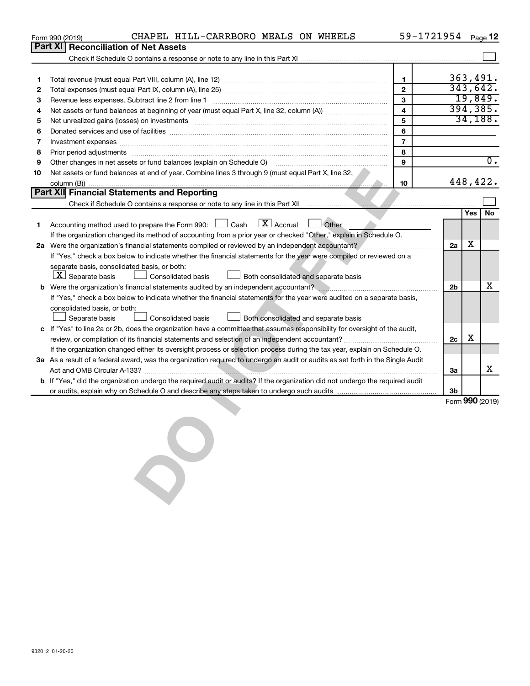|                                                                                                                                                                                                                 | CHAPEL HILL-CARRBORO MEALS ON WHEELS<br>Form 990 (2019)                                                                                                                                                                        |                | 59-1721954 Page 12 |           |                  |  |
|-----------------------------------------------------------------------------------------------------------------------------------------------------------------------------------------------------------------|--------------------------------------------------------------------------------------------------------------------------------------------------------------------------------------------------------------------------------|----------------|--------------------|-----------|------------------|--|
|                                                                                                                                                                                                                 | <b>Part XI</b><br><b>Reconciliation of Net Assets</b>                                                                                                                                                                          |                |                    |           |                  |  |
|                                                                                                                                                                                                                 |                                                                                                                                                                                                                                |                |                    |           |                  |  |
|                                                                                                                                                                                                                 |                                                                                                                                                                                                                                |                |                    |           |                  |  |
| 1                                                                                                                                                                                                               |                                                                                                                                                                                                                                | 1              |                    | 363,491.  |                  |  |
| 2                                                                                                                                                                                                               |                                                                                                                                                                                                                                | $\mathbf{2}$   |                    | 343,642.  |                  |  |
| 3                                                                                                                                                                                                               | Revenue less expenses. Subtract line 2 from line 1                                                                                                                                                                             | 3              |                    | 19,849.   |                  |  |
| 4                                                                                                                                                                                                               |                                                                                                                                                                                                                                | $\overline{4}$ |                    | 394, 385. |                  |  |
| 5                                                                                                                                                                                                               | Net unrealized gains (losses) on investments [111] www.martime.community.community.community.community.communi                                                                                                                 | 5              |                    | 34,188.   |                  |  |
| 6                                                                                                                                                                                                               |                                                                                                                                                                                                                                | 6              |                    |           |                  |  |
| 7                                                                                                                                                                                                               | Investment expenses www.communication.com/www.communication.com/www.communication.com/www.com                                                                                                                                  | $\overline{7}$ |                    |           |                  |  |
| 8                                                                                                                                                                                                               | Prior period adjustments [111] All and the contract of the contract of the contract of the contract of the contract of the contract of the contract of the contract of the contract of the contract of the contract of the con | 8              |                    |           |                  |  |
| 9                                                                                                                                                                                                               | Other changes in net assets or fund balances (explain on Schedule O) manual contraction control of the changes in net assets or fund balances (explain on Schedule O)                                                          | 9              |                    |           | $\overline{0}$ . |  |
| 10                                                                                                                                                                                                              | Net assets or fund balances at end of year. Combine lines 3 through 9 (must equal Part X, line 32,                                                                                                                             |                |                    |           |                  |  |
|                                                                                                                                                                                                                 |                                                                                                                                                                                                                                | 10             |                    | 448,422.  |                  |  |
|                                                                                                                                                                                                                 | Part XII Financial Statements and Reporting                                                                                                                                                                                    |                |                    |           |                  |  |
|                                                                                                                                                                                                                 |                                                                                                                                                                                                                                |                |                    |           |                  |  |
|                                                                                                                                                                                                                 |                                                                                                                                                                                                                                |                |                    | Yes       | <b>No</b>        |  |
| 1                                                                                                                                                                                                               | $\mathbf{X}$ Accrual<br>Accounting method used to prepare the Form 990: [130] Cash<br>$\Box$ Other                                                                                                                             |                |                    |           |                  |  |
|                                                                                                                                                                                                                 | If the organization changed its method of accounting from a prior year or checked "Other," explain in Schedule O.                                                                                                              |                | 2a                 | x         |                  |  |
| 2a Were the organization's financial statements compiled or reviewed by an independent accountant?                                                                                                              |                                                                                                                                                                                                                                |                |                    |           |                  |  |
|                                                                                                                                                                                                                 | If "Yes," check a box below to indicate whether the financial statements for the year were compiled or reviewed on a<br>separate basis, consolidated basis, or both:                                                           |                |                    |           |                  |  |
|                                                                                                                                                                                                                 | $ \underline{X} $ Separate basis<br>Consolidated basis<br>$\Box$ Both consolidated and separate basis                                                                                                                          |                |                    |           |                  |  |
|                                                                                                                                                                                                                 |                                                                                                                                                                                                                                |                |                    |           |                  |  |
| b Were the organization's financial statements audited by an independent accountant?<br>If "Yes," check a box below to indicate whether the financial statements for the year were audited on a separate basis, |                                                                                                                                                                                                                                |                |                    |           |                  |  |
|                                                                                                                                                                                                                 | consolidated basis, or both:                                                                                                                                                                                                   |                |                    |           |                  |  |
|                                                                                                                                                                                                                 | Both consolidated and separate basis<br>Separate basis<br><b>Consolidated basis</b>                                                                                                                                            |                |                    |           |                  |  |
|                                                                                                                                                                                                                 | c If "Yes" to line 2a or 2b, does the organization have a committee that assumes responsibility for oversight of the audit,                                                                                                    |                |                    |           |                  |  |
|                                                                                                                                                                                                                 |                                                                                                                                                                                                                                |                | 2c                 | x         |                  |  |
|                                                                                                                                                                                                                 | If the organization changed either its oversight process or selection process during the tax year, explain on Schedule O.                                                                                                      |                |                    |           |                  |  |
|                                                                                                                                                                                                                 | 3a As a result of a federal award, was the organization required to undergo an audit or audits as set forth in the Single Audit                                                                                                |                |                    |           |                  |  |
|                                                                                                                                                                                                                 |                                                                                                                                                                                                                                |                | За                 |           | х                |  |
|                                                                                                                                                                                                                 | b If "Yes," did the organization undergo the required audit or audits? If the organization did not undergo the required audit                                                                                                  |                |                    |           |                  |  |
|                                                                                                                                                                                                                 |                                                                                                                                                                                                                                |                | 3b                 |           |                  |  |
|                                                                                                                                                                                                                 |                                                                                                                                                                                                                                |                |                    |           | Form 990 (2019)  |  |
|                                                                                                                                                                                                                 |                                                                                                                                                                                                                                |                |                    |           |                  |  |
|                                                                                                                                                                                                                 |                                                                                                                                                                                                                                |                |                    |           |                  |  |
|                                                                                                                                                                                                                 |                                                                                                                                                                                                                                |                |                    |           |                  |  |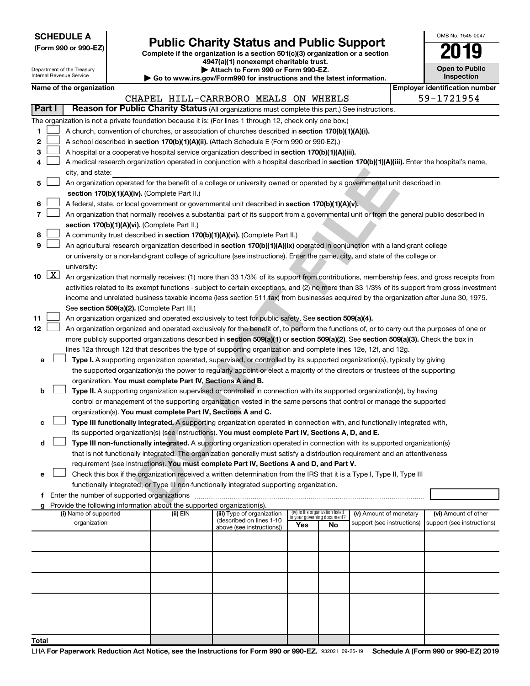|--|

Department of the Treasury

| (Form 990 or 990-EZ) |  |  |
|----------------------|--|--|
|                      |  |  |

# Form 990 or 990-EZ)<br>
Complete if the organization is a section 501(c)(3) organization or a section<br> **Public Charity Status and Public Support**

OMB No. 1545-0047

**Open to Public**

**4947(a)(1) nonexempt charitable trust.**

**| Attach to Form 990 or Form 990-EZ.** 

|                                                                                           | Internal Revenue Service<br>Inspection<br>Go to www.irs.gov/Form990 for instructions and the latest information.                                                                                                    |                                                                                                                                               |  |                                                                        |                                                                                                                                               |     |                                                                |                            |  |                            |  |
|-------------------------------------------------------------------------------------------|---------------------------------------------------------------------------------------------------------------------------------------------------------------------------------------------------------------------|-----------------------------------------------------------------------------------------------------------------------------------------------|--|------------------------------------------------------------------------|-----------------------------------------------------------------------------------------------------------------------------------------------|-----|----------------------------------------------------------------|----------------------------|--|----------------------------|--|
|                                                                                           | <b>Employer identification number</b><br>Name of the organization                                                                                                                                                   |                                                                                                                                               |  |                                                                        |                                                                                                                                               |     |                                                                |                            |  |                            |  |
|                                                                                           | 59-1721954<br>CHAPEL HILL-CARRBORO MEALS ON WHEELS                                                                                                                                                                  |                                                                                                                                               |  |                                                                        |                                                                                                                                               |     |                                                                |                            |  |                            |  |
|                                                                                           | Reason for Public Charity Status (All organizations must complete this part.) See instructions.<br>Part I                                                                                                           |                                                                                                                                               |  |                                                                        |                                                                                                                                               |     |                                                                |                            |  |                            |  |
|                                                                                           |                                                                                                                                                                                                                     |                                                                                                                                               |  |                                                                        | The organization is not a private foundation because it is: (For lines 1 through 12, check only one box.)                                     |     |                                                                |                            |  |                            |  |
| 1                                                                                         |                                                                                                                                                                                                                     |                                                                                                                                               |  |                                                                        | A church, convention of churches, or association of churches described in section 170(b)(1)(A)(i).                                            |     |                                                                |                            |  |                            |  |
| 2                                                                                         |                                                                                                                                                                                                                     |                                                                                                                                               |  |                                                                        | A school described in section 170(b)(1)(A)(ii). (Attach Schedule E (Form 990 or 990-EZ).)                                                     |     |                                                                |                            |  |                            |  |
| З                                                                                         |                                                                                                                                                                                                                     |                                                                                                                                               |  |                                                                        | A hospital or a cooperative hospital service organization described in section 170(b)(1)(A)(iii).                                             |     |                                                                |                            |  |                            |  |
| 4                                                                                         |                                                                                                                                                                                                                     |                                                                                                                                               |  |                                                                        | A medical research organization operated in conjunction with a hospital described in section 170(b)(1)(A)(iii). Enter the hospital's name,    |     |                                                                |                            |  |                            |  |
|                                                                                           |                                                                                                                                                                                                                     | city, and state:<br>An organization operated for the benefit of a college or university owned or operated by a governmental unit described in |  |                                                                        |                                                                                                                                               |     |                                                                |                            |  |                            |  |
| 5                                                                                         |                                                                                                                                                                                                                     |                                                                                                                                               |  | section 170(b)(1)(A)(iv). (Complete Part II.)                          |                                                                                                                                               |     |                                                                |                            |  |                            |  |
| 6                                                                                         |                                                                                                                                                                                                                     |                                                                                                                                               |  |                                                                        | A federal, state, or local government or governmental unit described in section 170(b)(1)(A)(v).                                              |     |                                                                |                            |  |                            |  |
|                                                                                           |                                                                                                                                                                                                                     |                                                                                                                                               |  |                                                                        | An organization that normally receives a substantial part of its support from a governmental unit or from the general public described in     |     |                                                                |                            |  |                            |  |
|                                                                                           |                                                                                                                                                                                                                     |                                                                                                                                               |  | section 170(b)(1)(A)(vi). (Complete Part II.)                          |                                                                                                                                               |     |                                                                |                            |  |                            |  |
| 8                                                                                         |                                                                                                                                                                                                                     |                                                                                                                                               |  |                                                                        | A community trust described in section 170(b)(1)(A)(vi). (Complete Part II.)                                                                  |     |                                                                |                            |  |                            |  |
| 9                                                                                         |                                                                                                                                                                                                                     |                                                                                                                                               |  |                                                                        | An agricultural research organization described in section 170(b)(1)(A)(ix) operated in conjunction with a land-grant college                 |     |                                                                |                            |  |                            |  |
|                                                                                           |                                                                                                                                                                                                                     |                                                                                                                                               |  |                                                                        |                                                                                                                                               |     |                                                                |                            |  |                            |  |
|                                                                                           |                                                                                                                                                                                                                     | university:                                                                                                                                   |  |                                                                        | or university or a non-land-grant college of agriculture (see instructions). Enter the name, city, and state of the college or                |     |                                                                |                            |  |                            |  |
|                                                                                           | 10 $\boxed{\text{X}}$                                                                                                                                                                                               |                                                                                                                                               |  |                                                                        | An organization that normally receives: (1) more than 33 1/3% of its support from contributions, membership fees, and gross receipts from     |     |                                                                |                            |  |                            |  |
|                                                                                           |                                                                                                                                                                                                                     |                                                                                                                                               |  |                                                                        | activities related to its exempt functions - subject to certain exceptions, and (2) no more than 33 1/3% of its support from gross investment |     |                                                                |                            |  |                            |  |
|                                                                                           |                                                                                                                                                                                                                     |                                                                                                                                               |  |                                                                        | income and unrelated business taxable income (less section 511 tax) from businesses acquired by the organization after June 30, 1975.         |     |                                                                |                            |  |                            |  |
|                                                                                           |                                                                                                                                                                                                                     |                                                                                                                                               |  | See section 509(a)(2). (Complete Part III.)                            |                                                                                                                                               |     |                                                                |                            |  |                            |  |
| 11                                                                                        |                                                                                                                                                                                                                     |                                                                                                                                               |  |                                                                        | An organization organized and operated exclusively to test for public safety. See section 509(a)(4).                                          |     |                                                                |                            |  |                            |  |
| 12                                                                                        |                                                                                                                                                                                                                     |                                                                                                                                               |  |                                                                        | An organization organized and operated exclusively for the benefit of, to perform the functions of, or to carry out the purposes of one or    |     |                                                                |                            |  |                            |  |
|                                                                                           |                                                                                                                                                                                                                     |                                                                                                                                               |  |                                                                        | more publicly supported organizations described in section 509(a)(1) or section 509(a)(2). See section 509(a)(3). Check the box in            |     |                                                                |                            |  |                            |  |
|                                                                                           |                                                                                                                                                                                                                     |                                                                                                                                               |  |                                                                        | lines 12a through 12d that describes the type of supporting organization and complete lines 12e, 12f, and 12g.                                |     |                                                                |                            |  |                            |  |
| а                                                                                         |                                                                                                                                                                                                                     |                                                                                                                                               |  |                                                                        | Type I. A supporting organization operated, supervised, or controlled by its supported organization(s), typically by giving                   |     |                                                                |                            |  |                            |  |
|                                                                                           |                                                                                                                                                                                                                     |                                                                                                                                               |  |                                                                        | the supported organization(s) the power to regularly appoint or elect a majority of the directors or trustees of the supporting               |     |                                                                |                            |  |                            |  |
|                                                                                           |                                                                                                                                                                                                                     |                                                                                                                                               |  | organization. You must complete Part IV, Sections A and B.             |                                                                                                                                               |     |                                                                |                            |  |                            |  |
| b                                                                                         |                                                                                                                                                                                                                     |                                                                                                                                               |  |                                                                        | Type II. A supporting organization supervised or controlled in connection with its supported organization(s), by having                       |     |                                                                |                            |  |                            |  |
|                                                                                           |                                                                                                                                                                                                                     |                                                                                                                                               |  |                                                                        | control or management of the supporting organization vested in the same persons that control or manage the supported                          |     |                                                                |                            |  |                            |  |
|                                                                                           |                                                                                                                                                                                                                     |                                                                                                                                               |  | organization(s). You must complete Part IV, Sections A and C.          |                                                                                                                                               |     |                                                                |                            |  |                            |  |
| с                                                                                         |                                                                                                                                                                                                                     |                                                                                                                                               |  |                                                                        | Type III functionally integrated. A supporting organization operated in connection with, and functionally integrated with,                    |     |                                                                |                            |  |                            |  |
|                                                                                           |                                                                                                                                                                                                                     |                                                                                                                                               |  |                                                                        | its supported organization(s) (see instructions). You must complete Part IV, Sections A, D, and E.                                            |     |                                                                |                            |  |                            |  |
| d                                                                                         |                                                                                                                                                                                                                     |                                                                                                                                               |  |                                                                        | Type III non-functionally integrated. A supporting organization operated in connection with its supported organization(s)                     |     |                                                                |                            |  |                            |  |
|                                                                                           |                                                                                                                                                                                                                     |                                                                                                                                               |  |                                                                        | that is not functionally integrated. The organization generally must satisfy a distribution requirement and an attentiveness                  |     |                                                                |                            |  |                            |  |
|                                                                                           |                                                                                                                                                                                                                     |                                                                                                                                               |  |                                                                        |                                                                                                                                               |     |                                                                |                            |  |                            |  |
| е                                                                                         | requirement (see instructions). You must complete Part IV, Sections A and D, and Part V.<br>Check this box if the organization received a written determination from the IRS that it is a Type I, Type II, Type III |                                                                                                                                               |  |                                                                        |                                                                                                                                               |     |                                                                |                            |  |                            |  |
| functionally integrated, or Type III non-functionally integrated supporting organization. |                                                                                                                                                                                                                     |                                                                                                                                               |  |                                                                        |                                                                                                                                               |     |                                                                |                            |  |                            |  |
| Enter the number of supported organizations<br>f                                          |                                                                                                                                                                                                                     |                                                                                                                                               |  |                                                                        |                                                                                                                                               |     |                                                                |                            |  |                            |  |
|                                                                                           |                                                                                                                                                                                                                     |                                                                                                                                               |  | Provide the following information about the supported organization(s). |                                                                                                                                               |     |                                                                |                            |  |                            |  |
|                                                                                           |                                                                                                                                                                                                                     | (i) Name of supported                                                                                                                         |  | (ii) EIN                                                               | (iii) Type of organization                                                                                                                    |     | (iv) Is the organization listed<br>in your governing document? | (v) Amount of monetary     |  | (vi) Amount of other       |  |
|                                                                                           |                                                                                                                                                                                                                     | organization                                                                                                                                  |  |                                                                        | (described on lines 1-10<br>above (see instructions))                                                                                         | Yes | No                                                             | support (see instructions) |  | support (see instructions) |  |
|                                                                                           |                                                                                                                                                                                                                     |                                                                                                                                               |  |                                                                        |                                                                                                                                               |     |                                                                |                            |  |                            |  |
|                                                                                           |                                                                                                                                                                                                                     |                                                                                                                                               |  |                                                                        |                                                                                                                                               |     |                                                                |                            |  |                            |  |
|                                                                                           |                                                                                                                                                                                                                     |                                                                                                                                               |  |                                                                        |                                                                                                                                               |     |                                                                |                            |  |                            |  |
|                                                                                           |                                                                                                                                                                                                                     |                                                                                                                                               |  |                                                                        |                                                                                                                                               |     |                                                                |                            |  |                            |  |
|                                                                                           |                                                                                                                                                                                                                     |                                                                                                                                               |  |                                                                        |                                                                                                                                               |     |                                                                |                            |  |                            |  |
|                                                                                           |                                                                                                                                                                                                                     |                                                                                                                                               |  |                                                                        |                                                                                                                                               |     |                                                                |                            |  |                            |  |
|                                                                                           |                                                                                                                                                                                                                     |                                                                                                                                               |  |                                                                        |                                                                                                                                               |     |                                                                |                            |  |                            |  |
|                                                                                           |                                                                                                                                                                                                                     |                                                                                                                                               |  |                                                                        |                                                                                                                                               |     |                                                                |                            |  |                            |  |
|                                                                                           |                                                                                                                                                                                                                     |                                                                                                                                               |  |                                                                        |                                                                                                                                               |     |                                                                |                            |  |                            |  |
| Total                                                                                     |                                                                                                                                                                                                                     |                                                                                                                                               |  |                                                                        |                                                                                                                                               |     |                                                                |                            |  |                            |  |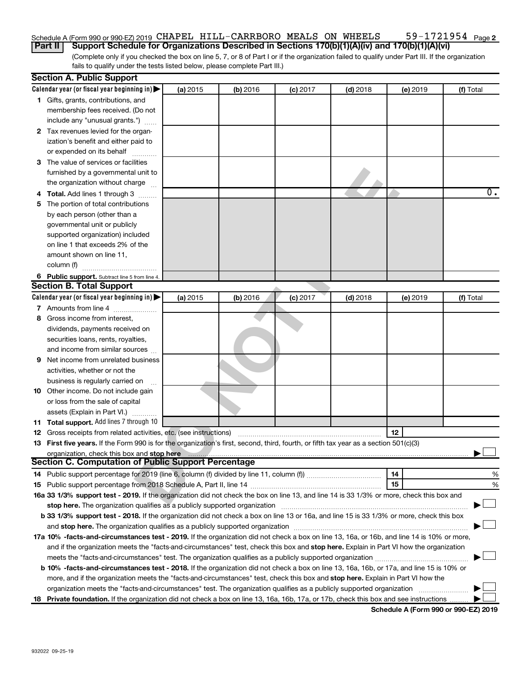#### 59-1721954 Page 2 Schedule A (Form 990 or 990-EZ) 2019 CHAPEL HILL-CARRBORO MEALS ON WHEELS 59-1721954 Page

(Complete only if you checked the box on line 5, 7, or 8 of Part I or if the organization failed to qualify under Part III. If the organization fails to qualify under the tests listed below, please complete Part III.) **Part II Support Schedule for Organizations Described in Sections 170(b)(1)(A)(iv) and 170(b)(1)(A)(vi)**

|    | <b>Section A. Public Support</b>                                                                                                                                                                                               |          |          |            |            |          |                  |  |
|----|--------------------------------------------------------------------------------------------------------------------------------------------------------------------------------------------------------------------------------|----------|----------|------------|------------|----------|------------------|--|
|    | Calendar year (or fiscal year beginning in)                                                                                                                                                                                    | (a) 2015 | (b) 2016 | $(c)$ 2017 | $(d)$ 2018 | (e) 2019 | (f) Total        |  |
|    | 1 Gifts, grants, contributions, and                                                                                                                                                                                            |          |          |            |            |          |                  |  |
|    | membership fees received. (Do not                                                                                                                                                                                              |          |          |            |            |          |                  |  |
|    | include any "unusual grants.")                                                                                                                                                                                                 |          |          |            |            |          |                  |  |
|    | 2 Tax revenues levied for the organ-                                                                                                                                                                                           |          |          |            |            |          |                  |  |
|    | ization's benefit and either paid to                                                                                                                                                                                           |          |          |            |            |          |                  |  |
|    | or expended on its behalf                                                                                                                                                                                                      |          |          |            |            |          |                  |  |
|    | 3 The value of services or facilities                                                                                                                                                                                          |          |          |            |            |          |                  |  |
|    | furnished by a governmental unit to                                                                                                                                                                                            |          |          |            |            |          |                  |  |
|    | the organization without charge                                                                                                                                                                                                |          |          |            |            |          |                  |  |
|    | 4 Total. Add lines 1 through 3                                                                                                                                                                                                 |          |          |            |            |          | $\overline{0}$ . |  |
| 5. | The portion of total contributions                                                                                                                                                                                             |          |          |            |            |          |                  |  |
|    | by each person (other than a                                                                                                                                                                                                   |          |          |            |            |          |                  |  |
|    | governmental unit or publicly                                                                                                                                                                                                  |          |          |            |            |          |                  |  |
|    | supported organization) included                                                                                                                                                                                               |          |          |            |            |          |                  |  |
|    | on line 1 that exceeds 2% of the                                                                                                                                                                                               |          |          |            |            |          |                  |  |
|    | amount shown on line 11,                                                                                                                                                                                                       |          |          |            |            |          |                  |  |
|    | column (f)                                                                                                                                                                                                                     |          |          |            |            |          |                  |  |
|    |                                                                                                                                                                                                                                |          |          |            |            |          |                  |  |
|    | 6 Public support. Subtract line 5 from line 4.<br><b>Section B. Total Support</b>                                                                                                                                              |          |          |            |            |          |                  |  |
|    | Calendar year (or fiscal year beginning in)                                                                                                                                                                                    |          |          |            |            |          |                  |  |
|    |                                                                                                                                                                                                                                | (a) 2015 | (b) 2016 | $(c)$ 2017 | $(d)$ 2018 | (e) 2019 | (f) Total        |  |
|    | 7 Amounts from line 4                                                                                                                                                                                                          |          |          |            |            |          |                  |  |
| 8  | Gross income from interest,                                                                                                                                                                                                    |          |          |            |            |          |                  |  |
|    | dividends, payments received on                                                                                                                                                                                                |          |          |            |            |          |                  |  |
|    | securities loans, rents, royalties,                                                                                                                                                                                            |          |          |            |            |          |                  |  |
|    | and income from similar sources                                                                                                                                                                                                |          |          |            |            |          |                  |  |
| 9  | Net income from unrelated business                                                                                                                                                                                             |          |          |            |            |          |                  |  |
|    | activities, whether or not the                                                                                                                                                                                                 |          |          |            |            |          |                  |  |
|    | business is regularly carried on                                                                                                                                                                                               |          |          |            |            |          |                  |  |
|    | 10 Other income. Do not include gain                                                                                                                                                                                           |          |          |            |            |          |                  |  |
|    | or loss from the sale of capital                                                                                                                                                                                               |          |          |            |            |          |                  |  |
|    | assets (Explain in Part VI.)                                                                                                                                                                                                   |          |          |            |            |          |                  |  |
|    | 11 Total support. Add lines 7 through 10                                                                                                                                                                                       |          |          |            |            |          |                  |  |
|    | <b>12</b> Gross receipts from related activities, etc. (see instructions)                                                                                                                                                      |          |          |            |            | 12       |                  |  |
|    | 13 First five years. If the Form 990 is for the organization's first, second, third, fourth, or fifth tax year as a section 501(c)(3)                                                                                          |          |          |            |            |          |                  |  |
|    | organization, check this box and stop here                                                                                                                                                                                     |          |          |            |            |          |                  |  |
|    | <b>Section C. Computation of Public Support Percentage</b>                                                                                                                                                                     |          |          |            |            |          |                  |  |
|    |                                                                                                                                                                                                                                |          |          |            |            | 14       | %                |  |
|    |                                                                                                                                                                                                                                |          |          |            |            | 15       | %                |  |
|    | 16a 33 1/3% support test - 2019. If the organization did not check the box on line 13, and line 14 is 33 1/3% or more, check this box and                                                                                      |          |          |            |            |          |                  |  |
|    | stop here. The organization qualifies as a publicly supported organization manufaction manufacture or manufacture or the organization manufacture or the organization of the state of the state of the state of the state of t |          |          |            |            |          |                  |  |
|    | b 33 1/3% support test - 2018. If the organization did not check a box on line 13 or 16a, and line 15 is 33 1/3% or more, check this box                                                                                       |          |          |            |            |          |                  |  |
|    |                                                                                                                                                                                                                                |          |          |            |            |          |                  |  |
|    | 17a 10% -facts-and-circumstances test - 2019. If the organization did not check a box on line 13, 16a, or 16b, and line 14 is 10% or more,                                                                                     |          |          |            |            |          |                  |  |
|    | and if the organization meets the "facts-and-circumstances" test, check this box and stop here. Explain in Part VI how the organization                                                                                        |          |          |            |            |          |                  |  |
|    |                                                                                                                                                                                                                                |          |          |            |            |          |                  |  |
|    | <b>b 10%</b> -facts-and-circumstances test - 2018. If the organization did not check a box on line 13, 16a, 16b, or 17a, and line 15 is 10% or                                                                                 |          |          |            |            |          |                  |  |
|    | more, and if the organization meets the "facts-and-circumstances" test, check this box and stop here. Explain in Part VI how the                                                                                               |          |          |            |            |          |                  |  |
|    | organization meets the "facts-and-circumstances" test. The organization qualifies as a publicly supported organization                                                                                                         |          |          |            |            |          |                  |  |
|    | 18 Private foundation. If the organization did not check a box on line 13, 16a, 16b, 17a, or 17b, check this box and see instructions                                                                                          |          |          |            |            |          |                  |  |

**Schedule A (Form 990 or 990-EZ) 2019**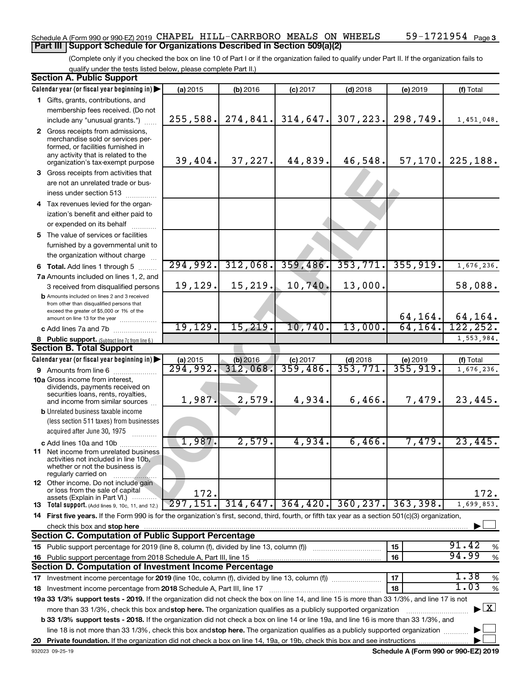#### 59-1721954 Page 3 Schedule A (Form 990 or 990-EZ) 2019 CHAPEL HILL-CARRBORO MEALS ON WHEELS 59-1721954 Page **Part III Support Schedule for Organizations Described in Section 509(a)(2)**

(Complete only if you checked the box on line 10 of Part I or if the organization failed to qualify under Part II. If the organization fails to qualify under the tests listed below, please complete Part II.)

| <b>Section A. Public Support</b>                                                                                                                                                                                                                          |                      |            |            |            |           |                                          |
|-----------------------------------------------------------------------------------------------------------------------------------------------------------------------------------------------------------------------------------------------------------|----------------------|------------|------------|------------|-----------|------------------------------------------|
| Calendar year (or fiscal year beginning in)                                                                                                                                                                                                               | (a) 2015             | (b) 2016   | $(c)$ 2017 | $(d)$ 2018 | (e) 2019  | (f) Total                                |
| 1 Gifts, grants, contributions, and                                                                                                                                                                                                                       |                      |            |            |            |           |                                          |
| membership fees received. (Do not                                                                                                                                                                                                                         |                      |            |            |            |           |                                          |
| include any "unusual grants.")                                                                                                                                                                                                                            | 255,588.             | 274,841.   | 314,647.   | 307,223.   | 298,749.  | 1,451,048.                               |
| 2 Gross receipts from admissions,<br>merchandise sold or services per-<br>formed, or facilities furnished in<br>any activity that is related to the<br>organization's tax-exempt purpose                                                                  | 39,404.              | 37,227.    | 44,839.    | 46,548.    | 57, 170.  | 225,188.                                 |
| 3 Gross receipts from activities that                                                                                                                                                                                                                     |                      |            |            |            |           |                                          |
| are not an unrelated trade or bus-<br>iness under section 513                                                                                                                                                                                             |                      |            |            |            |           |                                          |
| 4 Tax revenues levied for the organ-                                                                                                                                                                                                                      |                      |            |            |            |           |                                          |
| ization's benefit and either paid to                                                                                                                                                                                                                      |                      |            |            |            |           |                                          |
| or expended on its behalf                                                                                                                                                                                                                                 |                      |            |            |            |           |                                          |
| 5 The value of services or facilities                                                                                                                                                                                                                     |                      |            |            |            |           |                                          |
| furnished by a governmental unit to<br>the organization without charge                                                                                                                                                                                    |                      |            |            |            |           |                                          |
| <b>6 Total.</b> Add lines 1 through 5                                                                                                                                                                                                                     | 294,992.             | 312,068.   | 359,486.   | 353,771.   | 355, 919. | 1,676,236.                               |
| 7a Amounts included on lines 1, 2, and                                                                                                                                                                                                                    |                      |            |            |            |           |                                          |
| 3 received from disqualified persons                                                                                                                                                                                                                      | 19,129.              | 15, 219.   | 10,740.    | 13,000.    |           | 58,088.                                  |
| <b>b</b> Amounts included on lines 2 and 3 received<br>from other than disqualified persons that<br>exceed the greater of \$5,000 or 1% of the                                                                                                            |                      |            |            |            |           |                                          |
| amount on line 13 for the year                                                                                                                                                                                                                            |                      |            |            |            | 64, 164.  | 64,164.                                  |
| c Add lines 7a and 7b                                                                                                                                                                                                                                     | 19, 129.             | 15, 219.   | 10,740.    | 13,000.    | 64, 164.  | 122, 252.                                |
| 8 Public support. (Subtract line 7c from line 6.)                                                                                                                                                                                                         |                      |            |            |            |           | 1,553,984.                               |
| <b>Section B. Total Support</b>                                                                                                                                                                                                                           |                      |            |            |            |           |                                          |
| Calendar year (or fiscal year beginning in)                                                                                                                                                                                                               | (a) 2015             | $(b)$ 2016 | $(c)$ 2017 | $(d)$ 2018 | (e) 2019  | (f) Total                                |
| 9 Amounts from line 6                                                                                                                                                                                                                                     | $\overline{294,992}$ | 312,068.   | 359,486.   | 353,771.   | 355,919.  | 1,676,236.                               |
| <b>10a</b> Gross income from interest,<br>dividends, payments received on<br>securities loans, rents, royalties,                                                                                                                                          | 1,987.               | 2,579.     | 4,934.     | 6,466.     | 7,479.    | 23,445.                                  |
| and income from similar sources<br><b>b</b> Unrelated business taxable income                                                                                                                                                                             |                      |            |            |            |           |                                          |
| (less section 511 taxes) from businesses                                                                                                                                                                                                                  |                      |            |            |            |           |                                          |
| acquired after June 30, 1975                                                                                                                                                                                                                              |                      |            |            |            |           |                                          |
| c Add lines 10a and 10b                                                                                                                                                                                                                                   | 1,987.               | 2,579.     | 4,934.     | 6,466.     | 7,479.    | 23,445.                                  |
| 11 Net income from unrelated business<br>activities not included in line 10b,<br>whether or not the business is<br>regularly carried on                                                                                                                   |                      |            |            |            |           |                                          |
| <b>12</b> Other income. Do not include gain<br>or loss from the sale of capital<br>assets (Explain in Part VI.)                                                                                                                                           | 172.                 |            |            |            |           | 172.                                     |
| 13 Total support. (Add lines 9, 10c, 11, and 12.)                                                                                                                                                                                                         | 297, 151.            | 314,647.   | 364, 420.  | 360, 237.  | 363,398.  | 1,699,853.                               |
| 14 First five years. If the Form 990 is for the organization's first, second, third, fourth, or fifth tax year as a section 501(c)(3) organization,                                                                                                       |                      |            |            |            |           |                                          |
| check this box and stop here                                                                                                                                                                                                                              |                      |            |            |            |           |                                          |
| <b>Section C. Computation of Public Support Percentage</b>                                                                                                                                                                                                |                      |            |            |            |           |                                          |
| 15 Public support percentage for 2019 (line 8, column (f), divided by line 13, column (f))                                                                                                                                                                |                      |            |            |            | 15        | 91.42<br>%                               |
| 16 Public support percentage from 2018 Schedule A, Part III, line 15                                                                                                                                                                                      |                      |            |            |            | 16        | 94.99<br>$\%$                            |
| Section D. Computation of Investment Income Percentage                                                                                                                                                                                                    |                      |            |            |            |           |                                          |
|                                                                                                                                                                                                                                                           |                      |            |            |            | 17        | 1.38<br>$\%$                             |
| 18 Investment income percentage from 2018 Schedule A, Part III, line 17                                                                                                                                                                                   |                      |            |            |            | 18        | 1.03<br>%                                |
| 19a 33 1/3% support tests - 2019. If the organization did not check the box on line 14, and line 15 is more than 33 1/3%, and line 17 is not                                                                                                              |                      |            |            |            |           |                                          |
| more than 33 1/3%, check this box and stop here. The organization qualifies as a publicly supported organization<br>b 33 1/3% support tests - 2018. If the organization did not check a box on line 14 or line 19a, and line 16 is more than 33 1/3%, and |                      |            |            |            |           | $\blacktriangleright$ $\boxed{\text{X}}$ |
| line 18 is not more than 33 1/3%, check this box andstop here. The organization qualifies as a publicly supported organization                                                                                                                            |                      |            |            |            |           |                                          |
|                                                                                                                                                                                                                                                           |                      |            |            |            |           |                                          |

**Schedule A (Form 990 or 990-EZ) 2019**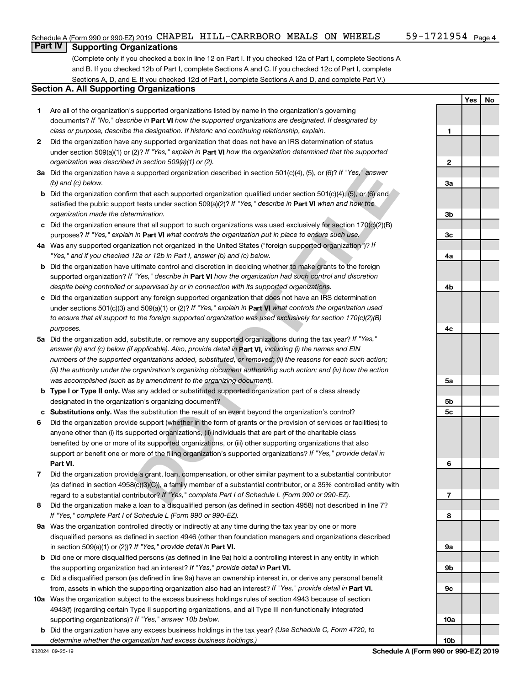## **Part IV Supporting Organizations**

(Complete only if you checked a box in line 12 on Part I. If you checked 12a of Part I, complete Sections A and B. If you checked 12b of Part I, complete Sections A and C. If you checked 12c of Part I, complete Sections A, D, and E. If you checked 12d of Part I, complete Sections A and D, and complete Part V.)

### **Section A. All Supporting Organizations**

- **1** Are all of the organization's supported organizations listed by name in the organization's governing documents? If "No," describe in Part VI how the supported organizations are designated. If designated by *class or purpose, describe the designation. If historic and continuing relationship, explain.*
- **2** Did the organization have any supported organization that does not have an IRS determination of status under section 509(a)(1) or (2)? If "Yes," explain in Part **VI** how the organization determined that the supported *organization was described in section 509(a)(1) or (2).*
- **3a** Did the organization have a supported organization described in section 501(c)(4), (5), or (6)? If "Yes," answer *(b) and (c) below.*
- **b** Did the organization confirm that each supported organization qualified under section 501(c)(4), (5), or (6) and satisfied the public support tests under section 509(a)(2)? If "Yes," describe in Part VI when and how the *organization made the determination.*
- **c** Did the organization ensure that all support to such organizations was used exclusively for section 170(c)(2)(B) purposes? If "Yes," explain in Part VI what controls the organization put in place to ensure such use.
- **4 a** *If* Was any supported organization not organized in the United States ("foreign supported organization")? *"Yes," and if you checked 12a or 12b in Part I, answer (b) and (c) below.*
- **b** Did the organization have ultimate control and discretion in deciding whether to make grants to the foreign supported organization? If "Yes," describe in Part VI how the organization had such control and discretion *despite being controlled or supervised by or in connection with its supported organizations.*
- **c** Did the organization support any foreign supported organization that does not have an IRS determination under sections 501(c)(3) and 509(a)(1) or (2)? If "Yes," explain in Part VI what controls the organization used *to ensure that all support to the foreign supported organization was used exclusively for section 170(c)(2)(B) purposes.*
- **5a** Did the organization add, substitute, or remove any supported organizations during the tax year? If "Yes," answer (b) and (c) below (if applicable). Also, provide detail in **Part VI,** including (i) the names and EIN *numbers of the supported organizations added, substituted, or removed; (ii) the reasons for each such action; (iii) the authority under the organization's organizing document authorizing such action; and (iv) how the action was accomplished (such as by amendment to the organizing document).*
- **b** Type I or Type II only. Was any added or substituted supported organization part of a class already designated in the organization's organizing document?
- **c Substitutions only.**  Was the substitution the result of an event beyond the organization's control?
- **Is upported organization described in section 501(c)(4), (5), or (6)? If 'Yes," answer<br>
that each supported organization qualified under section 501(c)(4), (5), or (6) and<br>
tests under section 509(a)(2)? If 'Yes," describ 6** Did the organization provide support (whether in the form of grants or the provision of services or facilities) to **Part VI.** support or benefit one or more of the filing organization's supported organizations? If "Yes," provide detail in anyone other than (i) its supported organizations, (ii) individuals that are part of the charitable class benefited by one or more of its supported organizations, or (iii) other supporting organizations that also
- **7** Did the organization provide a grant, loan, compensation, or other similar payment to a substantial contributor regard to a substantial contributor? If "Yes," complete Part I of Schedule L (Form 990 or 990-EZ). (as defined in section 4958(c)(3)(C)), a family member of a substantial contributor, or a 35% controlled entity with
- **8** Did the organization make a loan to a disqualified person (as defined in section 4958) not described in line 7? *If "Yes," complete Part I of Schedule L (Form 990 or 990-EZ).*
- **9 a** Was the organization controlled directly or indirectly at any time during the tax year by one or more in section 509(a)(1) or (2))? If "Yes," provide detail in **Part VI.** disqualified persons as defined in section 4946 (other than foundation managers and organizations described
- **b** Did one or more disqualified persons (as defined in line 9a) hold a controlling interest in any entity in which the supporting organization had an interest? If "Yes," provide detail in Part VI.
- **c** Did a disqualified person (as defined in line 9a) have an ownership interest in, or derive any personal benefit from, assets in which the supporting organization also had an interest? If "Yes," provide detail in Part VI.
- **10 a** Was the organization subject to the excess business holdings rules of section 4943 because of section supporting organizations)? If "Yes," answer 10b below. 4943(f) (regarding certain Type II supporting organizations, and all Type III non-functionally integrated
	- **b** Did the organization have any excess business holdings in the tax year? (Use Schedule C, Form 4720, to *determine whether the organization had excess business holdings.)*

**Yes No 1 2 3a 3b 3c 4a 4b 4c 5a 5b 5c 6 7 8 9a 9b 9c 10a 10b**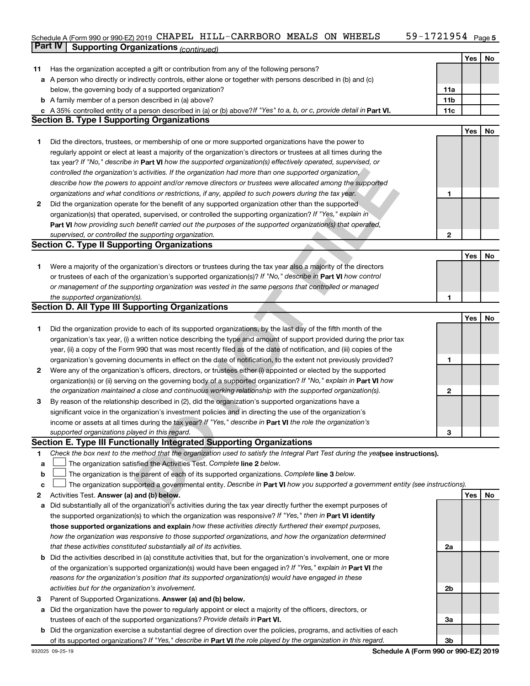#### 59-1721954 Page 5 Schedule A (Form 990 or 990-EZ) 2019 CHAPEL HILL-CARRBORO MEALS ON WHEELS 59-I7ZI954 Page CHAPEL HILL-CARRBORO MEALS ON WHEELS 59-1721954

|    | <b>Part IV</b><br><b>Supporting Organizations (continued)</b>                                                                   |                 |            |    |
|----|---------------------------------------------------------------------------------------------------------------------------------|-----------------|------------|----|
|    |                                                                                                                                 |                 | Yes        | No |
| 11 | Has the organization accepted a gift or contribution from any of the following persons?                                         |                 |            |    |
| а  | A person who directly or indirectly controls, either alone or together with persons described in (b) and (c)                    |                 |            |    |
|    | below, the governing body of a supported organization?                                                                          | 11a             |            |    |
|    | <b>b</b> A family member of a person described in (a) above?                                                                    | 11 <sub>b</sub> |            |    |
|    | c A 35% controlled entity of a person described in (a) or (b) above? If "Yes" to a, b, or c, provide detail in Part VI.         | 11c             |            |    |
|    | <b>Section B. Type I Supporting Organizations</b>                                                                               |                 |            |    |
|    |                                                                                                                                 |                 | Yes        | No |
| 1. | Did the directors, trustees, or membership of one or more supported organizations have the power to                             |                 |            |    |
|    | regularly appoint or elect at least a majority of the organization's directors or trustees at all times during the              |                 |            |    |
|    | tax year? If "No," describe in Part VI how the supported organization(s) effectively operated, supervised, or                   |                 |            |    |
|    | controlled the organization's activities. If the organization had more than one supported organization,                         |                 |            |    |
|    | describe how the powers to appoint and/or remove directors or trustees were allocated among the supported                       |                 |            |    |
|    | organizations and what conditions or restrictions, if any, applied to such powers during the tax year.                          | 1               |            |    |
| 2  | Did the organization operate for the benefit of any supported organization other than the supported                             |                 |            |    |
|    | organization(s) that operated, supervised, or controlled the supporting organization? If "Yes," explain in                      |                 |            |    |
|    | Part VI how providing such benefit carried out the purposes of the supported organization(s) that operated,                     |                 |            |    |
|    | supervised, or controlled the supporting organization.                                                                          | $\mathbf{2}$    |            |    |
|    | <b>Section C. Type II Supporting Organizations</b>                                                                              |                 |            |    |
|    |                                                                                                                                 |                 | Yes        | No |
| 1  | Were a majority of the organization's directors or trustees during the tax year also a majority of the directors                |                 |            |    |
|    | or trustees of each of the organization's supported organization(s)? If "No," describe in Part VI how control                   |                 |            |    |
|    | or management of the supporting organization was vested in the same persons that controlled or managed                          |                 |            |    |
|    | the supported organization(s).                                                                                                  | 1               |            |    |
|    | <b>Section D. All Type III Supporting Organizations</b>                                                                         |                 |            |    |
|    |                                                                                                                                 |                 | <b>Yes</b> | No |
| 1  | Did the organization provide to each of its supported organizations, by the last day of the fifth month of the                  |                 |            |    |
|    | organization's tax year, (i) a written notice describing the type and amount of support provided during the prior tax           |                 |            |    |
|    | year, (ii) a copy of the Form 990 that was most recently filed as of the date of notification, and (iii) copies of the          |                 |            |    |
|    | organization's governing documents in effect on the date of notification, to the extent not previously provided?                | 1               |            |    |
| 2  | Were any of the organization's officers, directors, or trustees either (i) appointed or elected by the supported                |                 |            |    |
|    | organization(s) or (ii) serving on the governing body of a supported organization? If "No," explain in Part VI how              |                 |            |    |
|    | the organization maintained a close and continuous working relationship with the supported organization(s).                     | 2               |            |    |
| 3  | By reason of the relationship described in (2), did the organization's supported organizations have a                           |                 |            |    |
|    | significant voice in the organization's investment policies and in directing the use of the organization's                      |                 |            |    |
|    | income or assets at all times during the tax year? If "Yes," describe in Part VI the role the organization's                    |                 |            |    |
|    | supported organizations played in this regard.                                                                                  | з               |            |    |
|    | Section E. Type III Functionally Integrated Supporting Organizations                                                            |                 |            |    |
| 1  | Check the box next to the method that the organization used to satisfy the Integral Part Test during the yealsee instructions). |                 |            |    |
| a  | The organization satisfied the Activities Test. Complete line 2 below.                                                          |                 |            |    |
| b  | The organization is the parent of each of its supported organizations. Complete line 3 below.                                   |                 |            |    |
| c  | The organization supported a governmental entity. Describe in Part VI how you supported a government entity (see instructions). |                 |            |    |
| 2  | Activities Test. Answer (a) and (b) below.                                                                                      |                 | Yes        | No |
| а  | Did substantially all of the organization's activities during the tax year directly further the exempt purposes of              |                 |            |    |
|    | the supported organization(s) to which the organization was responsive? If "Yes," then in Part VI identify                      |                 |            |    |
|    | those supported organizations and explain how these activities directly furthered their exempt purposes,                        |                 |            |    |
|    | how the organization was responsive to those supported organizations, and how the organization determined                       |                 |            |    |
|    | that these activities constituted substantially all of its activities.                                                          | 2a              |            |    |
| b  | Did the activities described in (a) constitute activities that, but for the organization's involvement, one or more             |                 |            |    |
|    | of the organization's supported organization(s) would have been engaged in? If "Yes," explain in Part VI the                    |                 |            |    |
|    | reasons for the organization's position that its supported organization(s) would have engaged in these                          |                 |            |    |
|    | activities but for the organization's involvement.                                                                              | 2b              |            |    |
| з  | Parent of Supported Organizations. Answer (a) and (b) below.                                                                    |                 |            |    |
| а  | Did the organization have the power to regularly appoint or elect a majority of the officers, directors, or                     |                 |            |    |
|    | trustees of each of the supported organizations? Provide details in Part VI.                                                    | За              |            |    |

**b** Did the organization exercise a substantial degree of direction over the policies, programs, and activities of each of its supported organizations? If "Yes," describe in Part VI the role played by the organization in this regard.

**3b**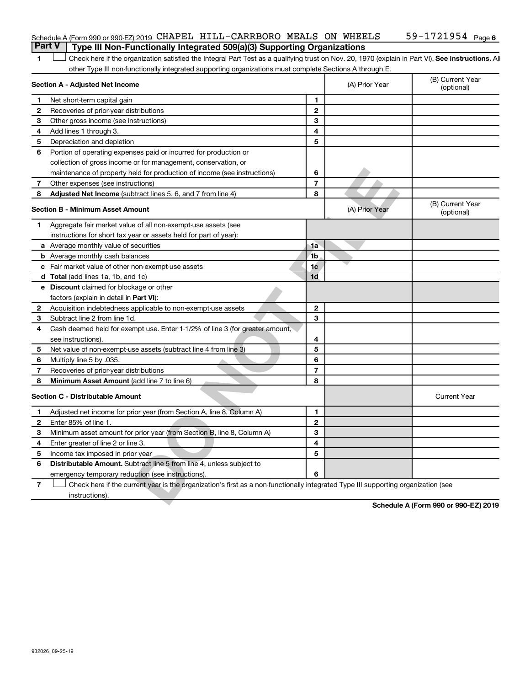| 1                       | Check here if the organization satisfied the Integral Part Test as a qualifying trust on Nov. 20, 1970 (explain in Part VI). See instructions. Al |                          |                |                                      |
|-------------------------|---------------------------------------------------------------------------------------------------------------------------------------------------|--------------------------|----------------|--------------------------------------|
|                         | other Type III non-functionally integrated supporting organizations must complete Sections A through E.                                           |                          |                |                                      |
|                         | Section A - Adjusted Net Income                                                                                                                   |                          | (A) Prior Year | (B) Current Year<br>(optional)       |
| 1                       | Net short-term capital gain                                                                                                                       | 1                        |                |                                      |
| $\mathbf{2}$            | Recoveries of prior-year distributions                                                                                                            | $\mathbf{2}$             |                |                                      |
| 3                       | Other gross income (see instructions)                                                                                                             | 3                        |                |                                      |
| 4                       | Add lines 1 through 3.                                                                                                                            | 4                        |                |                                      |
| 5                       | Depreciation and depletion                                                                                                                        | 5                        |                |                                      |
| 6                       | Portion of operating expenses paid or incurred for production or                                                                                  |                          |                |                                      |
|                         | collection of gross income or for management, conservation, or                                                                                    |                          |                |                                      |
|                         | maintenance of property held for production of income (see instructions)                                                                          | 6                        |                |                                      |
| 7                       | Other expenses (see instructions)                                                                                                                 | $\overline{7}$           |                |                                      |
| 8                       | Adjusted Net Income (subtract lines 5, 6, and 7 from line 4)                                                                                      | 8                        |                |                                      |
|                         | <b>Section B - Minimum Asset Amount</b>                                                                                                           |                          | (A) Prior Year | (B) Current Year<br>(optional)       |
| 1                       | Aggregate fair market value of all non-exempt-use assets (see                                                                                     |                          |                |                                      |
|                         | instructions for short tax year or assets held for part of year):                                                                                 |                          |                |                                      |
|                         | <b>a</b> Average monthly value of securities                                                                                                      | 1a                       |                |                                      |
|                         | <b>b</b> Average monthly cash balances                                                                                                            | 1 <sub>b</sub>           |                |                                      |
|                         | <b>c</b> Fair market value of other non-exempt-use assets                                                                                         | 1 <sub>c</sub>           |                |                                      |
|                         | <b>d</b> Total (add lines 1a, 1b, and 1c)                                                                                                         | 1 <sub>d</sub>           |                |                                      |
|                         | <b>e</b> Discount claimed for blockage or other                                                                                                   |                          |                |                                      |
|                         | factors (explain in detail in Part VI):                                                                                                           |                          |                |                                      |
| 2                       | Acquisition indebtedness applicable to non-exempt-use assets                                                                                      | $\mathbf 2$              |                |                                      |
| 3                       | Subtract line 2 from line 1d.                                                                                                                     | 3                        |                |                                      |
| 4                       | Cash deemed held for exempt use. Enter 1-1/2% of line 3 (for greater amount,                                                                      |                          |                |                                      |
|                         | see instructions).                                                                                                                                | 4                        |                |                                      |
| 5                       | Net value of non-exempt-use assets (subtract line 4 from line 3)                                                                                  | 5                        |                |                                      |
| 6                       | Multiply line 5 by .035.                                                                                                                          | 6                        |                |                                      |
| 7                       | Recoveries of prior-year distributions                                                                                                            | $\overline{\phantom{a}}$ |                |                                      |
| 8                       | <b>Minimum Asset Amount (add line 7 to line 6)</b>                                                                                                | 8                        |                |                                      |
|                         | <b>Section C - Distributable Amount</b>                                                                                                           |                          |                | <b>Current Year</b>                  |
| 1.                      | Adjusted net income for prior year (from Section A, line 8, Column A)                                                                             | 1                        |                |                                      |
| $\mathbf{2}$            | Enter 85% of line 1.                                                                                                                              | $\mathbf{2}$             |                |                                      |
| 3                       | Minimum asset amount for prior year (from Section B, line 8, Column A)                                                                            | 3                        |                |                                      |
| 4                       | Enter greater of line 2 or line 3.                                                                                                                | 4                        |                |                                      |
| 5                       | Income tax imposed in prior year                                                                                                                  | 5                        |                |                                      |
| 6                       | Distributable Amount. Subtract line 5 from line 4, unless subject to                                                                              |                          |                |                                      |
|                         | emergency temporary reduction (see instructions)                                                                                                  | 6                        |                |                                      |
| $\overline{\mathbf{r}}$ | Check here if the current year is the organization's first as a non-functionally integrated Type III supporting organization (see                 |                          |                |                                      |
|                         | instructions)                                                                                                                                     |                          |                |                                      |
|                         |                                                                                                                                                   |                          |                | Cabadule A (Faum 000 av 000 EZ) 0040 |

**Schedule A (Form 990 or 990-EZ) 2019**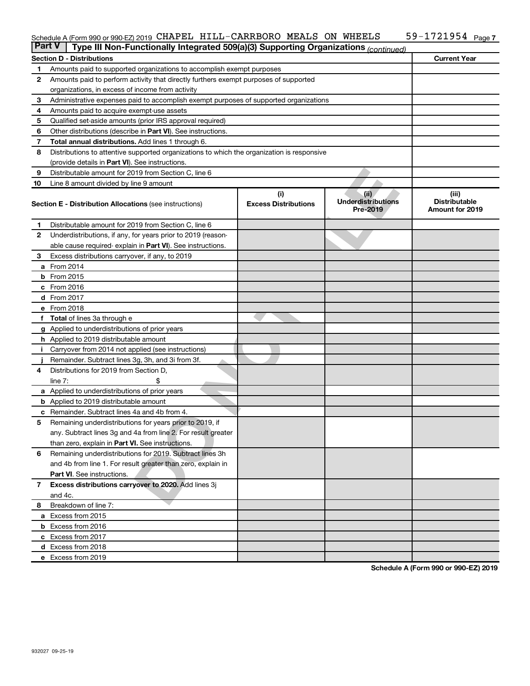#### 59-1721954 Page 7 Schedule A (Form 990 or 990-EZ) 2019 CHAPEL HILL-CARRBORO MEALS ON WHEELS 59-1721954 Page

| <b>Part V</b>  | Type III Non-Functionally Integrated 509(a)(3) Supporting Organizations (continued)        |                             |                                       |                                                |  |  |  |  |  |  |
|----------------|--------------------------------------------------------------------------------------------|-----------------------------|---------------------------------------|------------------------------------------------|--|--|--|--|--|--|
|                | <b>Section D - Distributions</b>                                                           |                             |                                       | <b>Current Year</b>                            |  |  |  |  |  |  |
| 1              | Amounts paid to supported organizations to accomplish exempt purposes                      |                             |                                       |                                                |  |  |  |  |  |  |
| 2              | Amounts paid to perform activity that directly furthers exempt purposes of supported       |                             |                                       |                                                |  |  |  |  |  |  |
|                | organizations, in excess of income from activity                                           |                             |                                       |                                                |  |  |  |  |  |  |
| 3              | Administrative expenses paid to accomplish exempt purposes of supported organizations      |                             |                                       |                                                |  |  |  |  |  |  |
| 4              | Amounts paid to acquire exempt-use assets                                                  |                             |                                       |                                                |  |  |  |  |  |  |
| 5              | Qualified set-aside amounts (prior IRS approval required)                                  |                             |                                       |                                                |  |  |  |  |  |  |
| 6              | Other distributions (describe in Part VI). See instructions.                               |                             |                                       |                                                |  |  |  |  |  |  |
| 7              | <b>Total annual distributions.</b> Add lines 1 through 6.                                  |                             |                                       |                                                |  |  |  |  |  |  |
| 8              | Distributions to attentive supported organizations to which the organization is responsive |                             |                                       |                                                |  |  |  |  |  |  |
|                | (provide details in Part VI). See instructions.                                            |                             |                                       |                                                |  |  |  |  |  |  |
| 9              | Distributable amount for 2019 from Section C, line 6                                       |                             |                                       |                                                |  |  |  |  |  |  |
| 10             | Line 8 amount divided by line 9 amount                                                     |                             |                                       |                                                |  |  |  |  |  |  |
|                |                                                                                            | (i)                         | (ii)                                  | (iii)                                          |  |  |  |  |  |  |
|                | <b>Section E - Distribution Allocations (see instructions)</b>                             | <b>Excess Distributions</b> | <b>Underdistributions</b><br>Pre-2019 | <b>Distributable</b><br><b>Amount for 2019</b> |  |  |  |  |  |  |
| 1              | Distributable amount for 2019 from Section C, line 6                                       |                             |                                       |                                                |  |  |  |  |  |  |
| $\mathbf{2}$   | Underdistributions, if any, for years prior to 2019 (reason-                               |                             |                                       |                                                |  |  |  |  |  |  |
|                | able cause required-explain in Part VI). See instructions.                                 |                             |                                       |                                                |  |  |  |  |  |  |
| 3              | Excess distributions carryover, if any, to 2019                                            |                             |                                       |                                                |  |  |  |  |  |  |
|                | a From 2014                                                                                |                             |                                       |                                                |  |  |  |  |  |  |
|                | <b>b</b> From 2015                                                                         |                             |                                       |                                                |  |  |  |  |  |  |
|                | c From 2016                                                                                |                             |                                       |                                                |  |  |  |  |  |  |
|                | d From 2017                                                                                |                             |                                       |                                                |  |  |  |  |  |  |
|                | e From 2018                                                                                |                             |                                       |                                                |  |  |  |  |  |  |
|                | f Total of lines 3a through e                                                              |                             |                                       |                                                |  |  |  |  |  |  |
|                | <b>g</b> Applied to underdistributions of prior years                                      |                             |                                       |                                                |  |  |  |  |  |  |
|                | h Applied to 2019 distributable amount                                                     |                             |                                       |                                                |  |  |  |  |  |  |
|                | Carryover from 2014 not applied (see instructions)                                         |                             |                                       |                                                |  |  |  |  |  |  |
|                | Remainder. Subtract lines 3g, 3h, and 3i from 3f.                                          |                             |                                       |                                                |  |  |  |  |  |  |
| 4              | Distributions for 2019 from Section D,                                                     |                             |                                       |                                                |  |  |  |  |  |  |
|                | line $7:$                                                                                  |                             |                                       |                                                |  |  |  |  |  |  |
|                | a Applied to underdistributions of prior years                                             |                             |                                       |                                                |  |  |  |  |  |  |
|                | <b>b</b> Applied to 2019 distributable amount                                              |                             |                                       |                                                |  |  |  |  |  |  |
| с              | Remainder. Subtract lines 4a and 4b from 4.                                                |                             |                                       |                                                |  |  |  |  |  |  |
| 5              | Remaining underdistributions for years prior to 2019, if                                   |                             |                                       |                                                |  |  |  |  |  |  |
|                | any. Subtract lines 3g and 4a from line 2. For result greater                              |                             |                                       |                                                |  |  |  |  |  |  |
|                | than zero, explain in Part VI. See instructions.                                           |                             |                                       |                                                |  |  |  |  |  |  |
| 6              | Remaining underdistributions for 2019. Subtract lines 3h                                   |                             |                                       |                                                |  |  |  |  |  |  |
|                | and 4b from line 1. For result greater than zero, explain in                               |                             |                                       |                                                |  |  |  |  |  |  |
|                | <b>Part VI.</b> See instructions.                                                          |                             |                                       |                                                |  |  |  |  |  |  |
| $\overline{7}$ | Excess distributions carryover to 2020. Add lines 3j                                       |                             |                                       |                                                |  |  |  |  |  |  |
|                | and 4c.                                                                                    |                             |                                       |                                                |  |  |  |  |  |  |
| 8              | Breakdown of line 7:                                                                       |                             |                                       |                                                |  |  |  |  |  |  |
|                | a Excess from 2015                                                                         |                             |                                       |                                                |  |  |  |  |  |  |
|                | <b>b</b> Excess from 2016                                                                  |                             |                                       |                                                |  |  |  |  |  |  |
|                | c Excess from 2017                                                                         |                             |                                       |                                                |  |  |  |  |  |  |
|                | d Excess from 2018                                                                         |                             |                                       |                                                |  |  |  |  |  |  |
|                | e Excess from 2019                                                                         |                             |                                       |                                                |  |  |  |  |  |  |

**Schedule A (Form 990 or 990-EZ) 2019**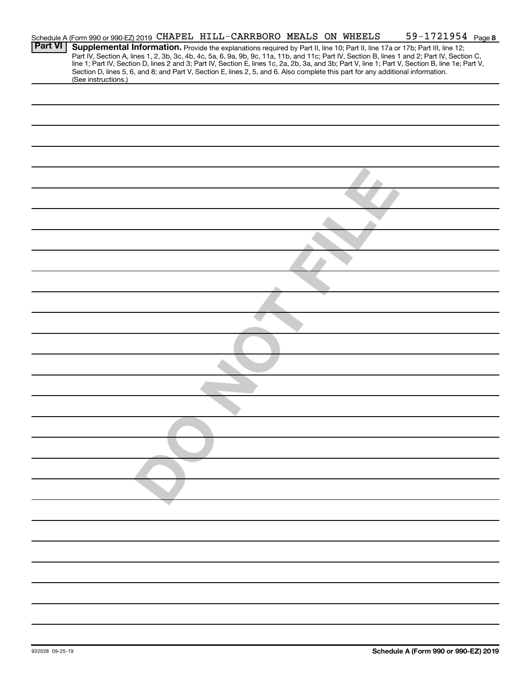|                | Schedule A (Form 990 or 990-EZ) 2019 CHAPEL HILL-CARRBORO MEALS ON WHEELS |  |  |  |  | 59-1721954 Page 8                                                                                                                                                                                                                                                                                |  |
|----------------|---------------------------------------------------------------------------|--|--|--|--|--------------------------------------------------------------------------------------------------------------------------------------------------------------------------------------------------------------------------------------------------------------------------------------------------|--|
| <b>Part VI</b> |                                                                           |  |  |  |  | Supplemental Information. Provide the explanations required by Part II, line 10; Part II, line 17a or 17b; Part III, line 12;                                                                                                                                                                    |  |
|                |                                                                           |  |  |  |  | Part IV, Section A, lines 1, 2, 3b, 3c, 4b, 4c, 5a, 6, 9a, 9b, 9c, 11a, 11b, and 11c; Part IV, Section B, lines 1 and 2; Part IV, Section C,<br>line 1; Part IV, Section D, lines 2 and 3; Part IV, Section E, lines 1c, 2a, 2b, 3a, and 3b; Part V, line 1; Part V, Section B, line 1e; Part V, |  |
|                |                                                                           |  |  |  |  | Section D, lines 5, 6, and 8; and Part V, Section E, lines 2, 5, and 6. Also complete this part for any additional information.                                                                                                                                                                  |  |
|                | (See instructions.)                                                       |  |  |  |  |                                                                                                                                                                                                                                                                                                  |  |
|                |                                                                           |  |  |  |  |                                                                                                                                                                                                                                                                                                  |  |
|                |                                                                           |  |  |  |  |                                                                                                                                                                                                                                                                                                  |  |
|                |                                                                           |  |  |  |  |                                                                                                                                                                                                                                                                                                  |  |
|                |                                                                           |  |  |  |  |                                                                                                                                                                                                                                                                                                  |  |
|                |                                                                           |  |  |  |  |                                                                                                                                                                                                                                                                                                  |  |
|                |                                                                           |  |  |  |  |                                                                                                                                                                                                                                                                                                  |  |
|                |                                                                           |  |  |  |  |                                                                                                                                                                                                                                                                                                  |  |
|                |                                                                           |  |  |  |  |                                                                                                                                                                                                                                                                                                  |  |
|                |                                                                           |  |  |  |  |                                                                                                                                                                                                                                                                                                  |  |
|                |                                                                           |  |  |  |  |                                                                                                                                                                                                                                                                                                  |  |
|                |                                                                           |  |  |  |  |                                                                                                                                                                                                                                                                                                  |  |
|                |                                                                           |  |  |  |  |                                                                                                                                                                                                                                                                                                  |  |
|                |                                                                           |  |  |  |  |                                                                                                                                                                                                                                                                                                  |  |
|                |                                                                           |  |  |  |  |                                                                                                                                                                                                                                                                                                  |  |
|                |                                                                           |  |  |  |  |                                                                                                                                                                                                                                                                                                  |  |
|                |                                                                           |  |  |  |  |                                                                                                                                                                                                                                                                                                  |  |
|                |                                                                           |  |  |  |  |                                                                                                                                                                                                                                                                                                  |  |
|                |                                                                           |  |  |  |  |                                                                                                                                                                                                                                                                                                  |  |
|                |                                                                           |  |  |  |  |                                                                                                                                                                                                                                                                                                  |  |
|                |                                                                           |  |  |  |  |                                                                                                                                                                                                                                                                                                  |  |
|                |                                                                           |  |  |  |  |                                                                                                                                                                                                                                                                                                  |  |
|                |                                                                           |  |  |  |  |                                                                                                                                                                                                                                                                                                  |  |
|                |                                                                           |  |  |  |  |                                                                                                                                                                                                                                                                                                  |  |
|                |                                                                           |  |  |  |  |                                                                                                                                                                                                                                                                                                  |  |
|                |                                                                           |  |  |  |  |                                                                                                                                                                                                                                                                                                  |  |
|                |                                                                           |  |  |  |  |                                                                                                                                                                                                                                                                                                  |  |
|                |                                                                           |  |  |  |  |                                                                                                                                                                                                                                                                                                  |  |
|                |                                                                           |  |  |  |  |                                                                                                                                                                                                                                                                                                  |  |
|                |                                                                           |  |  |  |  |                                                                                                                                                                                                                                                                                                  |  |
|                |                                                                           |  |  |  |  |                                                                                                                                                                                                                                                                                                  |  |
|                |                                                                           |  |  |  |  |                                                                                                                                                                                                                                                                                                  |  |
|                |                                                                           |  |  |  |  |                                                                                                                                                                                                                                                                                                  |  |
|                |                                                                           |  |  |  |  |                                                                                                                                                                                                                                                                                                  |  |
|                |                                                                           |  |  |  |  |                                                                                                                                                                                                                                                                                                  |  |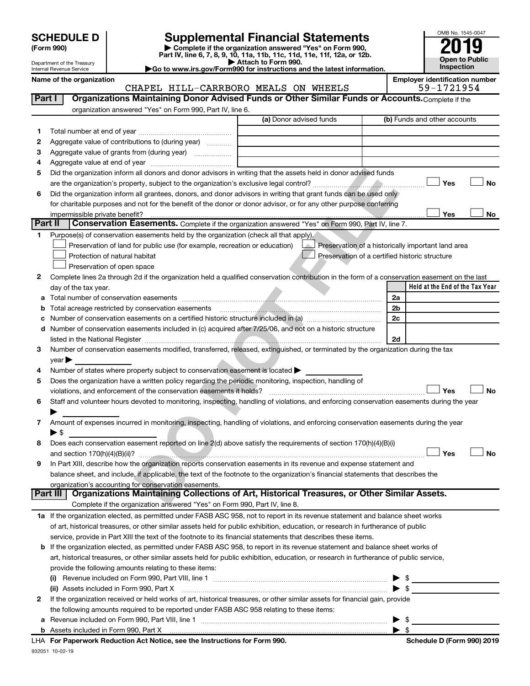| <b>SCHEDULE D</b> |  |
|-------------------|--|
|-------------------|--|

Department of the Treasury Internal Revenue Service

# **SCHEDULE D Supplemental Financial Statements**<br> **Form 990 2019**<br> **Part IV** line 6.7.8.9.10, 11a, 11b, 11d, 11d, 11d, 11d, 11d, 12a, 0r, 12b

**(Form 990) | Complete if the organization answered "Yes" on Form 990, Part IV, line 6, 7, 8, 9, 10, 11a, 11b, 11c, 11d, 11e, 11f, 12a, or 12b.**

**| Attach to Form 990. |Go to www.irs.gov/Form990 for instructions and the latest information.**



Name of the organization<br>CHAPEL HILL-CARRBORO MEALS ON WHEELS 59-1721954 CHAPEL HILL-CARRBORO MEALS ON WHEELS

| Part I  | Organizations Maintaining Donor Advised Funds or Other Similar Funds or Accounts. Complete if the                                              |                         |                                                    |
|---------|------------------------------------------------------------------------------------------------------------------------------------------------|-------------------------|----------------------------------------------------|
|         | organization answered "Yes" on Form 990, Part IV, line 6.                                                                                      | (a) Donor advised funds | (b) Funds and other accounts                       |
| 1       |                                                                                                                                                |                         |                                                    |
| 2       | Aggregate value of contributions to (during year)                                                                                              |                         |                                                    |
| 3       |                                                                                                                                                |                         |                                                    |
| 4       |                                                                                                                                                |                         |                                                    |
| 5       | Did the organization inform all donors and donor advisors in writing that the assets held in donor advised funds                               |                         |                                                    |
|         |                                                                                                                                                |                         | Yes<br>No                                          |
| 6       | Did the organization inform all grantees, donors, and donor advisors in writing that grant funds can be used only                              |                         |                                                    |
|         | for charitable purposes and not for the benefit of the donor or donor advisor, or for any other purpose conferring                             |                         |                                                    |
|         |                                                                                                                                                |                         | Yes<br>No                                          |
| Part II | Conservation Easements. Complete if the organization answered "Yes" on Form 990, Part IV, line 7.                                              |                         |                                                    |
| 1       | Purpose(s) of conservation easements held by the organization (check all that apply).                                                          |                         |                                                    |
|         | Preservation of land for public use (for example, recreation or education)                                                                     |                         | Preservation of a historically important land area |
|         | Protection of natural habitat                                                                                                                  |                         | Preservation of a certified historic structure     |
|         | Preservation of open space                                                                                                                     |                         |                                                    |
| 2       | Complete lines 2a through 2d if the organization held a qualified conservation contribution in the form of a conservation easement on the last |                         |                                                    |
|         | day of the tax year.                                                                                                                           |                         | Held at the End of the Tax Year                    |
|         |                                                                                                                                                |                         | 2a                                                 |
| b       |                                                                                                                                                |                         | 2b                                                 |
|         | Number of conservation easements on a certified historic structure included in (a) manufacture included in (a)                                 |                         | 2c                                                 |
|         | d Number of conservation easements included in (c) acquired after 7/25/06, and not on a historic structure                                     |                         |                                                    |
|         |                                                                                                                                                |                         | 2d                                                 |
| 3       | Number of conservation easements modified, transferred, released, extinguished, or terminated by the organization during the tax               |                         |                                                    |
|         | $year \triangleright$                                                                                                                          |                         |                                                    |
| 4       | Number of states where property subject to conservation easement is located >                                                                  |                         |                                                    |
| 5       | Does the organization have a written policy regarding the periodic monitoring, inspection, handling of                                         |                         |                                                    |
|         | violations, and enforcement of the conservation easements it holds?                                                                            |                         | Yes<br>No                                          |
| 6       | Staff and volunteer hours devoted to monitoring, inspecting, handling of violations, and enforcing conservation easements during the year      |                         |                                                    |
|         |                                                                                                                                                |                         |                                                    |
| 7       | Amount of expenses incurred in monitoring, inspecting, handling of violations, and enforcing conservation easements during the year            |                         |                                                    |
|         | ▶ \$                                                                                                                                           |                         |                                                    |
| 8       | Does each conservation easement reported on line 2(d) above satisfy the requirements of section 170(h)(4)(B)(i)                                |                         |                                                    |
|         |                                                                                                                                                |                         | Yes<br>No                                          |
| 9       | In Part XIII, describe how the organization reports conservation easements in its revenue and expense statement and                            |                         |                                                    |
|         | balance sheet, and include, if applicable, the text of the footnote to the organization's financial statements that describes the              |                         |                                                    |
|         | organization's accounting for conservation easements.                                                                                          |                         |                                                    |
|         | Organizations Maintaining Collections of Art, Historical Treasures, or Other Similar Assets.<br>Part III                                       |                         |                                                    |
|         | Complete if the organization answered "Yes" on Form 990, Part IV, line 8.                                                                      |                         |                                                    |
|         | 1a If the organization elected, as permitted under FASB ASC 958, not to report in its revenue statement and balance sheet works                |                         |                                                    |
|         | of art, historical treasures, or other similar assets held for public exhibition, education, or research in furtherance of public              |                         |                                                    |
|         | service, provide in Part XIII the text of the footnote to its financial statements that describes these items.                                 |                         |                                                    |
|         | <b>b</b> If the organization elected, as permitted under FASB ASC 958, to report in its revenue statement and balance sheet works of           |                         |                                                    |
|         | art, historical treasures, or other similar assets held for public exhibition, education, or research in furtherance of public service,        |                         |                                                    |
|         | provide the following amounts relating to these items:                                                                                         |                         |                                                    |
|         |                                                                                                                                                |                         | $\frac{1}{2}$                                      |
|         | (ii) Assets included in Form 990, Part X                                                                                                       |                         | $\blacktriangleright$ \$                           |
| 2       | If the organization received or held works of art, historical treasures, or other similar assets for financial gain, provide                   |                         |                                                    |
|         | the following amounts required to be reported under FASB ASC 958 relating to these items:                                                      |                         |                                                    |
|         |                                                                                                                                                |                         | \$                                                 |
|         | b Assets included in Form 990, Part X [11, 120] Marten and March 2014 March 2015 (120) March 2015 (120) March 2015                             |                         | $\blacktriangleright$ s                            |
|         | LHA For Paperwork Reduction Act Notice, see the Instructions for Form 990.                                                                     |                         | Schedule D (Form 990) 2019                         |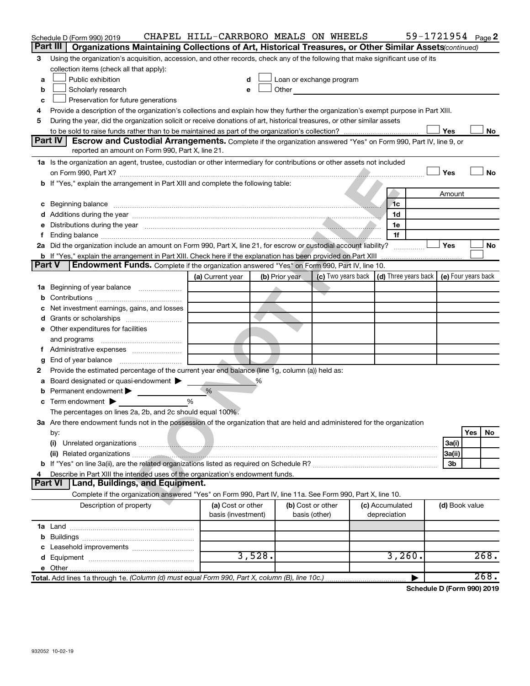|        | Schedule D (Form 990) 2019                                                                                                                                                                                                     | CHAPEL HILL-CARRBORO MEALS ON WHEELS    |                |                                    |                                                                             | 59-1721954 Page 2 |
|--------|--------------------------------------------------------------------------------------------------------------------------------------------------------------------------------------------------------------------------------|-----------------------------------------|----------------|------------------------------------|-----------------------------------------------------------------------------|-------------------|
|        | Part III   Organizations Maintaining Collections of Art, Historical Treasures, or Other Similar Assets (continued)                                                                                                             |                                         |                |                                    |                                                                             |                   |
| 3      | Using the organization's acquisition, accession, and other records, check any of the following that make significant use of its                                                                                                |                                         |                |                                    |                                                                             |                   |
|        | collection items (check all that apply):                                                                                                                                                                                       |                                         |                |                                    |                                                                             |                   |
| a      | Public exhibition                                                                                                                                                                                                              |                                         |                | Loan or exchange program           |                                                                             |                   |
| b      | Scholarly research                                                                                                                                                                                                             | e                                       |                | Other <b>Communication</b>         |                                                                             |                   |
| с      | Preservation for future generations                                                                                                                                                                                            |                                         |                |                                    |                                                                             |                   |
|        | Provide a description of the organization's collections and explain how they further the organization's exempt purpose in Part XIII.                                                                                           |                                         |                |                                    |                                                                             |                   |
| 5      | During the year, did the organization solicit or receive donations of art, historical treasures, or other similar assets                                                                                                       |                                         |                |                                    |                                                                             |                   |
|        |                                                                                                                                                                                                                                |                                         |                |                                    |                                                                             | Yes<br>No         |
|        | Part IV<br><b>Escrow and Custodial Arrangements.</b> Complete if the organization answered "Yes" on Form 990, Part IV, line 9, or<br>reported an amount on Form 990, Part X, line 21.                                          |                                         |                |                                    |                                                                             |                   |
|        |                                                                                                                                                                                                                                |                                         |                |                                    |                                                                             |                   |
|        | 1a Is the organization an agent, trustee, custodian or other intermediary for contributions or other assets not included                                                                                                       |                                         |                |                                    |                                                                             | Yes<br>No         |
|        | b If "Yes," explain the arrangement in Part XIII and complete the following table:                                                                                                                                             |                                         |                |                                    |                                                                             |                   |
|        |                                                                                                                                                                                                                                |                                         |                |                                    |                                                                             | Amount            |
|        | c Beginning balance measurements and the contract of the contract of the contract of the contract of the contract of the contract of the contract of the contract of the contract of the contract of the contract of the contr |                                         |                |                                    | 1c                                                                          |                   |
|        |                                                                                                                                                                                                                                |                                         |                |                                    | 1d                                                                          |                   |
|        | e Distributions during the year manufactured and continuum and contact the control of the control of the control of the control of the control of the control of the control of the control of the control of the control of t |                                         |                |                                    | 1e                                                                          |                   |
|        |                                                                                                                                                                                                                                |                                         |                |                                    | 1f                                                                          |                   |
|        | 2a Did the organization include an amount on Form 990, Part X, line 21, for escrow or custodial account liability?                                                                                                             |                                         |                |                                    |                                                                             | Yes<br>No         |
|        |                                                                                                                                                                                                                                |                                         |                |                                    |                                                                             |                   |
| Part V | Endowment Funds. Complete if the organization answered "Yes" on Form 990, Part IV, line 10.                                                                                                                                    |                                         |                |                                    |                                                                             |                   |
|        |                                                                                                                                                                                                                                | (a) Current year                        | (b) Prior year |                                    | (c) Two years back $\vert$ (d) Three years back $\vert$ (e) Four years back |                   |
|        |                                                                                                                                                                                                                                |                                         |                |                                    |                                                                             |                   |
|        |                                                                                                                                                                                                                                |                                         |                |                                    |                                                                             |                   |
|        | c Net investment earnings, gains, and losses                                                                                                                                                                                   |                                         |                |                                    |                                                                             |                   |
|        |                                                                                                                                                                                                                                |                                         |                |                                    |                                                                             |                   |
|        | e Other expenditures for facilities                                                                                                                                                                                            |                                         |                |                                    |                                                                             |                   |
|        |                                                                                                                                                                                                                                |                                         |                |                                    |                                                                             |                   |
|        | f Administrative expenses                                                                                                                                                                                                      |                                         |                |                                    |                                                                             |                   |
| g      |                                                                                                                                                                                                                                |                                         |                |                                    |                                                                             |                   |
| 2      | Provide the estimated percentage of the current year end balance (line 1g, column (a)) held as:                                                                                                                                |                                         |                |                                    |                                                                             |                   |
| a      | Board designated or quasi-endowment >                                                                                                                                                                                          |                                         | ℅              |                                    |                                                                             |                   |
|        | <b>b</b> Permanent endowment $\blacktriangleright$                                                                                                                                                                             | %                                       |                |                                    |                                                                             |                   |
|        | $\mathbf c$ Term endowment $\blacktriangleright$                                                                                                                                                                               | %                                       |                |                                    |                                                                             |                   |
|        | The percentages on lines 2a, 2b, and 2c should equal 100%.                                                                                                                                                                     |                                         |                |                                    |                                                                             |                   |
|        | 3a Are there endowment funds not in the possession of the organization that are held and administered for the organization                                                                                                     |                                         |                |                                    |                                                                             | Yes               |
|        | by:<br>(i)                                                                                                                                                                                                                     |                                         |                |                                    |                                                                             | No                |
|        |                                                                                                                                                                                                                                |                                         |                |                                    |                                                                             | 3a(i)<br>3a(ii)   |
|        |                                                                                                                                                                                                                                |                                         |                |                                    |                                                                             | Зb                |
| 4      | Describe in Part XIII the intended uses of the organization's endowment funds.                                                                                                                                                 |                                         |                |                                    |                                                                             |                   |
|        | Land, Buildings, and Equipment.<br><b>Part VI</b>                                                                                                                                                                              |                                         |                |                                    |                                                                             |                   |
|        | Complete if the organization answered "Yes" on Form 990, Part IV, line 11a. See Form 990, Part X, line 10.                                                                                                                     |                                         |                |                                    |                                                                             |                   |
|        | Description of property                                                                                                                                                                                                        | (a) Cost or other<br>basis (investment) |                | (b) Cost or other<br>basis (other) | (c) Accumulated<br>depreciation                                             | (d) Book value    |
|        |                                                                                                                                                                                                                                |                                         |                |                                    |                                                                             |                   |
|        |                                                                                                                                                                                                                                |                                         |                |                                    |                                                                             |                   |
|        |                                                                                                                                                                                                                                |                                         |                |                                    |                                                                             |                   |
|        |                                                                                                                                                                                                                                |                                         | 3,528.         |                                    | 3,260.                                                                      | 268.              |
|        |                                                                                                                                                                                                                                |                                         |                |                                    |                                                                             |                   |
|        | Total. Add lines 1a through 1e. (Column (d) must equal Form 990, Part X, column (B), line 10c.)                                                                                                                                |                                         |                |                                    |                                                                             | 268.              |

**Schedule D (Form 990) 2019**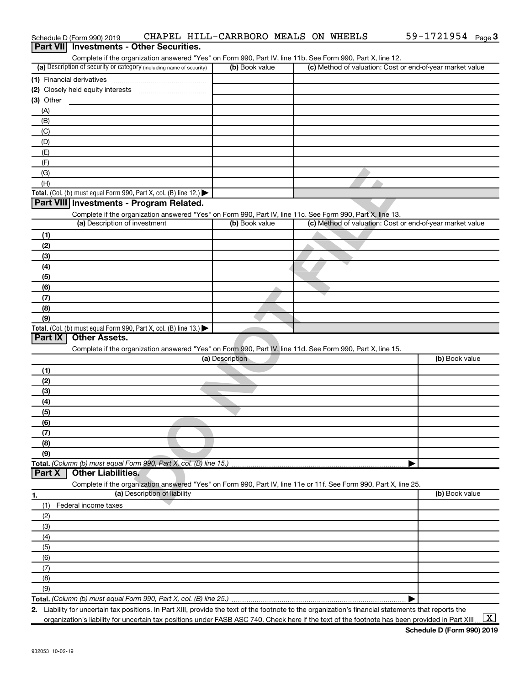|                  | Schedule D (Form 990) 2019                                                                                                                           |                              | CHAPEL HILL-CARRBORO MEALS ON WHEELS |  |  | 59-1721954 Page 3                                         |  |
|------------------|------------------------------------------------------------------------------------------------------------------------------------------------------|------------------------------|--------------------------------------|--|--|-----------------------------------------------------------|--|
| <b>Part VIII</b> | <b>Investments - Other Securities.</b>                                                                                                               |                              |                                      |  |  |                                                           |  |
|                  | Complete if the organization answered "Yes" on Form 990, Part IV, line 11b. See Form 990, Part X, line 12.                                           |                              |                                      |  |  |                                                           |  |
|                  | (a) Description of security or category (including name of security)                                                                                 |                              | (b) Book value                       |  |  | (c) Method of valuation: Cost or end-of-year market value |  |
|                  | (1) Financial derivatives                                                                                                                            |                              |                                      |  |  |                                                           |  |
|                  |                                                                                                                                                      |                              |                                      |  |  |                                                           |  |
| (3) Other        |                                                                                                                                                      |                              |                                      |  |  |                                                           |  |
| (A)              |                                                                                                                                                      |                              |                                      |  |  |                                                           |  |
| (B)              |                                                                                                                                                      |                              |                                      |  |  |                                                           |  |
| (C)              |                                                                                                                                                      |                              |                                      |  |  |                                                           |  |
| (D)              |                                                                                                                                                      |                              |                                      |  |  |                                                           |  |
| (E)              |                                                                                                                                                      |                              |                                      |  |  |                                                           |  |
| (F)              |                                                                                                                                                      |                              |                                      |  |  |                                                           |  |
| (G)              |                                                                                                                                                      |                              |                                      |  |  |                                                           |  |
| (H)              |                                                                                                                                                      |                              |                                      |  |  |                                                           |  |
|                  | <b>Total.</b> (Col. (b) must equal Form 990, Part X, col. (B) line 12.) $\blacktriangleright$                                                        |                              |                                      |  |  |                                                           |  |
|                  | Part VIII Investments - Program Related.                                                                                                             |                              |                                      |  |  |                                                           |  |
|                  | Complete if the organization answered "Yes" on Form 990, Part IV, line 11c. See Form 990, Part X, line 13.                                           |                              |                                      |  |  |                                                           |  |
|                  | (a) Description of investment                                                                                                                        |                              | (b) Book value                       |  |  | (c) Method of valuation: Cost or end-of-year market value |  |
| (1)              |                                                                                                                                                      |                              |                                      |  |  |                                                           |  |
| (2)              |                                                                                                                                                      |                              |                                      |  |  |                                                           |  |
| (3)              |                                                                                                                                                      |                              |                                      |  |  |                                                           |  |
| (4)              |                                                                                                                                                      |                              |                                      |  |  |                                                           |  |
| (5)              |                                                                                                                                                      |                              |                                      |  |  |                                                           |  |
| (6)              |                                                                                                                                                      |                              |                                      |  |  |                                                           |  |
| (7)              |                                                                                                                                                      |                              |                                      |  |  |                                                           |  |
| (8)              |                                                                                                                                                      |                              |                                      |  |  |                                                           |  |
| (9)              |                                                                                                                                                      |                              |                                      |  |  |                                                           |  |
| <b>Part IX</b>   | <b>Total.</b> (Col. (b) must equal Form 990, Part X, col. (B) line 13.)<br><b>Other Assets.</b>                                                      |                              |                                      |  |  |                                                           |  |
|                  | Complete if the organization answered "Yes" on Form 990, Part IV, line 11d. See Form 990, Part X, line 15.                                           |                              |                                      |  |  |                                                           |  |
|                  |                                                                                                                                                      |                              | (a) Description                      |  |  | (b) Book value                                            |  |
| (1)              |                                                                                                                                                      |                              |                                      |  |  |                                                           |  |
| (2)              |                                                                                                                                                      |                              |                                      |  |  |                                                           |  |
| (3)              |                                                                                                                                                      |                              |                                      |  |  |                                                           |  |
| (4)              |                                                                                                                                                      |                              |                                      |  |  |                                                           |  |
| (5)              |                                                                                                                                                      |                              |                                      |  |  |                                                           |  |
| (6)              |                                                                                                                                                      |                              |                                      |  |  |                                                           |  |
| (7)              |                                                                                                                                                      |                              |                                      |  |  |                                                           |  |
| (8)              |                                                                                                                                                      |                              |                                      |  |  |                                                           |  |
| (9)              |                                                                                                                                                      |                              |                                      |  |  |                                                           |  |
|                  | Total. (Column (b) must equal Form 990, Part X, col. (B) line 15.)                                                                                   |                              |                                      |  |  |                                                           |  |
| Part X           | <b>Other Liabilities.</b>                                                                                                                            |                              |                                      |  |  |                                                           |  |
|                  | Complete if the organization answered "Yes" on Form 990, Part IV, line 11e or 11f. See Form 990, Part X, line 25.                                    |                              |                                      |  |  |                                                           |  |
| 1.               |                                                                                                                                                      | (a) Description of liability |                                      |  |  | (b) Book value                                            |  |
| (1)              | Federal income taxes                                                                                                                                 |                              |                                      |  |  |                                                           |  |
| (2)              |                                                                                                                                                      |                              |                                      |  |  |                                                           |  |
| (3)              |                                                                                                                                                      |                              |                                      |  |  |                                                           |  |
| (4)              |                                                                                                                                                      |                              |                                      |  |  |                                                           |  |
| (5)              |                                                                                                                                                      |                              |                                      |  |  |                                                           |  |
| (6)              |                                                                                                                                                      |                              |                                      |  |  |                                                           |  |
| (7)              |                                                                                                                                                      |                              |                                      |  |  |                                                           |  |
| (8)              |                                                                                                                                                      |                              |                                      |  |  |                                                           |  |
| (9)              |                                                                                                                                                      |                              |                                      |  |  |                                                           |  |
|                  |                                                                                                                                                      |                              |                                      |  |  |                                                           |  |
|                  | 2. Liability for uncertain tax positions. In Part XIII, provide the text of the footnote to the organization's financial statements that reports the |                              |                                      |  |  |                                                           |  |

organization's liability for uncertain tax positions under FASB ASC 740. Check here if the text of the footnote has been provided in Part XIII…  $\boxed{\mathrm{X}}$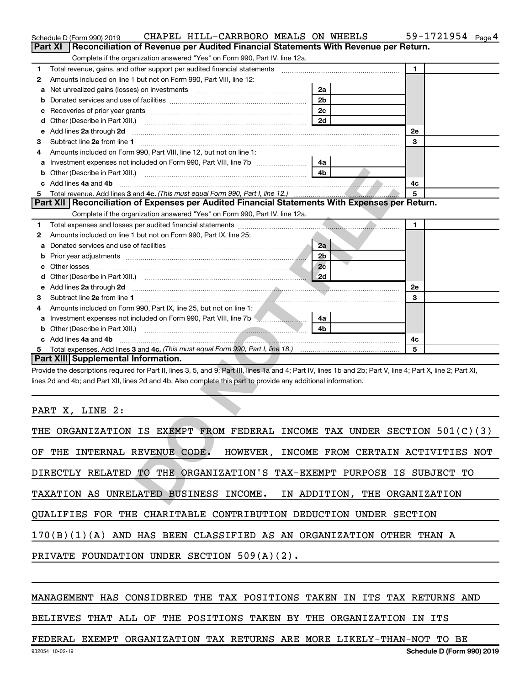|   | CHAPEL HILL-CARRBORO MEALS ON WHEELS<br>Schedule D (Form 990) 2019                                                                                                                                                                  |                               | 59-1721954 Page 4                           |
|---|-------------------------------------------------------------------------------------------------------------------------------------------------------------------------------------------------------------------------------------|-------------------------------|---------------------------------------------|
|   | <b>Part XI</b><br>Reconciliation of Revenue per Audited Financial Statements With Revenue per Return.                                                                                                                               |                               |                                             |
|   | Complete if the organization answered "Yes" on Form 990, Part IV, line 12a.                                                                                                                                                         |                               |                                             |
| 1 |                                                                                                                                                                                                                                     |                               | $\mathbf{1}$                                |
| 2 | Amounts included on line 1 but not on Form 990, Part VIII, line 12:                                                                                                                                                                 |                               |                                             |
| а | Net unrealized gains (losses) on investments [111] Net unrealized mains (losses) on investments [11] Metamanian                                                                                                                     | 2a                            |                                             |
| b |                                                                                                                                                                                                                                     | 2 <sub>b</sub>                |                                             |
| с |                                                                                                                                                                                                                                     | 2c                            |                                             |
| d |                                                                                                                                                                                                                                     | 2d                            |                                             |
| е | Add lines 2a through 2d                                                                                                                                                                                                             |                               | <b>2e</b>                                   |
| З |                                                                                                                                                                                                                                     |                               | 3                                           |
| 4 | Amounts included on Form 990, Part VIII, line 12, but not on line 1:                                                                                                                                                                |                               |                                             |
| а | Investment expenses not included on Form 990, Part VIII, line 7b [11, 11, 11, 11, 11, 11, 11, 11, 11                                                                                                                                | 4a                            |                                             |
| b |                                                                                                                                                                                                                                     | 4b                            |                                             |
|   | Add lines 4a and 4b                                                                                                                                                                                                                 |                               | 4с                                          |
| 5 |                                                                                                                                                                                                                                     |                               | 5                                           |
|   | Part XII   Reconciliation of Expenses per Audited Financial Statements With Expenses per Return.                                                                                                                                    |                               |                                             |
|   | Complete if the organization answered "Yes" on Form 990, Part IV, line 12a.                                                                                                                                                         |                               |                                             |
| 1 |                                                                                                                                                                                                                                     |                               | 1                                           |
| 2 | Amounts included on line 1 but not on Form 990, Part IX, line 25:                                                                                                                                                                   |                               |                                             |
| а |                                                                                                                                                                                                                                     | 2a                            |                                             |
| b |                                                                                                                                                                                                                                     | 2 <sub>b</sub>                |                                             |
| с |                                                                                                                                                                                                                                     | 2c                            |                                             |
| d |                                                                                                                                                                                                                                     |                               |                                             |
| е | Add lines 2a through 2d <b>must be a constructed as the construction</b> of the state of the state of the state of the state of the state of the state of the state of the state of the state of the state of the state of the stat |                               | 2e                                          |
| З |                                                                                                                                                                                                                                     |                               | 3                                           |
| 4 | Amounts included on Form 990, Part IX, line 25, but not on line 1:                                                                                                                                                                  |                               |                                             |
| а | Investment expenses not included on Form 990, Part VIII, line 7b <b>Manual</b> Basemann and Theorem 2014                                                                                                                            | 4a                            |                                             |
| b |                                                                                                                                                                                                                                     | 4b                            |                                             |
|   | c Add lines 4a and 4b                                                                                                                                                                                                               |                               | 4с                                          |
| 5 |                                                                                                                                                                                                                                     |                               | 5                                           |
|   | <b>Part XIII Supplemental Information.</b>                                                                                                                                                                                          |                               |                                             |
|   | Provide the descriptions required for Part II, lines 3, 5, and 9; Part III, lines 1a and 4; Part IV, lines 1b and 2b; Part V, line 4; Part X, line 2; Part XI,                                                                      |                               |                                             |
|   | lines 2d and 4b; and Part XII, lines 2d and 4b. Also complete this part to provide any additional information.                                                                                                                      |                               |                                             |
|   |                                                                                                                                                                                                                                     |                               |                                             |
|   |                                                                                                                                                                                                                                     |                               |                                             |
|   | PART X, LINE 2:                                                                                                                                                                                                                     |                               |                                             |
|   |                                                                                                                                                                                                                                     |                               |                                             |
|   | THE ORGANIZATION IS EXEMPT FROM FEDERAL INCOME TAX UNDER SECTION 501(C)(3)                                                                                                                                                          |                               |                                             |
|   |                                                                                                                                                                                                                                     |                               |                                             |
|   | OF THE INTERNAL REVENUE CODE.                                                                                                                                                                                                       |                               | HOWEVER, INCOME FROM CERTAIN ACTIVITIES NOT |
|   | DIRECTLY RELATED TO THE ORGANIZATION'S TAX-EXEMPT PURPOSE IS SUBJECT TO                                                                                                                                                             |                               |                                             |
|   |                                                                                                                                                                                                                                     |                               |                                             |
|   | TAXATION AS UNRELATED BUSINESS INCOME.                                                                                                                                                                                              | IN ADDITION, THE ORGANIZATION |                                             |
|   |                                                                                                                                                                                                                                     |                               |                                             |

| THE ORGANIZATION IS EXEMPT FROM FEDERAL INCOME TAX UNDER SECTION $501(C)(3)$ |  |  |  |  |  |  |  |  |  |
|------------------------------------------------------------------------------|--|--|--|--|--|--|--|--|--|
| OF THE INTERNAL REVENUE CODE.<br>HOWEVER, INCOME FROM CERTAIN ACTIVITIES NOT |  |  |  |  |  |  |  |  |  |
| DIRECTLY RELATED TO THE ORGANIZATION'S TAX-EXEMPT PURPOSE IS SUBJECT TO      |  |  |  |  |  |  |  |  |  |
| TAXATION AS UNRELATED BUSINESS INCOME. IN ADDITION, THE ORGANIZATION         |  |  |  |  |  |  |  |  |  |
| QUALIFIES FOR THE CHARITABLE CONTRIBUTION DEDUCTION UNDER SECTION            |  |  |  |  |  |  |  |  |  |
| $170(B)(1)(A)$ AND HAS BEEN CLASSIFIED AS AN ORGANIZATION OTHER THAN A       |  |  |  |  |  |  |  |  |  |
| PRIVATE FOUNDATION UNDER SECTION $509(A)(2)$ .                               |  |  |  |  |  |  |  |  |  |

## MANAGEMENT HAS CONSIDERED THE TAX POSITIONS TAKEN IN ITS TAX RETURNS AND

## BELIEVES THAT ALL OF THE POSITIONS TAKEN BY THE ORGANIZATION IN ITS

## FEDERAL EXEMPT ORGANIZATION TAX RETURNS ARE MORE LIKELY-THAN-NOT TO BE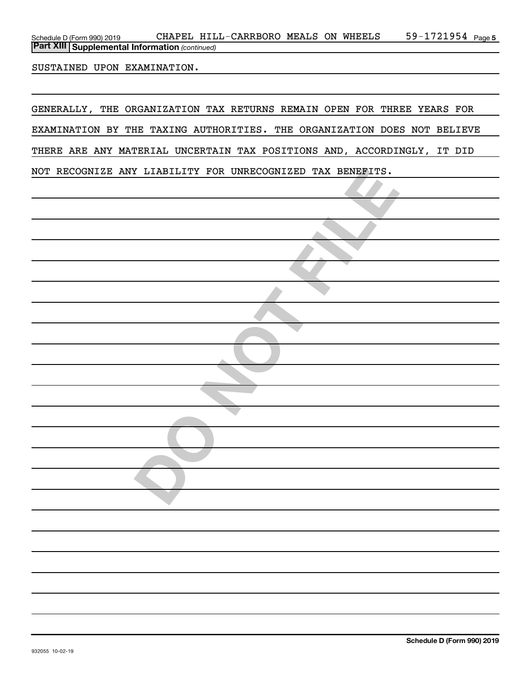| Schedule D (Form 990) 2019                              |  | HILL-CARRBORO | <b>MEALS ON</b> |  | WHEELS | 1721954<br>$59 - 1$ | Page 5 |  |
|---------------------------------------------------------|--|---------------|-----------------|--|--------|---------------------|--------|--|
| <b>Part XIII   Supplemental Information (continued)</b> |  |               |                 |  |        |                     |        |  |

SUSTAINED UPON EXAMINATION.

GENERALLY, THE ORGANIZATION TAX RETURNS REMAIN OPEN FOR THREE YEARS FOR EXAMINATION BY THE TAXING AUTHORITIES. THE ORGANIZATION DOES NOT BELIEVE THERE ARE ANY MATERIAL UNCERTAIN TAX POSITIONS AND, ACCORDINGLY, IT DID NOT RECOGNIZE ANY LIABILITY FOR UNRECOGNIZED TAX BENEFITS.

|  |  |  |  | NOT RECOGNIZE ANY LIABILITY FOR UNRECOGNIZED TAX BENEFITS. |  |  |  |  |  |
|--|--|--|--|------------------------------------------------------------|--|--|--|--|--|
|  |  |  |  |                                                            |  |  |  |  |  |
|  |  |  |  |                                                            |  |  |  |  |  |
|  |  |  |  |                                                            |  |  |  |  |  |
|  |  |  |  |                                                            |  |  |  |  |  |
|  |  |  |  |                                                            |  |  |  |  |  |
|  |  |  |  |                                                            |  |  |  |  |  |
|  |  |  |  |                                                            |  |  |  |  |  |
|  |  |  |  |                                                            |  |  |  |  |  |
|  |  |  |  |                                                            |  |  |  |  |  |
|  |  |  |  |                                                            |  |  |  |  |  |
|  |  |  |  |                                                            |  |  |  |  |  |
|  |  |  |  |                                                            |  |  |  |  |  |
|  |  |  |  |                                                            |  |  |  |  |  |
|  |  |  |  |                                                            |  |  |  |  |  |
|  |  |  |  |                                                            |  |  |  |  |  |
|  |  |  |  |                                                            |  |  |  |  |  |
|  |  |  |  |                                                            |  |  |  |  |  |
|  |  |  |  |                                                            |  |  |  |  |  |
|  |  |  |  |                                                            |  |  |  |  |  |
|  |  |  |  |                                                            |  |  |  |  |  |
|  |  |  |  |                                                            |  |  |  |  |  |
|  |  |  |  |                                                            |  |  |  |  |  |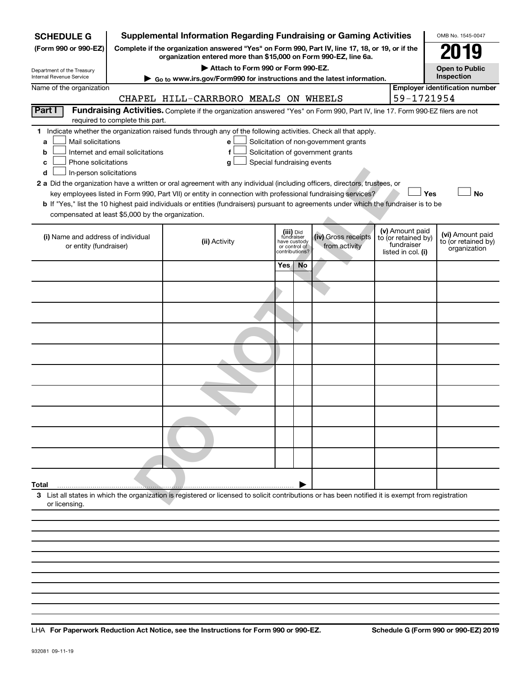| (Form 990 or 990-EZ)<br>Complete if the organization answered "Yes" on Form 990, Part IV, line 17, 18, or 19, or if the<br><b>FLY</b><br>organization entered more than \$15,000 on Form 990-EZ, line 6a.<br>Attach to Form 990 or Form 990-EZ.<br><b>Open to Public</b><br>Department of the Treasury<br>Inspection<br>Internal Revenue Service<br>► Go to www.irs.gov/Form990 for instructions and the latest information.<br><b>Employer identification number</b><br>Name of the organization<br>59-1721954<br>CHAPEL HILL-CARRBORO MEALS ON WHEELS<br>Part I<br>Fundraising Activities. Complete if the organization answered "Yes" on Form 990, Part IV, line 17. Form 990-EZ filers are not<br>required to complete this part.<br>1 Indicate whether the organization raised funds through any of the following activities. Check all that apply.<br>Mail solicitations<br>Solicitation of non-government grants<br>a<br>е<br>Internet and email solicitations<br>Solicitation of government grants<br>f<br>b<br>Phone solicitations<br>Special fundraising events<br>g<br>c<br>In-person solicitations<br>d<br>2 a Did the organization have a written or oral agreement with any individual (including officers, directors, trustees, or<br><b>No</b><br>key employees listed in Form 990, Part VII) or entity in connection with professional fundraising services?<br>Yes<br>b If "Yes," list the 10 highest paid individuals or entities (fundraisers) pursuant to agreements under which the fundraiser is to be<br>compensated at least \$5,000 by the organization.<br>(v) Amount paid<br>(iii) Did<br>fundraiser<br>(i) Name and address of individual<br>(iv) Gross receipts<br>to (or retained by)<br>(ii) Activity<br>have custody<br>fundraiser<br>from activity<br>or entity (fundraiser)<br>or control of<br>organization<br>listed in col. (i)<br>contributions?<br>Yes.<br>No<br>Total<br>3 List all states in which the organization is registered or licensed to solicit contributions or has been notified it is exempt from registration<br>or licensing. | <b>SCHEDULE G</b> | <b>Supplemental Information Regarding Fundraising or Gaming Activities</b> |  |  | OMB No. 1545-0047                       |
|---------------------------------------------------------------------------------------------------------------------------------------------------------------------------------------------------------------------------------------------------------------------------------------------------------------------------------------------------------------------------------------------------------------------------------------------------------------------------------------------------------------------------------------------------------------------------------------------------------------------------------------------------------------------------------------------------------------------------------------------------------------------------------------------------------------------------------------------------------------------------------------------------------------------------------------------------------------------------------------------------------------------------------------------------------------------------------------------------------------------------------------------------------------------------------------------------------------------------------------------------------------------------------------------------------------------------------------------------------------------------------------------------------------------------------------------------------------------------------------------------------------------------------------------------------------------------------------------------------------------------------------------------------------------------------------------------------------------------------------------------------------------------------------------------------------------------------------------------------------------------------------------------------------------------------------------------------------------------------------------------------------------------------------------------------------------------------------|-------------------|----------------------------------------------------------------------------|--|--|-----------------------------------------|
|                                                                                                                                                                                                                                                                                                                                                                                                                                                                                                                                                                                                                                                                                                                                                                                                                                                                                                                                                                                                                                                                                                                                                                                                                                                                                                                                                                                                                                                                                                                                                                                                                                                                                                                                                                                                                                                                                                                                                                                                                                                                                       |                   |                                                                            |  |  |                                         |
|                                                                                                                                                                                                                                                                                                                                                                                                                                                                                                                                                                                                                                                                                                                                                                                                                                                                                                                                                                                                                                                                                                                                                                                                                                                                                                                                                                                                                                                                                                                                                                                                                                                                                                                                                                                                                                                                                                                                                                                                                                                                                       |                   |                                                                            |  |  |                                         |
|                                                                                                                                                                                                                                                                                                                                                                                                                                                                                                                                                                                                                                                                                                                                                                                                                                                                                                                                                                                                                                                                                                                                                                                                                                                                                                                                                                                                                                                                                                                                                                                                                                                                                                                                                                                                                                                                                                                                                                                                                                                                                       |                   |                                                                            |  |  |                                         |
|                                                                                                                                                                                                                                                                                                                                                                                                                                                                                                                                                                                                                                                                                                                                                                                                                                                                                                                                                                                                                                                                                                                                                                                                                                                                                                                                                                                                                                                                                                                                                                                                                                                                                                                                                                                                                                                                                                                                                                                                                                                                                       |                   |                                                                            |  |  |                                         |
|                                                                                                                                                                                                                                                                                                                                                                                                                                                                                                                                                                                                                                                                                                                                                                                                                                                                                                                                                                                                                                                                                                                                                                                                                                                                                                                                                                                                                                                                                                                                                                                                                                                                                                                                                                                                                                                                                                                                                                                                                                                                                       |                   |                                                                            |  |  |                                         |
|                                                                                                                                                                                                                                                                                                                                                                                                                                                                                                                                                                                                                                                                                                                                                                                                                                                                                                                                                                                                                                                                                                                                                                                                                                                                                                                                                                                                                                                                                                                                                                                                                                                                                                                                                                                                                                                                                                                                                                                                                                                                                       |                   |                                                                            |  |  |                                         |
|                                                                                                                                                                                                                                                                                                                                                                                                                                                                                                                                                                                                                                                                                                                                                                                                                                                                                                                                                                                                                                                                                                                                                                                                                                                                                                                                                                                                                                                                                                                                                                                                                                                                                                                                                                                                                                                                                                                                                                                                                                                                                       |                   |                                                                            |  |  |                                         |
|                                                                                                                                                                                                                                                                                                                                                                                                                                                                                                                                                                                                                                                                                                                                                                                                                                                                                                                                                                                                                                                                                                                                                                                                                                                                                                                                                                                                                                                                                                                                                                                                                                                                                                                                                                                                                                                                                                                                                                                                                                                                                       |                   |                                                                            |  |  |                                         |
|                                                                                                                                                                                                                                                                                                                                                                                                                                                                                                                                                                                                                                                                                                                                                                                                                                                                                                                                                                                                                                                                                                                                                                                                                                                                                                                                                                                                                                                                                                                                                                                                                                                                                                                                                                                                                                                                                                                                                                                                                                                                                       |                   |                                                                            |  |  |                                         |
|                                                                                                                                                                                                                                                                                                                                                                                                                                                                                                                                                                                                                                                                                                                                                                                                                                                                                                                                                                                                                                                                                                                                                                                                                                                                                                                                                                                                                                                                                                                                                                                                                                                                                                                                                                                                                                                                                                                                                                                                                                                                                       |                   |                                                                            |  |  | (vi) Amount paid<br>to (or retained by) |
|                                                                                                                                                                                                                                                                                                                                                                                                                                                                                                                                                                                                                                                                                                                                                                                                                                                                                                                                                                                                                                                                                                                                                                                                                                                                                                                                                                                                                                                                                                                                                                                                                                                                                                                                                                                                                                                                                                                                                                                                                                                                                       |                   |                                                                            |  |  |                                         |
|                                                                                                                                                                                                                                                                                                                                                                                                                                                                                                                                                                                                                                                                                                                                                                                                                                                                                                                                                                                                                                                                                                                                                                                                                                                                                                                                                                                                                                                                                                                                                                                                                                                                                                                                                                                                                                                                                                                                                                                                                                                                                       |                   |                                                                            |  |  |                                         |
|                                                                                                                                                                                                                                                                                                                                                                                                                                                                                                                                                                                                                                                                                                                                                                                                                                                                                                                                                                                                                                                                                                                                                                                                                                                                                                                                                                                                                                                                                                                                                                                                                                                                                                                                                                                                                                                                                                                                                                                                                                                                                       |                   |                                                                            |  |  |                                         |
|                                                                                                                                                                                                                                                                                                                                                                                                                                                                                                                                                                                                                                                                                                                                                                                                                                                                                                                                                                                                                                                                                                                                                                                                                                                                                                                                                                                                                                                                                                                                                                                                                                                                                                                                                                                                                                                                                                                                                                                                                                                                                       |                   |                                                                            |  |  |                                         |
|                                                                                                                                                                                                                                                                                                                                                                                                                                                                                                                                                                                                                                                                                                                                                                                                                                                                                                                                                                                                                                                                                                                                                                                                                                                                                                                                                                                                                                                                                                                                                                                                                                                                                                                                                                                                                                                                                                                                                                                                                                                                                       |                   |                                                                            |  |  |                                         |
|                                                                                                                                                                                                                                                                                                                                                                                                                                                                                                                                                                                                                                                                                                                                                                                                                                                                                                                                                                                                                                                                                                                                                                                                                                                                                                                                                                                                                                                                                                                                                                                                                                                                                                                                                                                                                                                                                                                                                                                                                                                                                       |                   |                                                                            |  |  |                                         |
|                                                                                                                                                                                                                                                                                                                                                                                                                                                                                                                                                                                                                                                                                                                                                                                                                                                                                                                                                                                                                                                                                                                                                                                                                                                                                                                                                                                                                                                                                                                                                                                                                                                                                                                                                                                                                                                                                                                                                                                                                                                                                       |                   |                                                                            |  |  |                                         |
|                                                                                                                                                                                                                                                                                                                                                                                                                                                                                                                                                                                                                                                                                                                                                                                                                                                                                                                                                                                                                                                                                                                                                                                                                                                                                                                                                                                                                                                                                                                                                                                                                                                                                                                                                                                                                                                                                                                                                                                                                                                                                       |                   |                                                                            |  |  |                                         |
|                                                                                                                                                                                                                                                                                                                                                                                                                                                                                                                                                                                                                                                                                                                                                                                                                                                                                                                                                                                                                                                                                                                                                                                                                                                                                                                                                                                                                                                                                                                                                                                                                                                                                                                                                                                                                                                                                                                                                                                                                                                                                       |                   |                                                                            |  |  |                                         |
|                                                                                                                                                                                                                                                                                                                                                                                                                                                                                                                                                                                                                                                                                                                                                                                                                                                                                                                                                                                                                                                                                                                                                                                                                                                                                                                                                                                                                                                                                                                                                                                                                                                                                                                                                                                                                                                                                                                                                                                                                                                                                       |                   |                                                                            |  |  |                                         |
|                                                                                                                                                                                                                                                                                                                                                                                                                                                                                                                                                                                                                                                                                                                                                                                                                                                                                                                                                                                                                                                                                                                                                                                                                                                                                                                                                                                                                                                                                                                                                                                                                                                                                                                                                                                                                                                                                                                                                                                                                                                                                       |                   |                                                                            |  |  |                                         |
|                                                                                                                                                                                                                                                                                                                                                                                                                                                                                                                                                                                                                                                                                                                                                                                                                                                                                                                                                                                                                                                                                                                                                                                                                                                                                                                                                                                                                                                                                                                                                                                                                                                                                                                                                                                                                                                                                                                                                                                                                                                                                       |                   |                                                                            |  |  |                                         |

**For Paperwork Reduction Act Notice, see the Instructions for Form 990 or 990-EZ. Schedule G (Form 990 or 990-EZ) 2019** LHA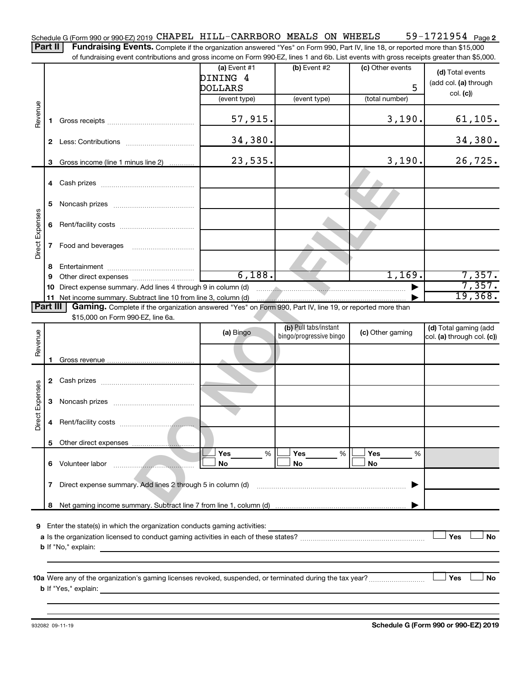59-1721954 Page 2 Schedule G (Form 990 or 990-EZ) 2019 CHAPEL HILL-CARRBORO MEALS ON WHEELS 59-1721954 Page

Part II | Fundraising Events. Complete if the organization answered "Yes" on Form 990, Part IV, line 18, or reported more than \$15,000 of fundraising event contributions and gross income on Form 990-EZ, lines 1 and 6b. List events with gross receipts greater than \$5,000.

|                        |    | UI Turidiaising event continuutions and gross income on Form 990-LZ, illies T and OD. List events with gross receipts greater than \$0,000. |                |                                                                                                                                                                                                                                                                                                                                                                             |                  |                            |
|------------------------|----|---------------------------------------------------------------------------------------------------------------------------------------------|----------------|-----------------------------------------------------------------------------------------------------------------------------------------------------------------------------------------------------------------------------------------------------------------------------------------------------------------------------------------------------------------------------|------------------|----------------------------|
|                        |    |                                                                                                                                             | (a) Event $#1$ | (b) Event $#2$                                                                                                                                                                                                                                                                                                                                                              | (c) Other events | (d) Total events           |
|                        |    |                                                                                                                                             | DINING 4       |                                                                                                                                                                                                                                                                                                                                                                             |                  | (add col. (a) through      |
|                        |    |                                                                                                                                             | <b>DOLLARS</b> |                                                                                                                                                                                                                                                                                                                                                                             | 5                | col. (c)                   |
|                        |    |                                                                                                                                             | (event type)   | (event type)                                                                                                                                                                                                                                                                                                                                                                | (total number)   |                            |
| Revenue                | 1. |                                                                                                                                             | 57,915.        |                                                                                                                                                                                                                                                                                                                                                                             | 3,190.           | 61, 105.                   |
|                        |    |                                                                                                                                             | 34,380.        |                                                                                                                                                                                                                                                                                                                                                                             |                  | 34,380.                    |
|                        | 3  | Gross income (line 1 minus line 2)                                                                                                          | 23,535.        |                                                                                                                                                                                                                                                                                                                                                                             | 3,190.           | 26,725.                    |
|                        |    |                                                                                                                                             |                |                                                                                                                                                                                                                                                                                                                                                                             |                  |                            |
|                        |    |                                                                                                                                             |                |                                                                                                                                                                                                                                                                                                                                                                             |                  |                            |
|                        | 5  |                                                                                                                                             |                |                                                                                                                                                                                                                                                                                                                                                                             |                  |                            |
| <b>Direct Expenses</b> |    |                                                                                                                                             |                |                                                                                                                                                                                                                                                                                                                                                                             |                  |                            |
|                        |    |                                                                                                                                             |                |                                                                                                                                                                                                                                                                                                                                                                             |                  |                            |
|                        |    |                                                                                                                                             |                |                                                                                                                                                                                                                                                                                                                                                                             |                  |                            |
|                        |    |                                                                                                                                             |                |                                                                                                                                                                                                                                                                                                                                                                             |                  |                            |
|                        | 8  |                                                                                                                                             | 6,188.         |                                                                                                                                                                                                                                                                                                                                                                             | 1,169.           | 7,357.                     |
|                        | 9  | 10 Direct expense summary. Add lines 4 through 9 in column (d)                                                                              |                | $\begin{picture}(180,10) \put(0,0){\vector(1,0){10}} \put(10,0){\vector(1,0){10}} \put(10,0){\vector(1,0){10}} \put(10,0){\vector(1,0){10}} \put(10,0){\vector(1,0){10}} \put(10,0){\vector(1,0){10}} \put(10,0){\vector(1,0){10}} \put(10,0){\vector(1,0){10}} \put(10,0){\vector(1,0){10}} \put(10,0){\vector(1,0){10}} \put(10,0){\vector(1,0){10}} \put(10,0){\vector($ |                  | 7,357.                     |
|                        |    |                                                                                                                                             |                |                                                                                                                                                                                                                                                                                                                                                                             |                  | 19,368.                    |
| Part III               |    | Gaming. Complete if the organization answered "Yes" on Form 990, Part IV, line 19, or reported more than                                    |                |                                                                                                                                                                                                                                                                                                                                                                             |                  |                            |
|                        |    | \$15,000 on Form 990-EZ, line 6a.                                                                                                           |                |                                                                                                                                                                                                                                                                                                                                                                             |                  |                            |
|                        |    |                                                                                                                                             | (a) Bingo      | (b) Pull tabs/instant                                                                                                                                                                                                                                                                                                                                                       | (c) Other gaming | (d) Total gaming (add      |
| Revenue                |    |                                                                                                                                             |                | bingo/progressive bingo                                                                                                                                                                                                                                                                                                                                                     |                  | col. (a) through col. (c)) |
|                        |    |                                                                                                                                             |                |                                                                                                                                                                                                                                                                                                                                                                             |                  |                            |
|                        | 1. |                                                                                                                                             |                |                                                                                                                                                                                                                                                                                                                                                                             |                  |                            |
|                        |    |                                                                                                                                             |                |                                                                                                                                                                                                                                                                                                                                                                             |                  |                            |
|                        |    |                                                                                                                                             |                |                                                                                                                                                                                                                                                                                                                                                                             |                  |                            |
| <b>Direct Expenses</b> |    |                                                                                                                                             |                |                                                                                                                                                                                                                                                                                                                                                                             |                  |                            |
|                        | 4  |                                                                                                                                             |                |                                                                                                                                                                                                                                                                                                                                                                             |                  |                            |
|                        |    |                                                                                                                                             |                |                                                                                                                                                                                                                                                                                                                                                                             |                  |                            |
|                        |    |                                                                                                                                             |                | Yes                                                                                                                                                                                                                                                                                                                                                                         | Yes              |                            |
|                        |    | 6 Volunteer labor                                                                                                                           | Yes<br>%<br>No | %<br>No                                                                                                                                                                                                                                                                                                                                                                     | %<br>No          |                            |
|                        | 7  | Direct expense summary. Add lines 2 through 5 in column (d)                                                                                 |                |                                                                                                                                                                                                                                                                                                                                                                             |                  |                            |
|                        | 8  |                                                                                                                                             |                |                                                                                                                                                                                                                                                                                                                                                                             |                  |                            |
|                        |    |                                                                                                                                             |                |                                                                                                                                                                                                                                                                                                                                                                             |                  |                            |
| 9                      |    | Enter the state(s) in which the organization conducts gaming activities:                                                                    |                |                                                                                                                                                                                                                                                                                                                                                                             |                  |                            |
|                        |    |                                                                                                                                             |                |                                                                                                                                                                                                                                                                                                                                                                             |                  | Yes<br>No                  |
|                        |    | <b>b</b> If "No," explain:<br><u> 1980 - Jan Sterling Sterling (d. 1980)</u>                                                                |                |                                                                                                                                                                                                                                                                                                                                                                             |                  |                            |
|                        |    |                                                                                                                                             |                |                                                                                                                                                                                                                                                                                                                                                                             |                  |                            |
|                        |    |                                                                                                                                             |                |                                                                                                                                                                                                                                                                                                                                                                             |                  |                            |
|                        |    |                                                                                                                                             |                |                                                                                                                                                                                                                                                                                                                                                                             |                  | Yes<br>No                  |
|                        |    | <b>b</b> If "Yes," explain:                                                                                                                 |                |                                                                                                                                                                                                                                                                                                                                                                             |                  |                            |
|                        |    |                                                                                                                                             |                |                                                                                                                                                                                                                                                                                                                                                                             |                  |                            |

**Schedule G (Form 990 or 990-EZ) 2019**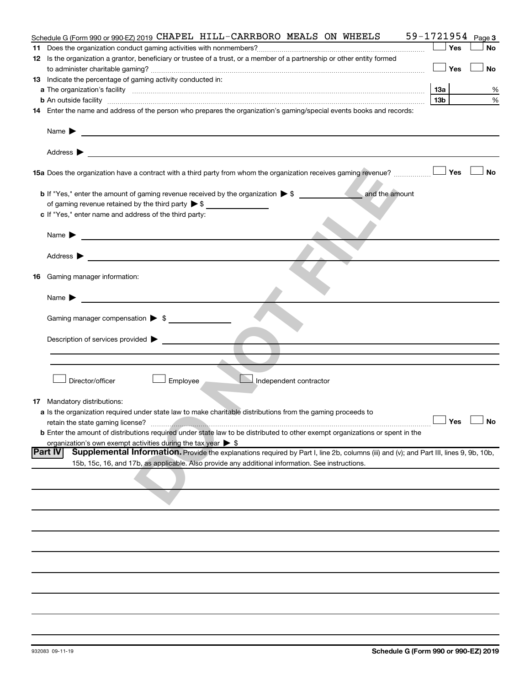|     | Schedule G (Form 990 or 990-EZ) 2019 CHAPEL HILL-CARRBORO MEALS ON WHEELS                                                                                                                                                                                                                                                                                         |     |            | 59-1721954 Page 3 |
|-----|-------------------------------------------------------------------------------------------------------------------------------------------------------------------------------------------------------------------------------------------------------------------------------------------------------------------------------------------------------------------|-----|------------|-------------------|
|     |                                                                                                                                                                                                                                                                                                                                                                   |     | Yes        | No                |
|     | 12 Is the organization a grantor, beneficiary or trustee of a trust, or a member of a partnership or other entity formed                                                                                                                                                                                                                                          |     | —  Yes     | No                |
|     | 13 Indicate the percentage of gaming activity conducted in:                                                                                                                                                                                                                                                                                                       |     |            |                   |
|     |                                                                                                                                                                                                                                                                                                                                                                   | 1За |            | %                 |
|     |                                                                                                                                                                                                                                                                                                                                                                   | 13b |            | $\%$              |
|     | <b>b</b> An outside facility <b>contained and the contract of the contract of the contract of the contract of the contract of the contract of the contract of the contract of the contract of the contract of the contract of the con</b><br>14 Enter the name and address of the person who prepares the organization's gaming/special events books and records: |     |            |                   |
|     |                                                                                                                                                                                                                                                                                                                                                                   |     |            |                   |
|     | Name $\blacktriangleright$<br>and the control of the control of the control of the control of the control of the control of the control of the                                                                                                                                                                                                                    |     |            |                   |
|     | Address $\blacktriangleright$                                                                                                                                                                                                                                                                                                                                     |     |            |                   |
|     |                                                                                                                                                                                                                                                                                                                                                                   |     | Yes        | <b>No</b>         |
|     | and the amount<br><b>b</b> If "Yes," enter the amount of gaming revenue received by the organization $\triangleright$ \$<br>of gaming revenue retained by the third party $\triangleright$ \$                                                                                                                                                                     |     |            |                   |
|     | c If "Yes," enter name and address of the third party:                                                                                                                                                                                                                                                                                                            |     |            |                   |
|     | Name $\blacktriangleright$<br><u> 1989 - Johann John Stein, markin fan de Frysk kampen oantal fan de Fryske kampen oantal fan de Fryske kampen</u>                                                                                                                                                                                                                |     |            |                   |
|     |                                                                                                                                                                                                                                                                                                                                                                   |     |            |                   |
|     | Address $\blacktriangleright$                                                                                                                                                                                                                                                                                                                                     |     |            |                   |
|     | Gaming manager information:                                                                                                                                                                                                                                                                                                                                       |     |            |                   |
| 16. |                                                                                                                                                                                                                                                                                                                                                                   |     |            |                   |
|     | Name $\blacktriangleright$                                                                                                                                                                                                                                                                                                                                        |     |            |                   |
|     | Gaming manager compensation $\triangleright$ \$                                                                                                                                                                                                                                                                                                                   |     |            |                   |
|     | Description of services provided >                                                                                                                                                                                                                                                                                                                                |     |            |                   |
|     |                                                                                                                                                                                                                                                                                                                                                                   |     |            |                   |
|     |                                                                                                                                                                                                                                                                                                                                                                   |     |            |                   |
|     | Director/officer<br>Independent contractor<br>Employee                                                                                                                                                                                                                                                                                                            |     |            |                   |
|     | <b>17</b> Mandatory distributions:                                                                                                                                                                                                                                                                                                                                |     |            |                   |
|     | a Is the organization required under state law to make charitable distributions from the gaming proceeds to                                                                                                                                                                                                                                                       |     |            |                   |
|     | retain the state gaming license?                                                                                                                                                                                                                                                                                                                                  |     | $\Box$ Yes | ∟—⊥ No            |
|     | <b>b</b> Enter the amount of distributions required under state law to be distributed to other exempt organizations or spent in the                                                                                                                                                                                                                               |     |            |                   |
|     | organization's own exempt activities during the tax year $\triangleright$ \$                                                                                                                                                                                                                                                                                      |     |            |                   |
|     | Supplemental Information. Provide the explanations required by Part I, line 2b, columns (iii) and (v); and Part III, lines 9, 9b, 10b,<br><b>Part IV</b><br>15b, 15c, 16, and 17b, as applicable. Also provide any additional information. See instructions.                                                                                                      |     |            |                   |
|     |                                                                                                                                                                                                                                                                                                                                                                   |     |            |                   |
|     |                                                                                                                                                                                                                                                                                                                                                                   |     |            |                   |
|     |                                                                                                                                                                                                                                                                                                                                                                   |     |            |                   |
|     |                                                                                                                                                                                                                                                                                                                                                                   |     |            |                   |
|     |                                                                                                                                                                                                                                                                                                                                                                   |     |            |                   |
|     |                                                                                                                                                                                                                                                                                                                                                                   |     |            |                   |
|     |                                                                                                                                                                                                                                                                                                                                                                   |     |            |                   |
|     |                                                                                                                                                                                                                                                                                                                                                                   |     |            |                   |
|     |                                                                                                                                                                                                                                                                                                                                                                   |     |            |                   |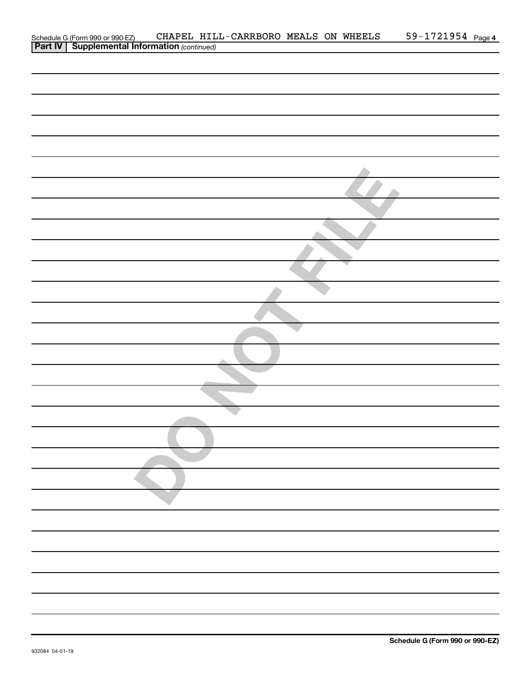| Schedule G (Form 990 or 990-EZ) CHAPEL HIL<br><b>Part IV   Supplemental Information</b> (continued) |  | CHAPEL HILL-CARRBORO MEALS ON WHEELS |  | 59-1721954 Page 4 |  |
|-----------------------------------------------------------------------------------------------------|--|--------------------------------------|--|-------------------|--|
|                                                                                                     |  |                                      |  |                   |  |
|                                                                                                     |  |                                      |  |                   |  |
|                                                                                                     |  |                                      |  |                   |  |
|                                                                                                     |  |                                      |  |                   |  |
|                                                                                                     |  |                                      |  |                   |  |
|                                                                                                     |  |                                      |  |                   |  |
|                                                                                                     |  |                                      |  |                   |  |
|                                                                                                     |  |                                      |  |                   |  |
|                                                                                                     |  |                                      |  |                   |  |
|                                                                                                     |  |                                      |  |                   |  |
|                                                                                                     |  |                                      |  |                   |  |
|                                                                                                     |  |                                      |  |                   |  |
|                                                                                                     |  |                                      |  |                   |  |
|                                                                                                     |  |                                      |  |                   |  |
|                                                                                                     |  |                                      |  |                   |  |
|                                                                                                     |  |                                      |  |                   |  |
|                                                                                                     |  |                                      |  |                   |  |
|                                                                                                     |  |                                      |  |                   |  |
|                                                                                                     |  |                                      |  |                   |  |
|                                                                                                     |  |                                      |  |                   |  |
|                                                                                                     |  |                                      |  |                   |  |
|                                                                                                     |  |                                      |  |                   |  |
|                                                                                                     |  |                                      |  |                   |  |
|                                                                                                     |  |                                      |  |                   |  |
|                                                                                                     |  |                                      |  |                   |  |
|                                                                                                     |  |                                      |  |                   |  |
|                                                                                                     |  |                                      |  |                   |  |
|                                                                                                     |  |                                      |  |                   |  |
|                                                                                                     |  |                                      |  |                   |  |
|                                                                                                     |  |                                      |  |                   |  |
|                                                                                                     |  |                                      |  |                   |  |
|                                                                                                     |  |                                      |  |                   |  |
|                                                                                                     |  |                                      |  |                   |  |
|                                                                                                     |  |                                      |  |                   |  |
|                                                                                                     |  |                                      |  |                   |  |
|                                                                                                     |  |                                      |  |                   |  |
|                                                                                                     |  |                                      |  |                   |  |